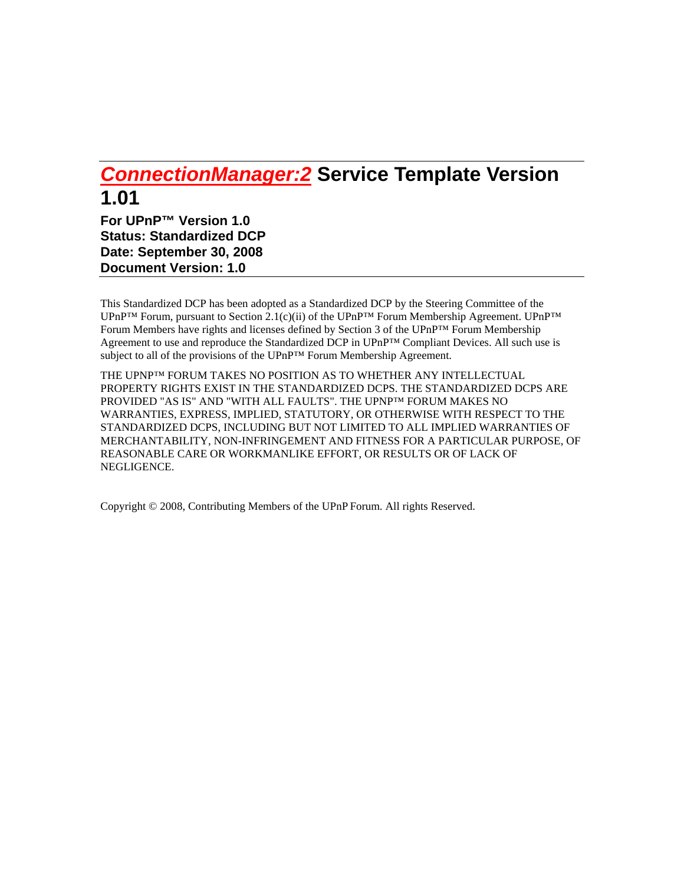# *ConnectionManager:2* **Service Template Version 1.01**

**For UPnP™ Version 1.0 Status: Standardized DCP Date: September 30, 2008 Document Version: 1.0** 

This Standardized DCP has been adopted as a Standardized DCP by the Steering Committee of the UPnP<sup>™</sup> Forum, pursuant to Section 2.1(c)(ii) of the UPnP<sup>™</sup> Forum Membership Agreement. UPnP<sup>™</sup> Forum Members have rights and licenses defined by Section 3 of the UPnP™ Forum Membership Agreement to use and reproduce the Standardized DCP in UPnP™ Compliant Devices. All such use is subject to all of the provisions of the UPnP™ Forum Membership Agreement.

THE UPNP™ FORUM TAKES NO POSITION AS TO WHETHER ANY INTELLECTUAL PROPERTY RIGHTS EXIST IN THE STANDARDIZED DCPS. THE STANDARDIZED DCPS ARE PROVIDED "AS IS" AND "WITH ALL FAULTS". THE UPNP™ FORUM MAKES NO WARRANTIES, EXPRESS, IMPLIED, STATUTORY, OR OTHERWISE WITH RESPECT TO THE STANDARDIZED DCPS, INCLUDING BUT NOT LIMITED TO ALL IMPLIED WARRANTIES OF MERCHANTABILITY, NON-INFRINGEMENT AND FITNESS FOR A PARTICULAR PURPOSE, OF REASONABLE CARE OR WORKMANLIKE EFFORT, OR RESULTS OR OF LACK OF NEGLIGENCE.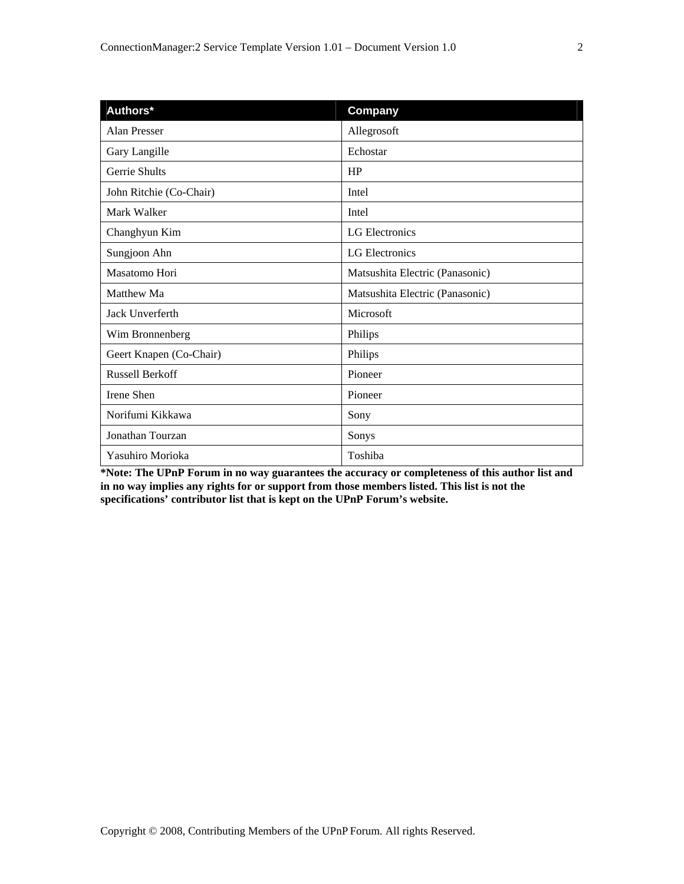| Authors*                | Company                         |
|-------------------------|---------------------------------|
| Alan Presser            | Allegrosoft                     |
| Gary Langille           | Echostar                        |
| Gerrie Shults           | HP                              |
| John Ritchie (Co-Chair) | Intel                           |
| Mark Walker             | Intel                           |
| Changhyun Kim           | LG Electronics                  |
| Sungjoon Ahn            | LG Electronics                  |
| Masatomo Hori           | Matsushita Electric (Panasonic) |
| Matthew Ma              | Matsushita Electric (Panasonic) |
| Jack Unverferth         | Microsoft                       |
| Wim Bronnenberg         | Philips                         |
| Geert Knapen (Co-Chair) | Philips                         |
| <b>Russell Berkoff</b>  | Pioneer                         |
| Irene Shen              | Pioneer                         |
| Norifumi Kikkawa        | Sony                            |
| Jonathan Tourzan        | Sonys                           |
| Yasuhiro Morioka        | Toshiba                         |

**\*Note: The UPnP Forum in no way guarantees the accuracy or completeness of this author list and in no way implies any rights for or support from those members listed. This list is not the specifications' contributor list that is kept on the UPnP Forum's website.**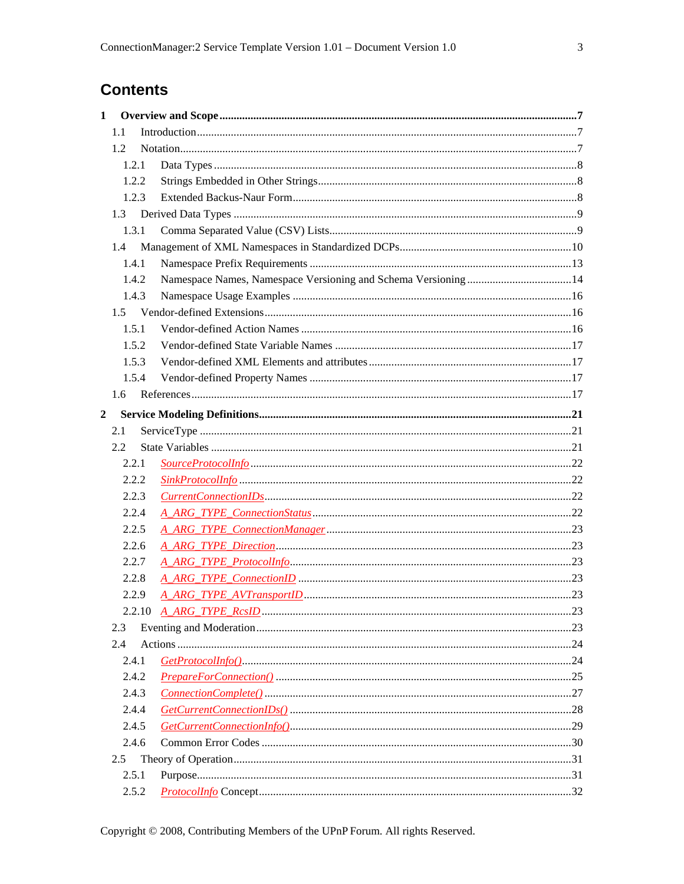# **Contents**

| $\mathbf{1}$   |               |  |  |
|----------------|---------------|--|--|
|                | 1.1           |  |  |
|                | 1.2           |  |  |
|                | 1.2.1         |  |  |
|                | 1.2.2         |  |  |
|                | 1.2.3         |  |  |
|                | 1.3           |  |  |
|                | 1.3.1         |  |  |
|                | $1.4^{\circ}$ |  |  |
|                | 1.4.1         |  |  |
|                | 1.4.2         |  |  |
|                | 1.4.3         |  |  |
|                |               |  |  |
|                | 1.5.1         |  |  |
|                | 1.5.2         |  |  |
|                | 1.5.3         |  |  |
|                | 1.5.4         |  |  |
|                | 1.6           |  |  |
| $\overline{2}$ |               |  |  |
|                | 2.1           |  |  |
|                | 2.2           |  |  |
|                | 2.2.1         |  |  |
|                | 2.2.2         |  |  |
|                | 2.2.3         |  |  |
|                | 2.2.4         |  |  |
|                | 2.2.5         |  |  |
|                | 2.2.6         |  |  |
|                | 2.2.7         |  |  |
|                | 2.2.8         |  |  |
|                | 2.2.9         |  |  |
|                | 2.2.10        |  |  |
|                | 2.3           |  |  |
|                | 2.4           |  |  |
|                | 2.4.1         |  |  |
|                | 2.4.2         |  |  |
|                | 2.4.3         |  |  |
|                | 2.4.4         |  |  |
|                | 2.4.5         |  |  |
|                | 2.4.6         |  |  |
|                | 2.5           |  |  |
|                | 2.5.1         |  |  |
|                | 2.5.2         |  |  |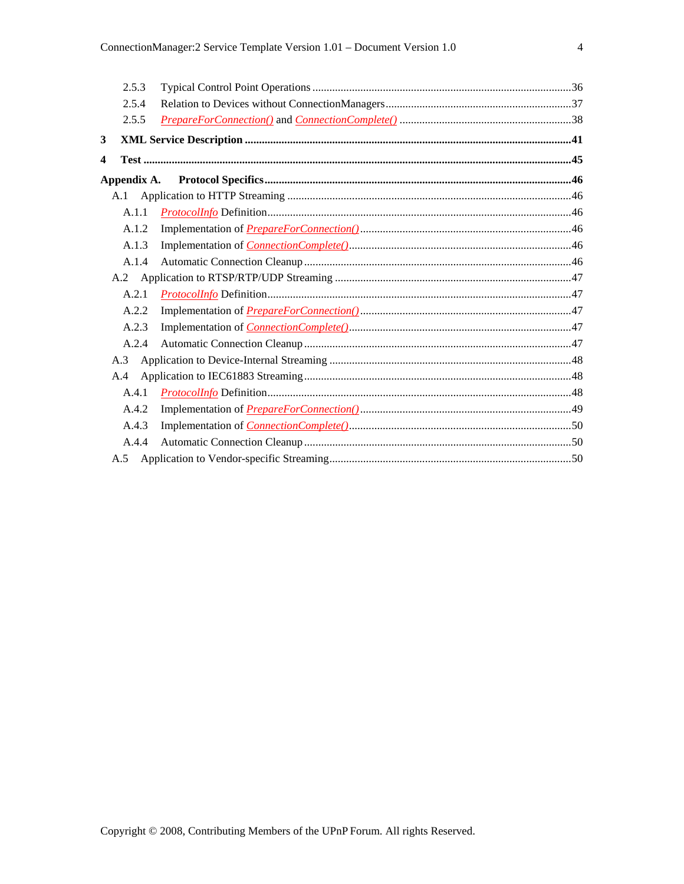|     | 2.5.3 |  |
|-----|-------|--|
|     | 2.5.4 |  |
|     | 2.5.5 |  |
| 3   |       |  |
| 4   |       |  |
|     |       |  |
|     |       |  |
|     | A.1.1 |  |
|     | A.1.2 |  |
|     | A.1.3 |  |
|     | A.1.4 |  |
|     |       |  |
|     | A.2.1 |  |
|     | A.2.2 |  |
|     | A.2.3 |  |
|     | A.2.4 |  |
| A.3 |       |  |
| A.4 |       |  |
|     | A.4.1 |  |
|     | A.4.2 |  |
|     | A.4.3 |  |
|     | A.4.4 |  |
|     |       |  |
|     |       |  |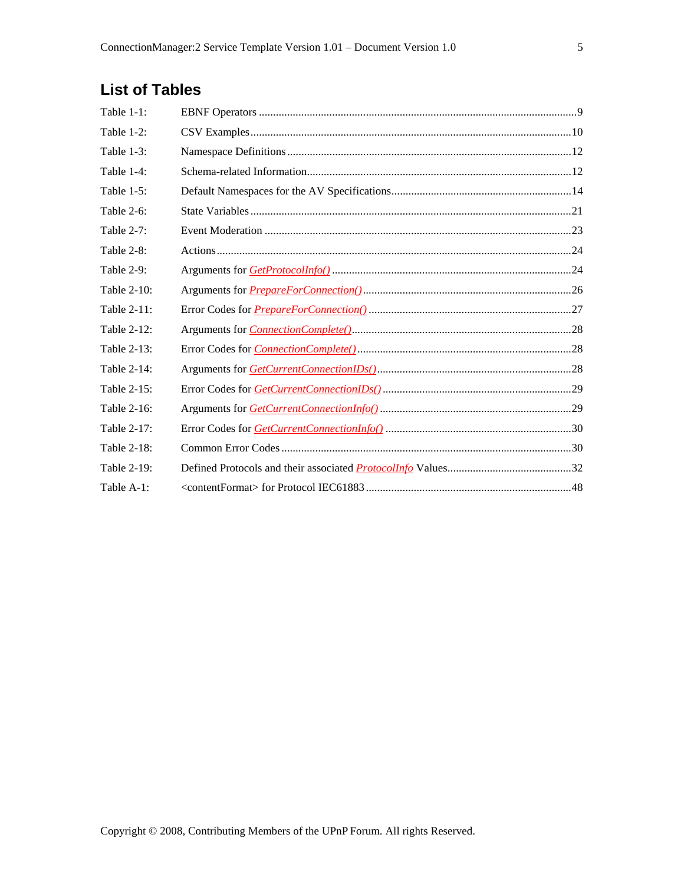# **List of Tables**

| Table 1-1:    |  |
|---------------|--|
| Table 1-2:    |  |
| Table 1-3:    |  |
| Table 1-4:    |  |
| Table $1-5$ : |  |
| Table 2-6:    |  |
| Table 2-7:    |  |
| Table 2-8:    |  |
| Table 2-9:    |  |
| Table 2-10:   |  |
| Table 2-11:   |  |
| Table 2-12:   |  |
| Table 2-13:   |  |
| Table 2-14:   |  |
| Table 2-15:   |  |
| Table 2-16:   |  |
| Table 2-17:   |  |
| Table 2-18:   |  |
| Table 2-19:   |  |
| Table A-1:    |  |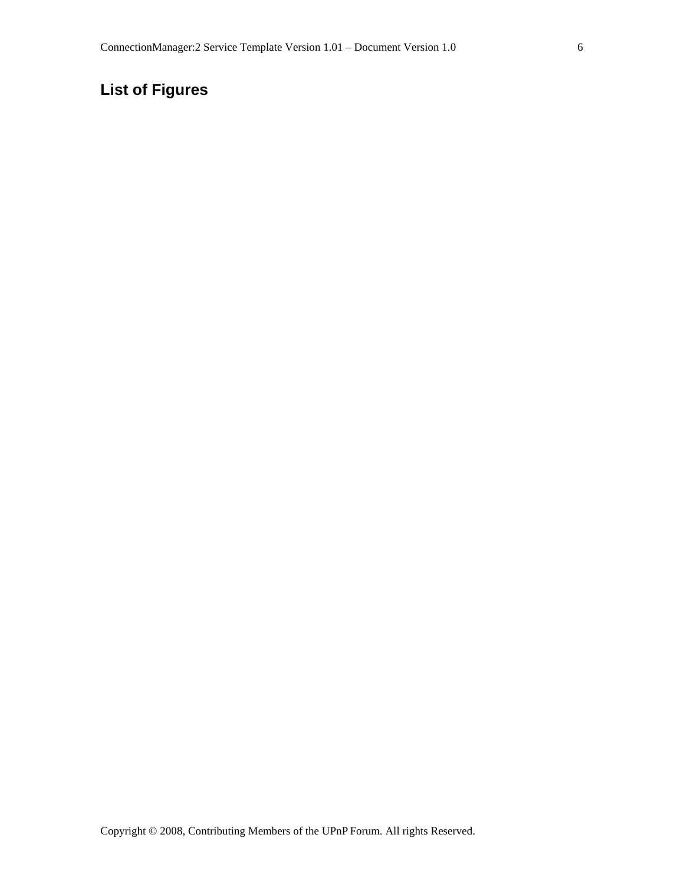# **List of Figures**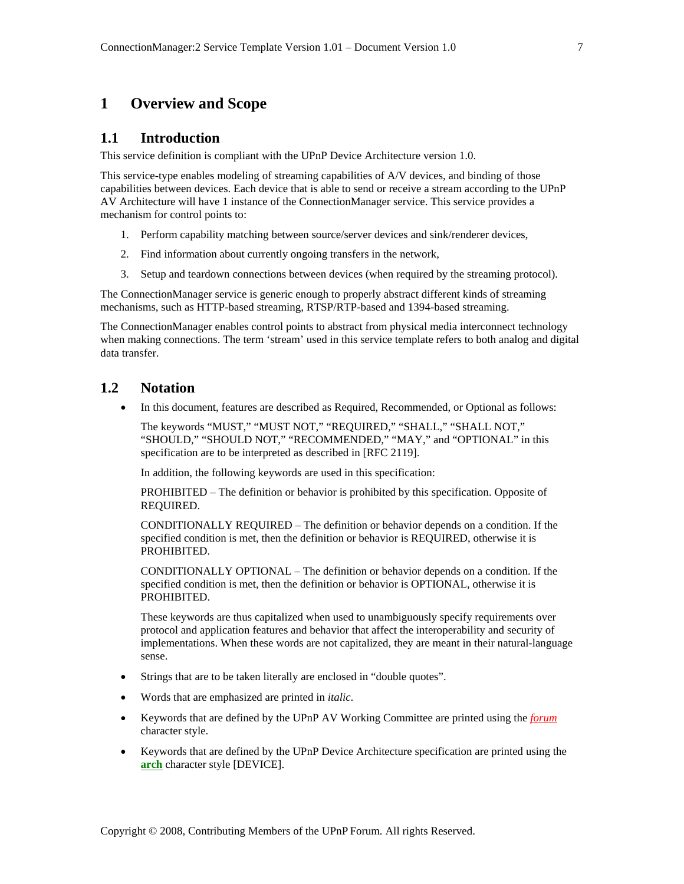# **1 Overview and Scope**

## **1.1 Introduction**

This service definition is compliant with the UPnP Device Architecture version 1.0.

This service-type enables modeling of streaming capabilities of A/V devices, and binding of those capabilities between devices. Each device that is able to send or receive a stream according to the UPnP AV Architecture will have 1 instance of the ConnectionManager service. This service provides a mechanism for control points to:

- 1. Perform capability matching between source/server devices and sink/renderer devices,
- 2. Find information about currently ongoing transfers in the network,
- 3. Setup and teardown connections between devices (when required by the streaming protocol).

The ConnectionManager service is generic enough to properly abstract different kinds of streaming mechanisms, such as HTTP-based streaming, RTSP/RTP-based and 1394-based streaming.

The ConnectionManager enables control points to abstract from physical media interconnect technology when making connections. The term 'stream' used in this service template refers to both analog and digital data transfer.

# **1.2 Notation**

• In this document, features are described as Required, Recommended, or Optional as follows:

The keywords "MUST," "MUST NOT," "REQUIRED," "SHALL," "SHALL NOT," "SHOULD," "SHOULD NOT," "RECOMMENDED," "MAY," and "OPTIONAL" in this specification are to be interpreted as described in [RFC 2119].

In addition, the following keywords are used in this specification:

PROHIBITED – The definition or behavior is prohibited by this specification. Opposite of REQUIRED.

CONDITIONALLY REQUIRED – The definition or behavior depends on a condition. If the specified condition is met, then the definition or behavior is REQUIRED, otherwise it is PROHIBITED.

CONDITIONALLY OPTIONAL – The definition or behavior depends on a condition. If the specified condition is met, then the definition or behavior is OPTIONAL, otherwise it is PROHIBITED.

These keywords are thus capitalized when used to unambiguously specify requirements over protocol and application features and behavior that affect the interoperability and security of implementations. When these words are not capitalized, they are meant in their natural-language sense.

- Strings that are to be taken literally are enclosed in "double quotes".
- Words that are emphasized are printed in *italic*.
- Keywords that are defined by the UPnP AV Working Committee are printed using the *forum* character style.
- Keywords that are defined by the UPnP Device Architecture specification are printed using the **arch** character style [DEVICE].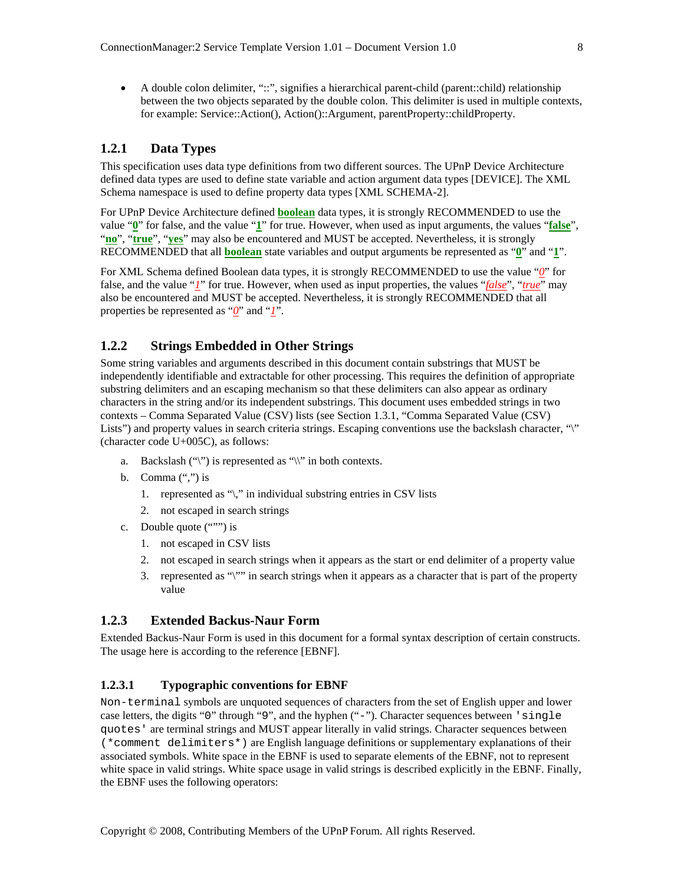• A double colon delimiter, "::", signifies a hierarchical parent-child (parent::child) relationship between the two objects separated by the double colon. This delimiter is used in multiple contexts, for example: Service::Action(), Action()::Argument, parentProperty::childProperty.

#### **1.2.1 Data Types**

This specification uses data type definitions from two different sources. The UPnP Device Architecture defined data types are used to define state variable and action argument data types [DEVICE]. The XML Schema namespace is used to define property data types [XML SCHEMA-2].

For UPnP Device Architecture defined **boolean** data types, it is strongly RECOMMENDED to use the value "**0**" for false, and the value "**1**" for true. However, when used as input arguments, the values "**false**", "**no**", "**true**", "**yes**" may also be encountered and MUST be accepted. Nevertheless, it is strongly RECOMMENDED that all **boolean** state variables and output arguments be represented as "**0**" and "**1**".

For XML Schema defined Boolean data types, it is strongly RECOMMENDED to use the value "*0*" for false, and the value "*1*" for true. However, when used as input properties, the values "*false*", "*true*" may also be encountered and MUST be accepted. Nevertheless, it is strongly RECOMMENDED that all properties be represented as "*Q*" and "*I*".

#### **1.2.2 Strings Embedded in Other Strings**

Some string variables and arguments described in this document contain substrings that MUST be independently identifiable and extractable for other processing. This requires the definition of appropriate substring delimiters and an escaping mechanism so that these delimiters can also appear as ordinary characters in the string and/or its independent substrings. This document uses embedded strings in two contexts – Comma Separated Value (CSV) lists (see Section 1.3.1, "Comma Separated Value (CSV) Lists") and property values in search criteria strings. Escaping conventions use the backslash character, "\" (character code U+005C), as follows:

- a. Backslash  $(\lq\lq)$  is represented as  $\lq\lq\rq\rq$  in both contexts.
- b. Comma  $(\lq\lq, \lq)$  is
	- 1. represented as "\," in individual substring entries in CSV lists
	- 2. not escaped in search strings
- c. Double quote (""") is
	- 1. not escaped in CSV lists
	- 2. not escaped in search strings when it appears as the start or end delimiter of a property value
	- 3. represented as "\"" in search strings when it appears as a character that is part of the property value

#### **1.2.3 Extended Backus-Naur Form**

Extended Backus-Naur Form is used in this document for a formal syntax description of certain constructs. The usage here is according to the reference [EBNF].

#### **1.2.3.1 Typographic conventions for EBNF**

Non-terminal symbols are unquoted sequences of characters from the set of English upper and lower case letters, the digits "0" through "9", and the hyphen ("-"). Character sequences between 'single quotes' are terminal strings and MUST appear literally in valid strings. Character sequences between (\*comment delimiters\*) are English language definitions or supplementary explanations of their associated symbols. White space in the EBNF is used to separate elements of the EBNF, not to represent white space in valid strings. White space usage in valid strings is described explicitly in the EBNF. Finally, the EBNF uses the following operators: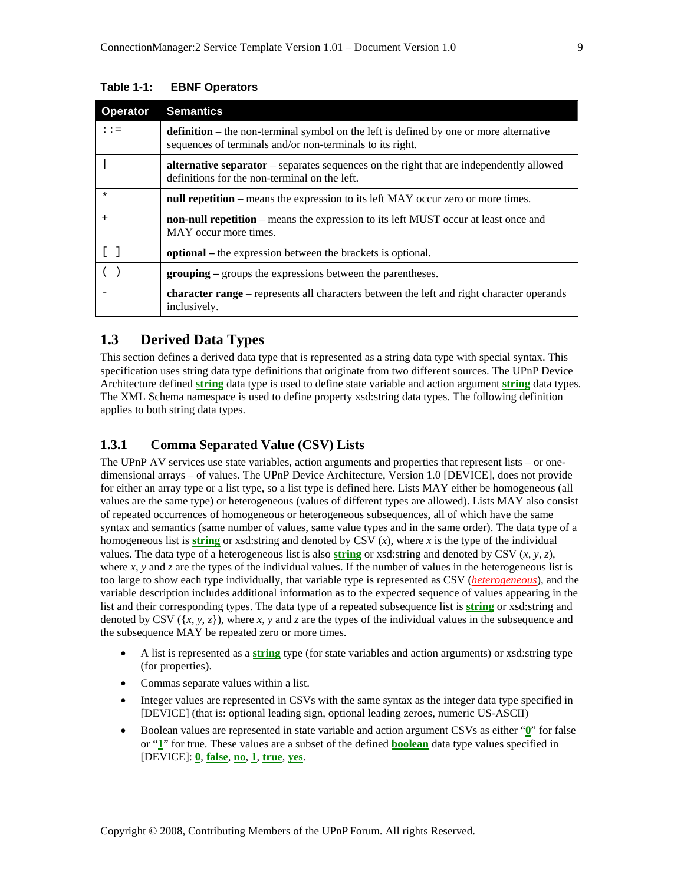| <b>Operator</b>   | <b>Semantics</b>                                                                                                                                           |
|-------------------|------------------------------------------------------------------------------------------------------------------------------------------------------------|
| $: z =$           | <b>definition</b> – the non-terminal symbol on the left is defined by one or more alternative<br>sequences of terminals and/or non-terminals to its right. |
|                   | <b>alternative separator</b> – separates sequences on the right that are independently allowed<br>definitions for the non-terminal on the left.            |
| $\star$           | null repetition – means the expression to its left MAY occur zero or more times.                                                                           |
| $\ddot{}$         | <b>non-null repetition</b> – means the expression to its left MUST occur at least once and<br>MAY occur more times.                                        |
| $\lceil$ $\rceil$ | <b>optional</b> – the expression between the brackets is optional.                                                                                         |
|                   | <b>grouping</b> – groups the expressions between the parentheses.                                                                                          |
|                   | <b>character range</b> – represents all characters between the left and right character operands<br>inclusively.                                           |

#### **Table 1-1: EBNF Operators**

# **1.3 Derived Data Types**

This section defines a derived data type that is represented as a string data type with special syntax. This specification uses string data type definitions that originate from two different sources. The UPnP Device Architecture defined **string** data type is used to define state variable and action argument **string** data types. The XML Schema namespace is used to define property xsd:string data types. The following definition applies to both string data types.

#### **1.3.1 Comma Separated Value (CSV) Lists**

The UPnP AV services use state variables, action arguments and properties that represent lists – or onedimensional arrays – of values. The UPnP Device Architecture, Version 1.0 [DEVICE], does not provide for either an array type or a list type, so a list type is defined here. Lists MAY either be homogeneous (all values are the same type) or heterogeneous (values of different types are allowed). Lists MAY also consist of repeated occurrences of homogeneous or heterogeneous subsequences, all of which have the same syntax and semantics (same number of values, same value types and in the same order). The data type of a homogeneous list is **string** or xsd:string and denoted by CSV (*x*), where *x* is the type of the individual values. The data type of a heterogeneous list is also **string** or xsd:string and denoted by CSV (*x, y, z*), where  $x$ ,  $y$  and  $z$  are the types of the individual values. If the number of values in the heterogeneous list is too large to show each type individually, that variable type is represented as CSV (*heterogeneous*), and the variable description includes additional information as to the expected sequence of values appearing in the list and their corresponding types. The data type of a repeated subsequence list is **string** or xsd:string and denoted by CSV  $({x, y, z})$ , where *x*, *y* and *z* are the types of the individual values in the subsequence and the subsequence MAY be repeated zero or more times.

- A list is represented as a **string** type (for state variables and action arguments) or xsd:string type (for properties).
- Commas separate values within a list.
- Integer values are represented in CSVs with the same syntax as the integer data type specified in [DEVICE] (that is: optional leading sign, optional leading zeroes, numeric US-ASCII)
- Boolean values are represented in state variable and action argument CSVs as either "**0**" for false or "**1**" for true. These values are a subset of the defined **boolean** data type values specified in [DEVICE]: **0**, **false**, **no**, **1**, **true**, **yes**.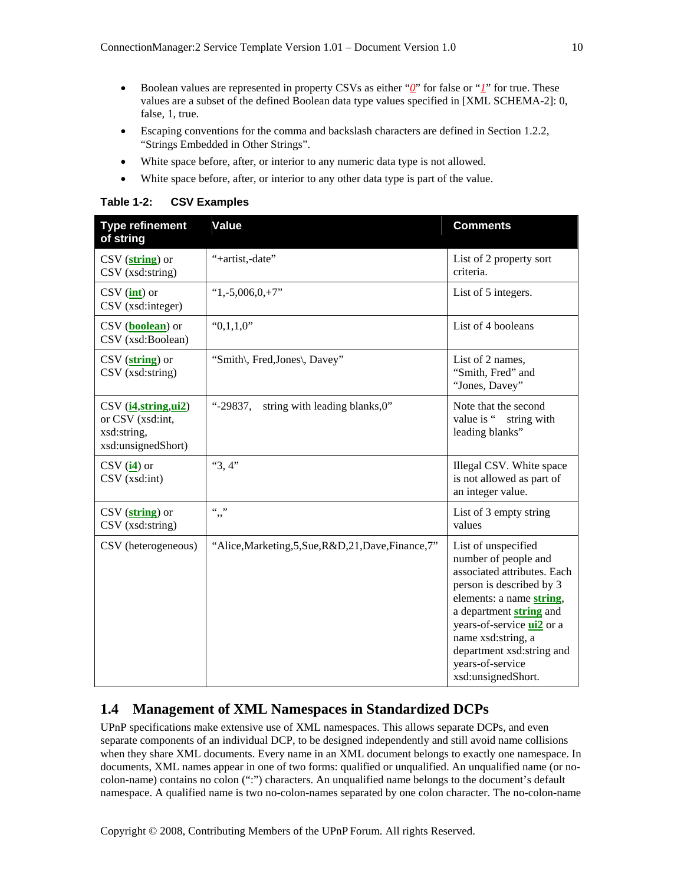- Boolean values are represented in property CSVs as either "*0*" for false or "*1*" for true. These values are a subset of the defined Boolean data type values specified in [XML SCHEMA-2]: 0, false, 1, true.
- Escaping conventions for the comma and backslash characters are defined in Section 1.2.2, "Strings Embedded in Other Strings".
- White space before, after, or interior to any numeric data type is not allowed.
- White space before, after, or interior to any other data type is part of the value.

**Table 1-2: CSV Examples** 

| <b>Type refinement</b><br>of string                                            | <b>Value</b>                                          | <b>Comments</b>                                                                                                                                                                                                                                                                                |
|--------------------------------------------------------------------------------|-------------------------------------------------------|------------------------------------------------------------------------------------------------------------------------------------------------------------------------------------------------------------------------------------------------------------------------------------------------|
| $\text{CSV}(\textbf{string})$ or<br>CSV (xsd:string)                           | "+artist,-date"                                       | List of 2 property sort<br>criteria.                                                                                                                                                                                                                                                           |
| $\text{CSV}$ (int) or<br>$\text{CSV}$ (xsd: integer)                           | "1,-5,006,0,+7"                                       | List of 5 integers.                                                                                                                                                                                                                                                                            |
| CSV ( <b>boolean</b> ) or<br>CSV (xsd:Boolean)                                 | "0,1,1,0"                                             | List of 4 booleans                                                                                                                                                                                                                                                                             |
| $\text{CSV}$ (string) or<br>CSV (xsd:string)                                   | "Smith\, Fred, Jones\, Davey"                         | List of 2 names,<br>"Smith, Fred" and<br>"Jones, Davey"                                                                                                                                                                                                                                        |
| CSV (i4, string, ui2)<br>or CSV (xsd:int,<br>xsd:string,<br>xsd:unsignedShort) | string with leading blanks, 0"<br>"-29837.            | Note that the second<br>value is "<br>string with<br>leading blanks"                                                                                                                                                                                                                           |
| $CSV$ ( $i4$ ) or<br>$CSV$ (xsd:int)                                           | "3,4"                                                 | Illegal CSV. White space<br>is not allowed as part of<br>an integer value.                                                                                                                                                                                                                     |
| $\text{CSV}$ (string) or<br>CSV (xsd:string)                                   | (0, 0)<br>,,                                          | List of 3 empty string<br>values                                                                                                                                                                                                                                                               |
| CSV (heterogeneous)                                                            | "Alice, Marketing, 5, Sue, R&D, 21, Dave, Finance, 7" | List of unspecified<br>number of people and<br>associated attributes. Each<br>person is described by 3<br>elements: a name string,<br>a department string and<br>years-of-service <b>ui2</b> or a<br>name xsd:string, a<br>department xsd:string and<br>years-of-service<br>xsd:unsignedShort. |

# **1.4 Management of XML Namespaces in Standardized DCPs**

UPnP specifications make extensive use of XML namespaces. This allows separate DCPs, and even separate components of an individual DCP, to be designed independently and still avoid name collisions when they share XML documents. Every name in an XML document belongs to exactly one namespace. In documents, XML names appear in one of two forms: qualified or unqualified. An unqualified name (or nocolon-name) contains no colon (":") characters. An unqualified name belongs to the document's default namespace. A qualified name is two no-colon-names separated by one colon character. The no-colon-name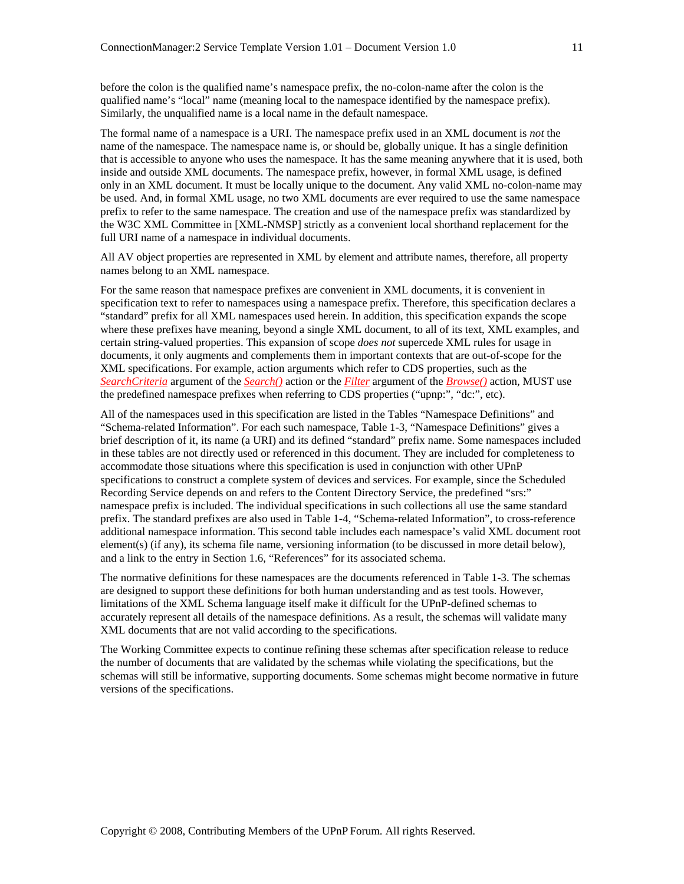before the colon is the qualified name's namespace prefix, the no-colon-name after the colon is the qualified name's "local" name (meaning local to the namespace identified by the namespace prefix). Similarly, the unqualified name is a local name in the default namespace.

The formal name of a namespace is a URI. The namespace prefix used in an XML document is *not* the name of the namespace. The namespace name is, or should be, globally unique. It has a single definition that is accessible to anyone who uses the namespace. It has the same meaning anywhere that it is used, both inside and outside XML documents. The namespace prefix, however, in formal XML usage, is defined only in an XML document. It must be locally unique to the document. Any valid XML no-colon-name may be used. And, in formal XML usage, no two XML documents are ever required to use the same namespace prefix to refer to the same namespace. The creation and use of the namespace prefix was standardized by the W3C XML Committee in [XML-NMSP] strictly as a convenient local shorthand replacement for the full URI name of a namespace in individual documents.

All AV object properties are represented in XML by element and attribute names, therefore, all property names belong to an XML namespace.

For the same reason that namespace prefixes are convenient in XML documents, it is convenient in specification text to refer to namespaces using a namespace prefix. Therefore, this specification declares a "standard" prefix for all XML namespaces used herein. In addition, this specification expands the scope where these prefixes have meaning, beyond a single XML document, to all of its text, XML examples, and certain string-valued properties. This expansion of scope *does not* supercede XML rules for usage in documents, it only augments and complements them in important contexts that are out-of-scope for the XML specifications. For example, action arguments which refer to CDS properties, such as the *SearchCriteria* argument of the *Search()* action or the *Filter* argument of the *Browse()* action, MUST use the predefined namespace prefixes when referring to CDS properties ("upnp:", "dc:", etc).

All of the namespaces used in this specification are listed in the Tables "Namespace Definitions" and "Schema-related Information". For each such namespace, Table 1-3, "Namespace Definitions" gives a brief description of it, its name (a URI) and its defined "standard" prefix name. Some namespaces included in these tables are not directly used or referenced in this document. They are included for completeness to accommodate those situations where this specification is used in conjunction with other UPnP specifications to construct a complete system of devices and services. For example, since the Scheduled Recording Service depends on and refers to the Content Directory Service, the predefined "srs:" namespace prefix is included. The individual specifications in such collections all use the same standard prefix. The standard prefixes are also used in Table 1-4, "Schema-related Information", to cross-reference additional namespace information. This second table includes each namespace's valid XML document root element(s) (if any), its schema file name, versioning information (to be discussed in more detail below), and a link to the entry in Section 1.6, "References" for its associated schema.

The normative definitions for these namespaces are the documents referenced in Table 1-3. The schemas are designed to support these definitions for both human understanding and as test tools. However, limitations of the XML Schema language itself make it difficult for the UPnP-defined schemas to accurately represent all details of the namespace definitions. As a result, the schemas will validate many XML documents that are not valid according to the specifications.

The Working Committee expects to continue refining these schemas after specification release to reduce the number of documents that are validated by the schemas while violating the specifications, but the schemas will still be informative, supporting documents. Some schemas might become normative in future versions of the specifications.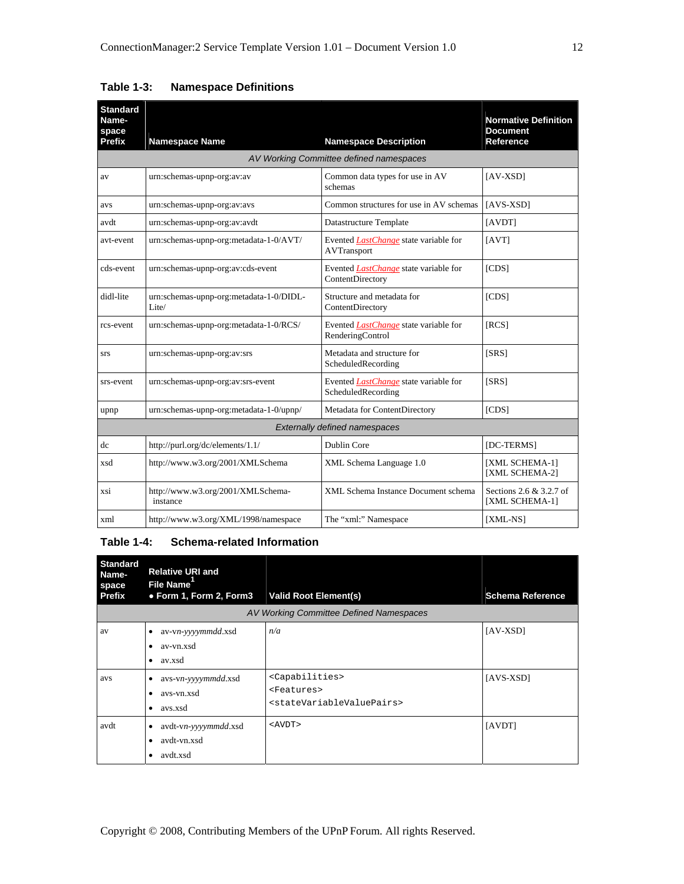| <b>Standard</b><br>Name-<br>space<br>Prefix | <b>Namespace Name</b>                            | <b>Namespace Description</b>                                       | <b>Normative Definition</b><br><b>Document</b><br>Reference |
|---------------------------------------------|--------------------------------------------------|--------------------------------------------------------------------|-------------------------------------------------------------|
|                                             |                                                  | AV Working Committee defined namespaces                            |                                                             |
| av                                          | urn:schemas-upnp-org:av:av                       | Common data types for use in AV<br>schemas                         | $[AV-XSD]$                                                  |
| avs                                         | urn:schemas-upnp-org:av:avs                      | Common structures for use in AV schemas                            | $[AYS-XSD]$                                                 |
| avdt                                        | urn:schemas-upnp-org:av:avdt                     | Datastructure Template                                             | [AVDT]                                                      |
| avt-event                                   | urn:schemas-upnp-org:metadata-1-0/AVT/           | Evented <i>LastChange</i> state variable for<br><b>AVTransport</b> | [AVT]                                                       |
| cds-event                                   | urn:schemas-upnp-org:av:cds-event                | Evented <i>LastChange</i> state variable for<br>ContentDirectory   | [CDS]                                                       |
| didl-lite                                   | urn:schemas-upnp-org:metadata-1-0/DIDL-<br>Lite/ | Structure and metadata for<br>ContentDirectory                     | [CDS]                                                       |
| rcs-event                                   | urn:schemas-upnp-org:metadata-1-0/RCS/           | Evented <i>LastChange</i> state variable for<br>RenderingControl   | [RCS]                                                       |
| srs                                         | urn:schemas-upnp-org:av:srs                      | Metadata and structure for<br>ScheduledRecording                   | [SRS]                                                       |
| srs-event                                   | urn:schemas-upnp-org:av:srs-event                | Evented <i>LastChange</i> state variable for<br>ScheduledRecording | [SRS]                                                       |
| upnp                                        | urn:schemas-upnp-org:metadata-1-0/upnp/          | Metadata for ContentDirectory                                      | [CDS]                                                       |
|                                             |                                                  | <b>Externally defined namespaces</b>                               |                                                             |
| dc                                          | http://purl.org/dc/elements/1.1/                 | Dublin Core                                                        | [DC-TERMS]                                                  |
| xsd                                         | http://www.w3.org/2001/XMLSchema                 | XML Schema Language 1.0                                            | [XML SCHEMA-1]<br>[XML SCHEMA-2]                            |
| xsi                                         | http://www.w3.org/2001/XMLSchema-<br>instance    | XML Schema Instance Document schema                                | Sections 2.6 & 3.2.7 of<br>[XML SCHEMA-1]                   |
| xml                                         | http://www.w3.org/XML/1998/namespace             | The "xml:" Namespace                                               | [XML-NS]                                                    |

# **Table 1-3: Namespace Definitions**

## **Table 1-4: Schema-related Information**

| <b>Standard</b><br>Name-<br>space<br><b>Prefix</b> | <b>Relative URI and</b><br>File Name <sup>1</sup><br>• Form 1, Form 2, Form3 | <b>Valid Root Element(s)</b>                                                                                    | <b>Schema Reference</b> |
|----------------------------------------------------|------------------------------------------------------------------------------|-----------------------------------------------------------------------------------------------------------------|-------------------------|
|                                                    |                                                                              | AV Working Committee Defined Namespaces                                                                         |                         |
| av                                                 | av-vn-yyyymmdd.xsd<br>٠<br>av-vn.xsd<br>٠<br>av.xsd<br>٠                     | n/a                                                                                                             | $[AV-XSD]$              |
| avs                                                | avs-vn-yyyymmdd.xsd<br>٠<br>avs-vn.xsd<br>٠<br>avs.xsd<br>٠                  | <capabilities><br/><features><br/><statevariablevaluepairs></statevariablevaluepairs></features></capabilities> | $[AVS-XSD]$             |
| avdt                                               | avdt-vn-yyyymmdd.xsd<br>٠<br>avdt-vn.xsd<br>$\bullet$<br>avdt.xsd<br>٠       | $<$ $AVDT$ >                                                                                                    | [AVDT]                  |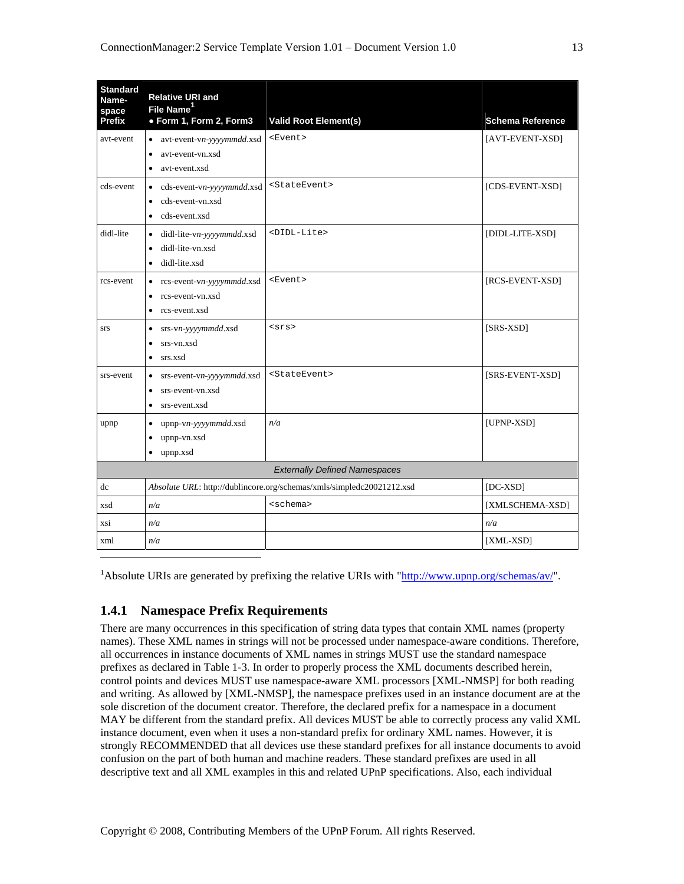| <b>Standard</b><br>Name-<br>space<br><b>Prefix</b> | <b>Relative URI and</b><br>File Name <sup>1</sup><br>• Form 1, Form 2, Form3                          | <b>Valid Root Element(s)</b>                                          | <b>Schema Reference</b> |
|----------------------------------------------------|-------------------------------------------------------------------------------------------------------|-----------------------------------------------------------------------|-------------------------|
| avt-event                                          | avt-event-vn-yyyymmdd.xsd<br>$\bullet$<br>avt-event-vn.xsd<br>$\bullet$<br>avt-event.xsd<br>٠         | <event></event>                                                       | [AVT-EVENT-XSD]         |
| cds-event                                          | cds-event-vn-yyyymmdd.xsd<br>٠<br>cds-event-vn.xsd<br>$\bullet$<br>cds-event.xsd<br>$\bullet$         | <stateevent></stateevent>                                             | [CDS-EVENT-XSD]         |
| didl-lite                                          | didl-lite-vn-yyyymmdd.xsd<br>$\bullet$<br>didl-lite-vn.xsd<br>$\bullet$<br>didl-lite.xsd<br>$\bullet$ | <didl-lite></didl-lite>                                               | [DIDL-LITE-XSD]         |
| rcs-event                                          | rcs-event-vn-yyyymmdd.xsd<br>$\bullet$<br>rcs-event-vn.xsd<br>$\bullet$<br>rcs-event.xsd<br>$\bullet$ | <event></event>                                                       | [RCS-EVENT-XSD]         |
| <b>STS</b>                                         | srs-vn-yyyymmdd.xsd<br>$\bullet$<br>srs-vn.xsd<br>$\bullet$<br>srs.xsd<br>$\bullet$                   | $<$ srs>                                                              | $[SRS-XSD]$             |
| srs-event                                          | srs-event-vn-yyyymmdd.xsd<br>$\bullet$<br>srs-event-vn.xsd<br>$\bullet$<br>srs-event.xsd<br>$\bullet$ | <stateevent></stateevent>                                             | [SRS-EVENT-XSD]         |
| upnp                                               | upnp-vn-yyyymmdd.xsd<br>$\bullet$<br>upnp-vn.xsd<br>$\bullet$<br>upnp.xsd<br>$\bullet$                | n/a                                                                   | [UPNP-XSD]              |
|                                                    |                                                                                                       | <b>Externally Defined Namespaces</b>                                  |                         |
| dc                                                 |                                                                                                       | Absolute URL: http://dublincore.org/schemas/xmls/simpledc20021212.xsd | $[DC-XSD]$              |
| xsd                                                | n/a                                                                                                   | <schema></schema>                                                     | [XMLSCHEMA-XSD]         |
| xsi                                                | n/a                                                                                                   |                                                                       | n/a                     |
| xml                                                | n/a                                                                                                   |                                                                       | [XML-XSD]               |

<sup>1</sup>Absolute URIs are generated by prefixing the relative URIs with " $\frac{http://www.upnp.org/schemes/av/"}.$ 

#### **1.4.1 Namespace Prefix Requirements**

There are many occurrences in this specification of string data types that contain XML names (property names). These XML names in strings will not be processed under namespace-aware conditions. Therefore, all occurrences in instance documents of XML names in strings MUST use the standard namespace prefixes as declared in Table 1-3. In order to properly process the XML documents described herein, control points and devices MUST use namespace-aware XML processors [XML-NMSP] for both reading and writing. As allowed by [XML-NMSP], the namespace prefixes used in an instance document are at the sole discretion of the document creator. Therefore, the declared prefix for a namespace in a document MAY be different from the standard prefix. All devices MUST be able to correctly process any valid XML instance document, even when it uses a non-standard prefix for ordinary XML names. However, it is strongly RECOMMENDED that all devices use these standard prefixes for all instance documents to avoid confusion on the part of both human and machine readers. These standard prefixes are used in all descriptive text and all XML examples in this and related UPnP specifications. Also, each individual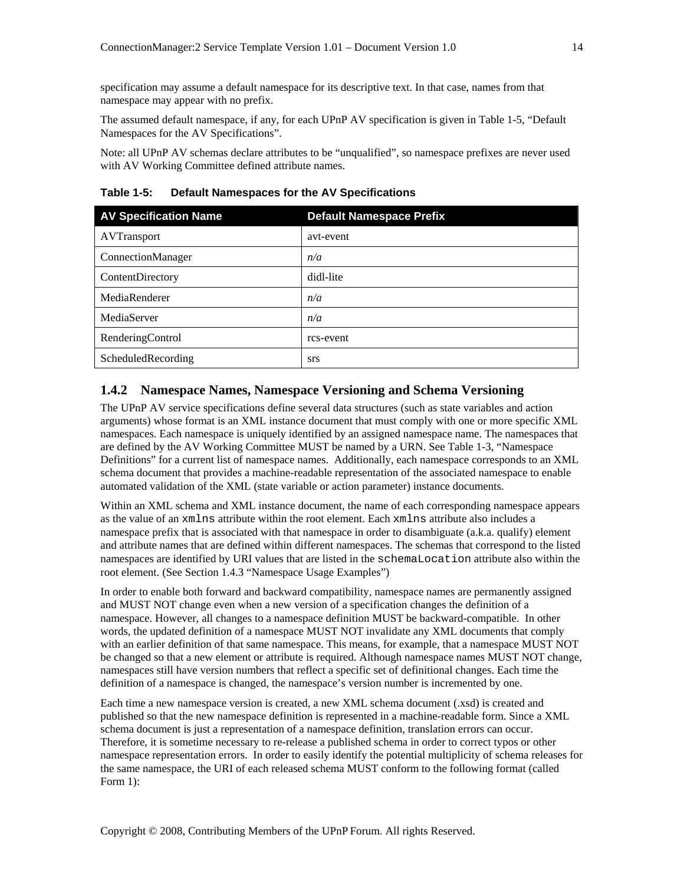specification may assume a default namespace for its descriptive text. In that case, names from that namespace may appear with no prefix.

The assumed default namespace, if any, for each UPnP AV specification is given in Table 1-5, "Default Namespaces for the AV Specifications".

Note: all UPnP AV schemas declare attributes to be "unqualified", so namespace prefixes are never used with AV Working Committee defined attribute names.

**Table 1-5: Default Namespaces for the AV Specifications** 

| <b>AV Specification Name</b> | <b>Default Namespace Prefix</b> |
|------------------------------|---------------------------------|
| <b>AVTransport</b>           | avt-event                       |
| ConnectionManager            | n/a                             |
| ContentDirectory             | didl-lite                       |
| MediaRenderer                | n/a                             |
| MediaServer                  | n/a                             |
| RenderingControl             | rcs-event                       |
| ScheduledRecording           | <b>STS</b>                      |

#### **1.4.2 Namespace Names, Namespace Versioning and Schema Versioning**

The UPnP AV service specifications define several data structures (such as state variables and action arguments) whose format is an XML instance document that must comply with one or more specific XML namespaces. Each namespace is uniquely identified by an assigned namespace name. The namespaces that are defined by the AV Working Committee MUST be named by a URN. See Table 1-3, "Namespace Definitions" for a current list of namespace names. Additionally, each namespace corresponds to an XML schema document that provides a machine-readable representation of the associated namespace to enable automated validation of the XML (state variable or action parameter) instance documents.

Within an XML schema and XML instance document, the name of each corresponding namespace appears as the value of an xmlns attribute within the root element. Each xmlns attribute also includes a namespace prefix that is associated with that namespace in order to disambiguate (a.k.a. qualify) element and attribute names that are defined within different namespaces. The schemas that correspond to the listed namespaces are identified by URI values that are listed in the schemaLocation attribute also within the root element. (See Section 1.4.3 "Namespace Usage Examples")

In order to enable both forward and backward compatibility, namespace names are permanently assigned and MUST NOT change even when a new version of a specification changes the definition of a namespace. However, all changes to a namespace definition MUST be backward-compatible. In other words, the updated definition of a namespace MUST NOT invalidate any XML documents that comply with an earlier definition of that same namespace. This means, for example, that a namespace MUST NOT be changed so that a new element or attribute is required. Although namespace names MUST NOT change, namespaces still have version numbers that reflect a specific set of definitional changes. Each time the definition of a namespace is changed, the namespace's version number is incremented by one.

Each time a new namespace version is created, a new XML schema document (.xsd) is created and published so that the new namespace definition is represented in a machine-readable form. Since a XML schema document is just a representation of a namespace definition, translation errors can occur. Therefore, it is sometime necessary to re-release a published schema in order to correct typos or other namespace representation errors. In order to easily identify the potential multiplicity of schema releases for the same namespace, the URI of each released schema MUST conform to the following format (called Form 1):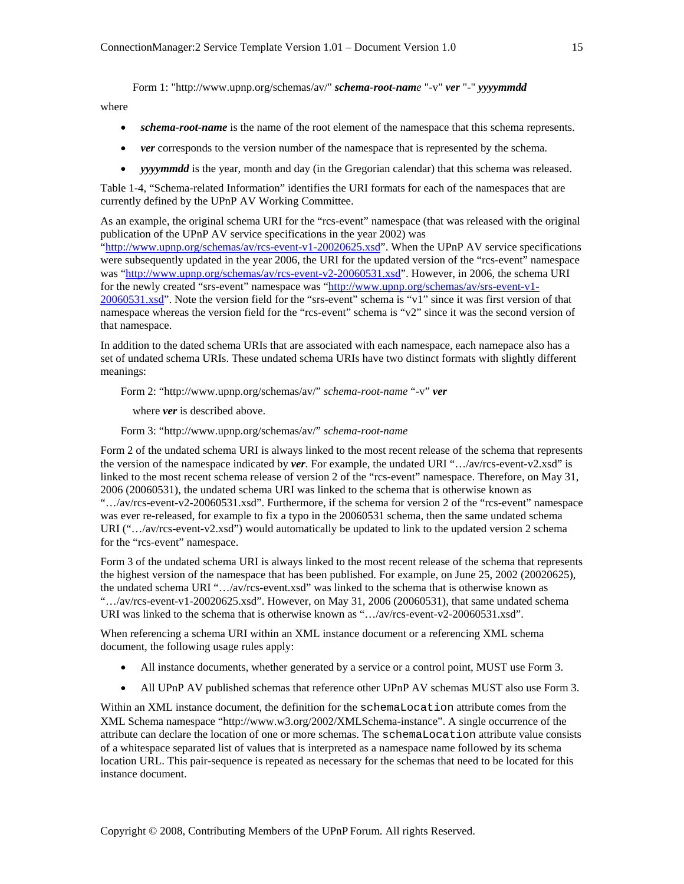Form 1: "http://www.upnp.org/schemas/av/" *schema-root-name* "-v" *ver* "*-*" *yyyymmdd*

where

that namespace.

- *schema-root-name* is the name of the root element of the namespace that this schema represents.
- *ver* corresponds to the version number of the namespace that is represented by the schema.
- *yyyymmdd* is the year, month and day (in the Gregorian calendar) that this schema was released.

Table 1-4, "Schema-related Information" identifies the URI formats for each of the namespaces that are currently defined by the UPnP AV Working Committee.

As an example, the original schema URI for the "rcs-event" namespace (that was released with the original publication of the UPnP AV service specifications in the year 2002) was

"http://www.upnp.org/schemas/av/rcs-event-v1-20020625.xsd". When the UPnP AV service specifications were subsequently updated in the year 2006, the URI for the updated version of the "rcs-event" namespace was "http://www.upnp.org/schemas/av/rcs-event-v2-20060531.xsd". However, in 2006, the schema URI for the newly created "srs-event" namespace was "http://www.upnp.org/schemas/av/srs-event-v1- 20060531.xsd". Note the version field for the "srs-event" schema is "v1" since it was first version of that namespace whereas the version field for the "rcs-event" schema is "v2" since it was the second version of

In addition to the dated schema URIs that are associated with each namespace, each namepace also has a set of undated schema URIs. These undated schema URIs have two distinct formats with slightly different meanings:

Form 2: "http://www.upnp.org/schemas/av/" *schema-root-name* "-v" *ver* 

where *ver* is described above.

Form 3: "http://www.upnp.org/schemas/av/" *schema-root-name*

Form 2 of the undated schema URI is always linked to the most recent release of the schema that represents the version of the namespace indicated by *ver*. For example, the undated URI "…/av/rcs-event-v2.xsd" is linked to the most recent schema release of version 2 of the "rcs-event" namespace. Therefore, on May 31, 2006 (20060531), the undated schema URI was linked to the schema that is otherwise known as "…/av/rcs-event-v2-20060531.xsd". Furthermore, if the schema for version 2 of the "rcs-event" namespace was ever re-released, for example to fix a typo in the 20060531 schema, then the same undated schema URI (".../av/rcs-event-v2.xsd") would automatically be updated to link to the updated version 2 schema for the "rcs-event" namespace.

Form 3 of the undated schema URI is always linked to the most recent release of the schema that represents the highest version of the namespace that has been published. For example, on June 25, 2002 (20020625), the undated schema URI "…/av/rcs-event.xsd" was linked to the schema that is otherwise known as ".../av/rcs-event-v1-20020625.xsd". However, on May 31, 2006 (20060531), that same undated schema URI was linked to the schema that is otherwise known as "…/av/rcs-event-v2-20060531.xsd".

When referencing a schema URI within an XML instance document or a referencing XML schema document, the following usage rules apply:

- All instance documents, whether generated by a service or a control point, MUST use Form 3.
- All UPnP AV published schemas that reference other UPnP AV schemas MUST also use Form 3.

Within an XML instance document, the definition for the schemaLocation attribute comes from the XML Schema namespace "http://www.w3.org/2002/XMLSchema-instance". A single occurrence of the attribute can declare the location of one or more schemas. The schemaLocation attribute value consists of a whitespace separated list of values that is interpreted as a namespace name followed by its schema location URL. This pair-sequence is repeated as necessary for the schemas that need to be located for this instance document.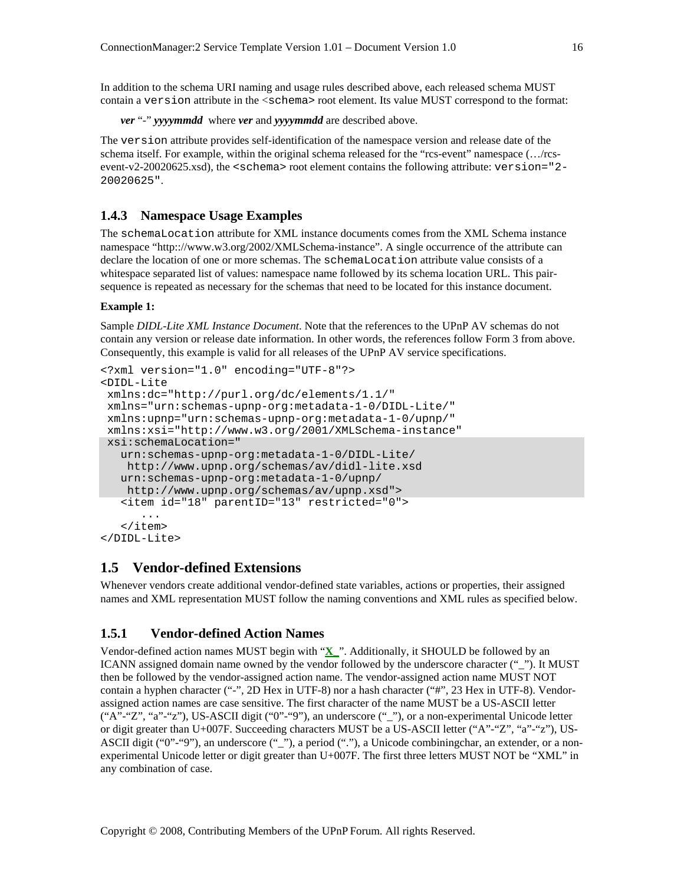In addition to the schema URI naming and usage rules described above, each released schema MUST contain a version attribute in the <schema> root element. Its value MUST correspond to the format:

*ver* "*-*" *yyyymmdd* where *ver* and *yyyymmdd* are described above.

The version attribute provides self-identification of the namespace version and release date of the schema itself. For example, within the original schema released for the "rcs-event" namespace (…/rcsevent-v2-20020625.xsd), the <schema> root element contains the following attribute: version="2- 20020625".

#### **1.4.3 Namespace Usage Examples**

The schemaLocation attribute for XML instance documents comes from the XML Schema instance namespace "http:://www.w3.org/2002/XMLSchema-instance". A single occurrence of the attribute can declare the location of one or more schemas. The schemaLocation attribute value consists of a whitespace separated list of values: namespace name followed by its schema location URL. This pairsequence is repeated as necessary for the schemas that need to be located for this instance document.

#### **Example 1:**

Sample *DIDL-Lite XML Instance Document*. Note that the references to the UPnP AV schemas do not contain any version or release date information. In other words, the references follow Form 3 from above. Consequently, this example is valid for all releases of the UPnP AV service specifications.

```
<?xml version="1.0" encoding="UTF-8"?> 
<DIDL-Lite 
 xmlns:dc="http://purl.org/dc/elements/1.1/" 
 xmlns="urn:schemas-upnp-org:metadata-1-0/DIDL-Lite/" 
 xmlns:upnp="urn:schemas-upnp-org:metadata-1-0/upnp/" 
 xmlns:xsi="http://www.w3.org/2001/XMLSchema-instance" 
 xsi:schemaLocation=" 
    urn:schemas-upnp-org:metadata-1-0/DIDL-Lite/ 
    http://www.upnp.org/schemas/av/didl-lite.xsd 
    urn:schemas-upnp-org:metadata-1-0/upnp/ 
    http://www.upnp.org/schemas/av/upnp.xsd"> 
    <item id="18" parentID="13" restricted="0"> 
 ... 
    </item> 
</DIDL-Lite>
```
## **1.5 Vendor-defined Extensions**

Whenever vendors create additional vendor-defined state variables, actions or properties, their assigned names and XML representation MUST follow the naming conventions and XML rules as specified below.

#### **1.5.1 Vendor-defined Action Names**

Vendor-defined action names MUST begin with "**X\_**". Additionally, it SHOULD be followed by an ICANN assigned domain name owned by the vendor followed by the underscore character (""). It MUST then be followed by the vendor-assigned action name. The vendor-assigned action name MUST NOT contain a hyphen character ("-", 2D Hex in UTF-8) nor a hash character ("#", 23 Hex in UTF-8). Vendorassigned action names are case sensitive. The first character of the name MUST be a US-ASCII letter ("A"-"Z", "a"-"z"), US-ASCII digit ("0"-"9"), an underscore ("\_"), or a non-experimental Unicode letter or digit greater than U+007F. Succeeding characters MUST be a US-ASCII letter ("A"-"Z", "a"-"z"), US-ASCII digit ("0"-"9"), an underscore ("\_"), a period ("."), a Unicode combiningchar, an extender, or a nonexperimental Unicode letter or digit greater than U+007F. The first three letters MUST NOT be "XML" in any combination of case.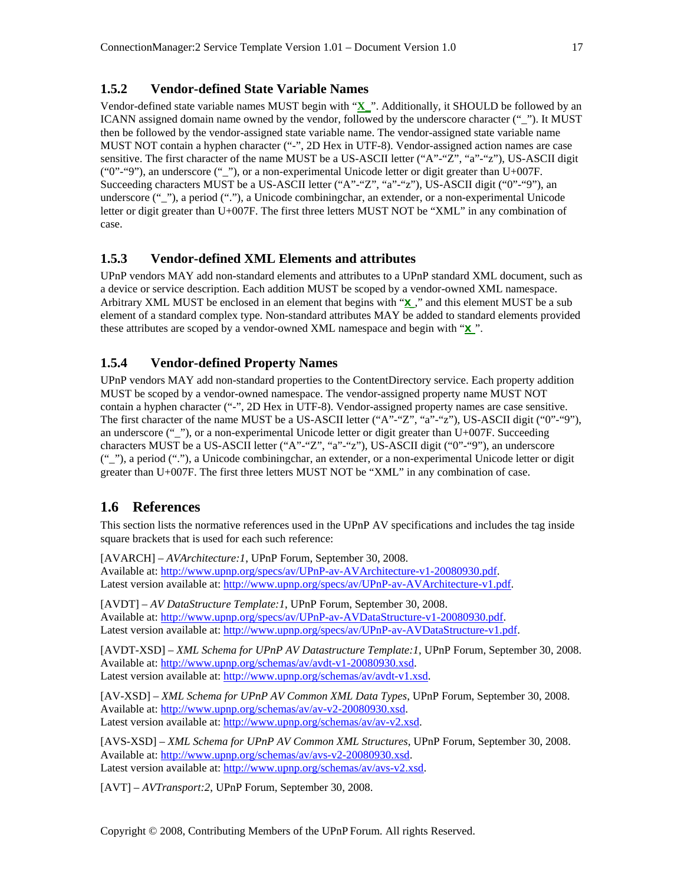## **1.5.2 Vendor-defined State Variable Names**

Vendor-defined state variable names MUST begin with "**X\_**". Additionally, it SHOULD be followed by an ICANN assigned domain name owned by the vendor, followed by the underscore character (""). It MUST then be followed by the vendor-assigned state variable name. The vendor-assigned state variable name MUST NOT contain a hyphen character ("-", 2D Hex in UTF-8). Vendor-assigned action names are case sensitive. The first character of the name MUST be a US-ASCII letter ("A"-"Z", "a"-"z"), US-ASCII digit ("0"-"9"), an underscore ("\_"), or a non-experimental Unicode letter or digit greater than U+007F. Succeeding characters MUST be a US-ASCII letter ("A"-"Z", "a"-"z"), US-ASCII digit ("0"-"9"), an underscore ("\_"), a period ("."), a Unicode combiningchar, an extender, or a non-experimental Unicode letter or digit greater than U+007F. The first three letters MUST NOT be "XML" in any combination of case.

#### **1.5.3 Vendor-defined XML Elements and attributes**

UPnP vendors MAY add non-standard elements and attributes to a UPnP standard XML document, such as a device or service description. Each addition MUST be scoped by a vendor-owned XML namespace. Arbitrary XML MUST be enclosed in an element that begins with "**X\_**," and this element MUST be a sub element of a standard complex type. Non-standard attributes MAY be added to standard elements provided these attributes are scoped by a vendor-owned XML namespace and begin with "**X\_**".

# **1.5.4 Vendor-defined Property Names**

UPnP vendors MAY add non-standard properties to the ContentDirectory service. Each property addition MUST be scoped by a vendor-owned namespace. The vendor-assigned property name MUST NOT contain a hyphen character ("-", 2D Hex in UTF-8). Vendor-assigned property names are case sensitive. The first character of the name MUST be a US-ASCII letter ("A"-"Z", "a"-"z"), US-ASCII digit ("0"-"9"), an underscore (" $"$ ), or a non-experimental Unicode letter or digit greater than U+007F. Succeeding characters MUST be a US-ASCII letter ("A"-"Z", "a"-"z"), US-ASCII digit ("0"-"9"), an underscore ("\_"), a period ("."), a Unicode combiningchar, an extender, or a non-experimental Unicode letter or digit greater than U+007F. The first three letters MUST NOT be "XML" in any combination of case.

# **1.6 References**

This section lists the normative references used in the UPnP AV specifications and includes the tag inside square brackets that is used for each such reference:

[AVARCH] – *AVArchitecture:1*, UPnP Forum, September 30, 2008. Available at: http://www.upnp.org/specs/av/UPnP-av-AVArchitecture-v1-20080930.pdf. Latest version available at: http://www.upnp.org/specs/av/UPnP-av-AVArchitecture-v1.pdf.

[AVDT] – *AV DataStructure Template:1*, UPnP Forum, September 30, 2008. Available at: http://www.upnp.org/specs/av/UPnP-av-AVDataStructure-v1-20080930.pdf. Latest version available at: http://www.upnp.org/specs/av/UPnP-av-AVDataStructure-v1.pdf.

[AVDT-XSD] – *XML Schema for UPnP AV Datastructure Template:1*, UPnP Forum, September 30, 2008. Available at: http://www.upnp.org/schemas/av/avdt-v1-20080930.xsd. Latest version available at: http://www.upnp.org/schemas/av/avdt-v1.xsd.

[AV-XSD] – *XML Schema for UPnP AV Common XML Data Types*, UPnP Forum, September 30, 2008. Available at: http://www.upnp.org/schemas/av/av-v2-20080930.xsd. Latest version available at: http://www.upnp.org/schemas/av/av-v2.xsd.

[AVS-XSD] – *XML Schema for UPnP AV Common XML Structures*, UPnP Forum, September 30, 2008. Available at: http://www.upnp.org/schemas/av/avs-v2-20080930.xsd. Latest version available at: http://www.upnp.org/schemas/av/avs-v2.xsd.

[AVT] – *AVTransport:2*, UPnP Forum, September 30, 2008.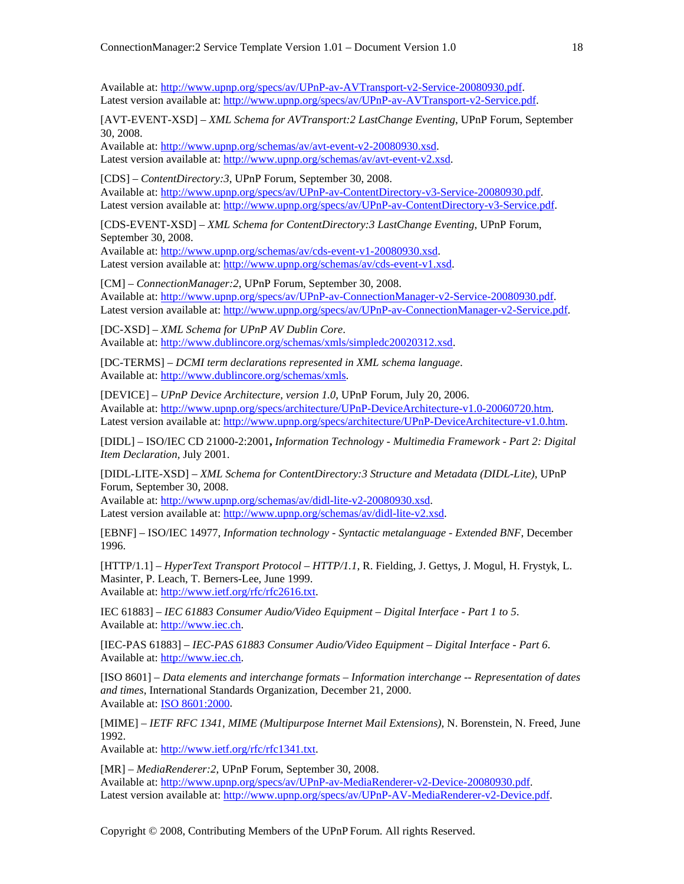Available at: http://www.upnp.org/specs/av/UPnP-av-AVTransport-v2-Service-20080930.pdf. Latest version available at: http://www.upnp.org/specs/av/UPnP-av-AVTransport-v2-Service.pdf.

[AVT-EVENT-XSD] – *XML Schema for AVTransport:2 LastChange Eventing*, UPnP Forum, September 30, 2008.

Available at: http://www.upnp.org/schemas/av/avt-event-v2-20080930.xsd. Latest version available at: http://www.upnp.org/schemas/av/avt-event-v2.xsd.

[CDS] – *ContentDirectory:3*, UPnP Forum, September 30, 2008. Available at: http://www.upnp.org/specs/av/UPnP-av-ContentDirectory-v3-Service-20080930.pdf. Latest version available at: http://www.upnp.org/specs/av/UPnP-av-ContentDirectory-v3-Service.pdf.

[CDS-EVENT-XSD] – *XML Schema for ContentDirectory:3 LastChange Eventing*, UPnP Forum, September 30, 2008.

Available at: http://www.upnp.org/schemas/av/cds-event-v1-20080930.xsd. Latest version available at: http://www.upnp.org/schemas/av/cds-event-v1.xsd.

[CM] – *ConnectionManager:2*, UPnP Forum, September 30, 2008. Available at: http://www.upnp.org/specs/av/UPnP-av-ConnectionManager-v2-Service-20080930.pdf. Latest version available at: http://www.upnp.org/specs/av/UPnP-av-ConnectionManager-v2-Service.pdf.

[DC-XSD] – *XML Schema for UPnP AV Dublin Core*. Available at: http://www.dublincore.org/schemas/xmls/simpledc20020312.xsd.

[DC-TERMS] – *DCMI term declarations represented in XML schema language*. Available at: http://www.dublincore.org/schemas/xmls.

[DEVICE] – *UPnP Device Architecture, version 1.0*, UPnP Forum, July 20, 2006. Available at: http://www.upnp.org/specs/architecture/UPnP-DeviceArchitecture-v1.0-20060720.htm. Latest version available at: http://www.upnp.org/specs/architecture/UPnP-DeviceArchitecture-v1.0.htm.

[DIDL] – ISO/IEC CD 21000-2:2001**,** *Information Technology - Multimedia Framework - Part 2: Digital Item Declaration,* July 2001.

[DIDL-LITE-XSD] – *XML Schema for ContentDirectory:3 Structure and Metadata (DIDL-Lite)*, UPnP Forum, September 30, 2008.

Available at: http://www.upnp.org/schemas/av/didl-lite-v2-20080930.xsd. Latest version available at: http://www.upnp.org/schemas/av/didl-lite-v2.xsd.

[EBNF] – ISO/IEC 14977, *Information technology - Syntactic metalanguage - Extended BNF*, December 1996.

[HTTP/1.1] – *HyperText Transport Protocol – HTTP/1.1*, R. Fielding, J. Gettys, J. Mogul, H. Frystyk, L. Masinter, P. Leach, T. Berners-Lee, June 1999. Available at: http://www.ietf.org/rfc/rfc2616.txt.

IEC 61883] – *IEC 61883 Consumer Audio/Video Equipment – Digital Interface - Part 1 to 5*. Available at: http://www.iec.ch.

[IEC-PAS 61883] – *IEC-PAS 61883 Consumer Audio/Video Equipment – Digital Interface - Part 6*. Available at: http://www.iec.ch.

[ISO 8601] – *Data elements and interchange formats – Information interchange -- Representation of dates and times*, International Standards Organization, December 21, 2000. Available at: ISO 8601:2000.

[MIME] – *IETF RFC 1341, MIME (Multipurpose Internet Mail Extensions)*, N. Borenstein, N. Freed, June 1992.

Available at: http://www.ietf.org/rfc/rfc1341.txt.

[MR] – *MediaRenderer:2*, UPnP Forum, September 30, 2008. Available at: http://www.upnp.org/specs/av/UPnP-av-MediaRenderer-v2-Device-20080930.pdf. Latest version available at: http://www.upnp.org/specs/av/UPnP-AV-MediaRenderer-v2-Device.pdf.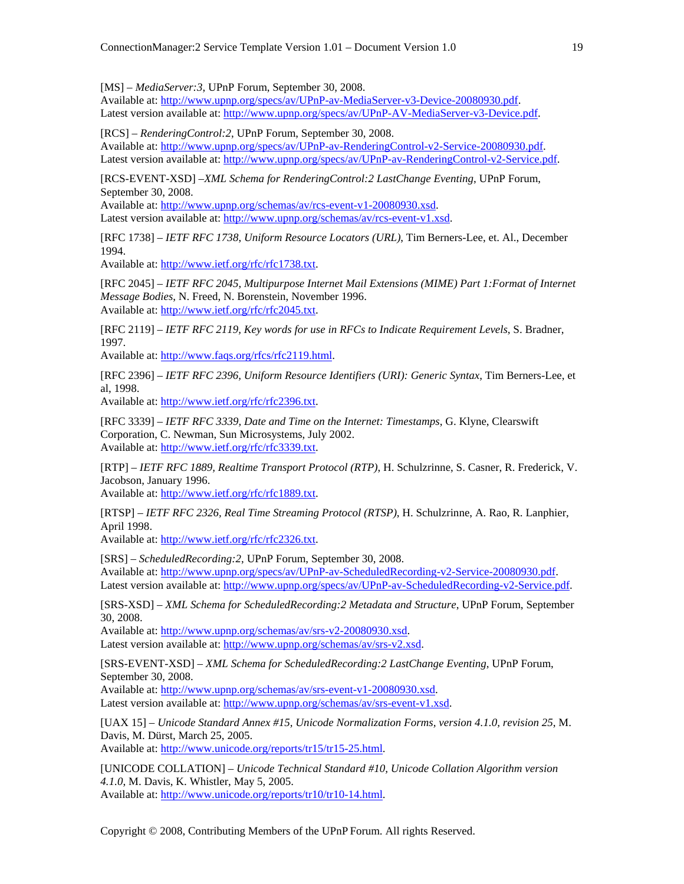[MS] – *MediaServer:3*, UPnP Forum, September 30, 2008.

Available at: http://www.upnp.org/specs/av/UPnP-av-MediaServer-v3-Device-20080930.pdf. Latest version available at: http://www.upnp.org/specs/av/UPnP-AV-MediaServer-v3-Device.pdf.

[RCS] – *RenderingControl:2*, UPnP Forum, September 30, 2008.

Available at: http://www.upnp.org/specs/av/UPnP-av-RenderingControl-v2-Service-20080930.pdf. Latest version available at: http://www.upnp.org/specs/av/UPnP-av-RenderingControl-v2-Service.pdf.

[RCS-EVENT-XSD] –*XML Schema for RenderingControl:2 LastChange Eventing*, UPnP Forum, September 30, 2008.

Available at: http://www.upnp.org/schemas/av/rcs-event-v1-20080930.xsd. Latest version available at: http://www.upnp.org/schemas/av/rcs-event-v1.xsd.

[RFC 1738] – *IETF RFC 1738*, *Uniform Resource Locators (URL)*, Tim Berners-Lee, et. Al., December 1994.

Available at: http://www.ietf.org/rfc/rfc1738.txt.

[RFC 2045] – *IETF RFC 2045*, *Multipurpose Internet Mail Extensions (MIME) Part 1:Format of Internet Message Bodies*, N. Freed, N. Borenstein, November 1996. Available at: http://www.ietf.org/rfc/rfc2045.txt.

[RFC 2119] – *IETF RFC 2119, Key words for use in RFCs to Indicate Requirement Levels*, S. Bradner, 1997.

Available at: http://www.faqs.org/rfcs/rfc2119.html.

[RFC 2396] – *IETF RFC 2396, Uniform Resource Identifiers (URI): Generic Syntax*, Tim Berners-Lee, et al, 1998.

Available at: http://www.ietf.org/rfc/rfc2396.txt.

[RFC 3339] – *IETF RFC 3339, Date and Time on the Internet: Timestamps*, G. Klyne, Clearswift Corporation, C. Newman, Sun Microsystems, July 2002. Available at: http://www.ietf.org/rfc/rfc3339.txt.

[RTP] – *IETF RFC 1889, Realtime Transport Protocol (RTP)*, H. Schulzrinne, S. Casner, R. Frederick, V. Jacobson, January 1996.

Available at: http://www.ietf.org/rfc/rfc1889.txt.

[RTSP] – *IETF RFC 2326, Real Time Streaming Protocol (RTSP)*, H. Schulzrinne, A. Rao, R. Lanphier, April 1998.

Available at: http://www.ietf.org/rfc/rfc2326.txt.

[SRS] – *ScheduledRecording:2*, UPnP Forum, September 30, 2008.

Available at: http://www.upnp.org/specs/av/UPnP-av-ScheduledRecording-v2-Service-20080930.pdf. Latest version available at: http://www.upnp.org/specs/av/UPnP-av-ScheduledRecording-v2-Service.pdf.

[SRS-XSD] – *XML Schema for ScheduledRecording:2 Metadata and Structure*, UPnP Forum, September 30, 2008.

Available at: http://www.upnp.org/schemas/av/srs-v2-20080930.xsd. Latest version available at: http://www.upnp.org/schemas/av/srs-v2.xsd.

[SRS-EVENT-XSD] – *XML Schema for ScheduledRecording:2 LastChange Eventing*, UPnP Forum, September 30, 2008.

Available at: http://www.upnp.org/schemas/av/srs-event-v1-20080930.xsd. Latest version available at: http://www.upnp.org/schemas/av/srs-event-v1.xsd.

[UAX 15] – *Unicode Standard Annex #15, Unicode Normalization Forms, version 4.1.0, revision 25*, M. Davis, M. Dürst, March 25, 2005. Available at: http://www.unicode.org/reports/tr15/tr15-25.html.

[UNICODE COLLATION] – *Unicode Technical Standard #10, Unicode Collation Algorithm version 4.1.0*, M. Davis, K. Whistler, May 5, 2005. Available at: http://www.unicode.org/reports/tr10/tr10-14.html.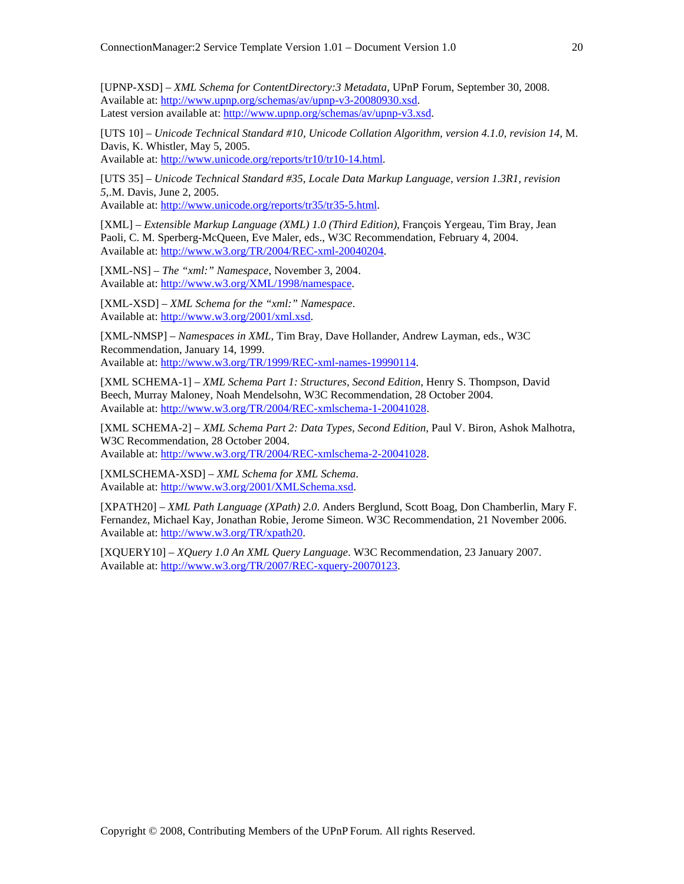[UPNP-XSD] – *XML Schema for ContentDirectory:3 Metadata*, UPnP Forum, September 30, 2008. Available at: http://www.upnp.org/schemas/av/upnp-v3-20080930.xsd. Latest version available at: http://www.upnp.org/schemas/av/upnp-v3.xsd.

[UTS 10] – *Unicode Technical Standard #10, Unicode Collation Algorithm, version 4.1.0, revision 14*, M. Davis, K. Whistler, May 5, 2005.

Available at: http://www.unicode.org/reports/tr10/tr10-14.html.

[UTS 35] – *Unicode Technical Standard #35, Locale Data Markup Language, version 1.3R1, revision 5*,.M. Davis, June 2, 2005.

Available at: http://www.unicode.org/reports/tr35/tr35-5.html.

[XML] – *Extensible Markup Language (XML) 1.0 (Third Edition)*, François Yergeau, Tim Bray, Jean Paoli, C. M. Sperberg-McQueen, Eve Maler, eds., W3C Recommendation, February 4, 2004. Available at: http://www.w3.org/TR/2004/REC-xml-20040204.

[XML-NS] – *The "xml:" Namespace*, November 3, 2004. Available at: http://www.w3.org/XML/1998/namespace.

[XML-XSD] – *XML Schema for the "xml:" Namespace*. Available at: http://www.w3.org/2001/xml.xsd.

[XML-NMSP] – *Namespaces in XML*, Tim Bray, Dave Hollander, Andrew Layman, eds., W3C Recommendation, January 14, 1999. Available at: http://www.w3.org/TR/1999/REC-xml-names-19990114.

[XML SCHEMA-1] – *XML Schema Part 1: Structures, Second Edition*, Henry S. Thompson, David Beech, Murray Maloney, Noah Mendelsohn, W3C Recommendation, 28 October 2004. Available at: http://www.w3.org/TR/2004/REC-xmlschema-1-20041028.

[XML SCHEMA-2] – *XML Schema Part 2: Data Types, Second Edition*, Paul V. Biron, Ashok Malhotra, W3C Recommendation, 28 October 2004. Available at: http://www.w3.org/TR/2004/REC-xmlschema-2-20041028.

[XMLSCHEMA-XSD] – *XML Schema for XML Schema*. Available at: http://www.w3.org/2001/XMLSchema.xsd.

[XPATH20] – *XML Path Language (XPath) 2.0*. Anders Berglund, Scott Boag, Don Chamberlin, Mary F. Fernandez, Michael Kay, Jonathan Robie, Jerome Simeon. W3C Recommendation, 21 November 2006. Available at: http://www.w3.org/TR/xpath20.

[XQUERY10] – *XQuery 1.0 An XML Query Language*. W3C Recommendation, 23 January 2007. Available at: http://www.w3.org/TR/2007/REC-xquery-20070123.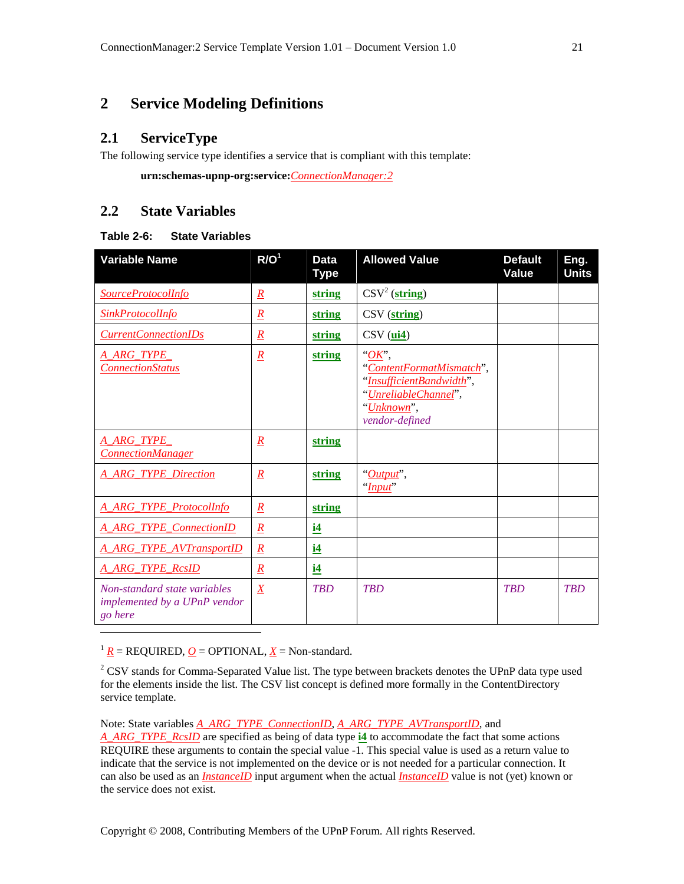# **2 Service Modeling Definitions**

# **2.1 ServiceType**

The following service type identifies a service that is compliant with this template:

 **urn:schemas-upnp-org:service:***ConnectionManager:2*

# **2.2 State Variables**

#### **Table 2-6: State Variables**

| <b>Variable Name</b>                                                    | R/O <sup>1</sup> | <b>Data</b><br><b>Type</b> | <b>Allowed Value</b>                                                                                                           | <b>Default</b><br><b>Value</b> | Eng.<br><b>Units</b> |
|-------------------------------------------------------------------------|------------------|----------------------------|--------------------------------------------------------------------------------------------------------------------------------|--------------------------------|----------------------|
| SourceProtocolInfo                                                      | $\underline{R}$  | string                     | $\text{CSV}^2 \left( \text{string} \right)$                                                                                    |                                |                      |
| <b>SinkProtocolInfo</b>                                                 | $\mathbf{R}$     | string                     | $\text{CSV}(\text{string})$                                                                                                    |                                |                      |
| <b>CurrentConnectionIDs</b>                                             | $\overline{R}$   | string                     | $CSV$ ( $ui4$ )                                                                                                                |                                |                      |
| A ARG TYPE<br><b>ConnectionStatus</b>                                   | $\overline{R}$   | string                     | $\partial K$ ,<br>"ContentFormatMismatch",<br>"InsufficientBandwidth",<br>"UnreliableChannel",<br>"Unknown",<br>vendor-defined |                                |                      |
| A_ARG_TYPE_<br><b>ConnectionManager</b>                                 | $\boldsymbol{R}$ | string                     |                                                                                                                                |                                |                      |
| <b>A ARG TYPE Direction</b>                                             | $\overline{R}$   | string                     | " <i>Output</i> ",<br>"Input"                                                                                                  |                                |                      |
| <b>A ARG TYPE Protocollnfo</b>                                          | $\underline{R}$  | string                     |                                                                                                                                |                                |                      |
| <b>A_ARG_TYPE_ConnectionID</b>                                          | $\underline{R}$  | i4                         |                                                                                                                                |                                |                      |
| <b>A ARG TYPE AVTransportID</b>                                         | $\mathbf{R}$     | <u>i4</u>                  |                                                                                                                                |                                |                      |
| <b>A ARG TYPE RcsID</b>                                                 | $\underline{R}$  | i4                         |                                                                                                                                |                                |                      |
| Non-standard state variables<br>implemented by a UPnP vendor<br>go here | $\boldsymbol{X}$ | <b>TBD</b>                 | <b>TRD</b>                                                                                                                     | <b>TRD</b>                     | <b>TRD</b>           |
|                                                                         |                  |                            |                                                                                                                                |                                |                      |

 $1 R$  = REQUIRED, *O* = OPTIONAL, *X* = Non-standard.

 $2^2$  CSV stands for Comma-Separated Value list. The type between brackets denotes the UPnP data type used for the elements inside the list. The CSV list concept is defined more formally in the ContentDirectory service template.

Note: State variables *A\_ARG\_TYPE\_ConnectionID*, *A\_ARG\_TYPE\_AVTransportID*, and

*A\_ARG\_TYPE\_RcsID* are specified as being of data type **i4** to accommodate the fact that some actions REQUIRE these arguments to contain the special value -1. This special value is used as a return value to indicate that the service is not implemented on the device or is not needed for a particular connection. It can also be used as an *InstanceID* input argument when the actual *InstanceID* value is not (yet) known or the service does not exist.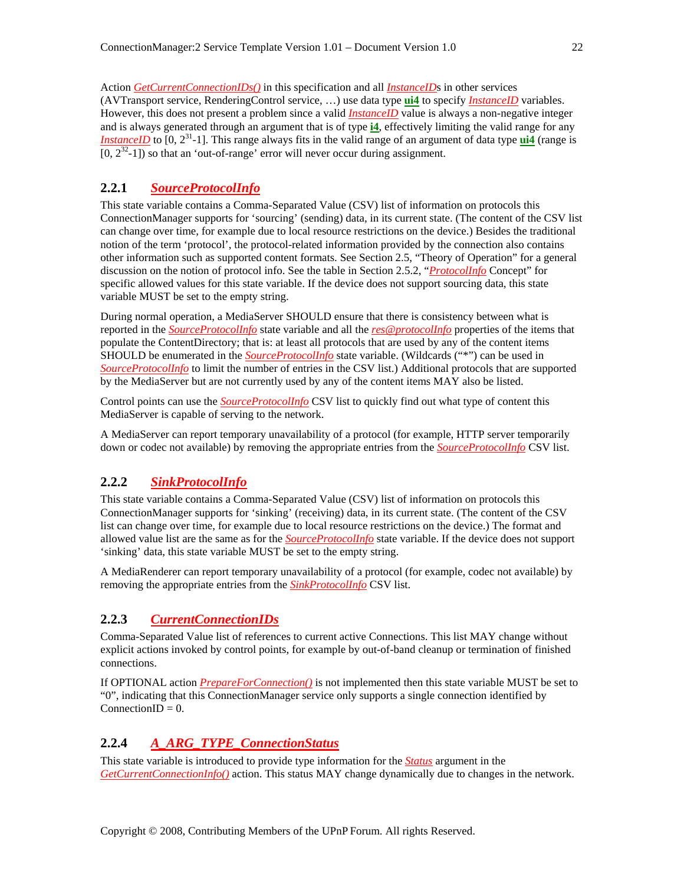Action *GetCurrentConnectionIDs()* in this specification and all *InstanceID*s in other services (AVTransport service, RenderingControl service, …) use data type **ui4** to specify *InstanceID* variables. However, this does not present a problem since a valid *InstanceID* value is always a non-negative integer and is always generated through an argument that is of type **i4**, effectively limiting the valid range for any *InstanceID* to [0, 2<sup>31</sup>-1]. This range always fits in the valid range of an argument of data type **ui4** (range is  $[0, 2<sup>32</sup>-1]$ ) so that an 'out-of-range' error will never occur during assignment.

#### **2.2.1** *SourceProtocolInfo*

This state variable contains a Comma-Separated Value (CSV) list of information on protocols this ConnectionManager supports for 'sourcing' (sending) data, in its current state. (The content of the CSV list can change over time, for example due to local resource restrictions on the device.) Besides the traditional notion of the term 'protocol', the protocol-related information provided by the connection also contains other information such as supported content formats. See Section 2.5, "Theory of Operation" for a general discussion on the notion of protocol info. See the table in Section 2.5.2, "*ProtocolInfo* Concept" for specific allowed values for this state variable. If the device does not support sourcing data, this state variable MUST be set to the empty string.

During normal operation, a MediaServer SHOULD ensure that there is consistency between what is reported in the *SourceProtocolInfo* state variable and all the *res@protocolInfo* properties of the items that populate the ContentDirectory; that is: at least all protocols that are used by any of the content items SHOULD be enumerated in the *SourceProtocolInfo* state variable. (Wildcards ("\*") can be used in *SourceProtocolInfo* to limit the number of entries in the CSV list.) Additional protocols that are supported by the MediaServer but are not currently used by any of the content items MAY also be listed.

Control points can use the *SourceProtocolInfo* CSV list to quickly find out what type of content this MediaServer is capable of serving to the network.

A MediaServer can report temporary unavailability of a protocol (for example, HTTP server temporarily down or codec not available) by removing the appropriate entries from the *SourceProtocolInfo* CSV list.

## **2.2.2** *SinkProtocolInfo*

This state variable contains a Comma-Separated Value (CSV) list of information on protocols this ConnectionManager supports for 'sinking' (receiving) data, in its current state. (The content of the CSV list can change over time, for example due to local resource restrictions on the device.) The format and allowed value list are the same as for the *SourceProtocolInfo* state variable. If the device does not support 'sinking' data, this state variable MUST be set to the empty string.

A MediaRenderer can report temporary unavailability of a protocol (for example, codec not available) by removing the appropriate entries from the *SinkProtocolInfo* CSV list.

## **2.2.3** *CurrentConnectionIDs*

Comma-Separated Value list of references to current active Connections. This list MAY change without explicit actions invoked by control points, for example by out-of-band cleanup or termination of finished connections.

If OPTIONAL action *PrepareForConnection()* is not implemented then this state variable MUST be set to "0", indicating that this ConnectionManager service only supports a single connection identified by ConnectionID =  $0$ .

# **2.2.4** *A\_ARG\_TYPE\_ConnectionStatus*

This state variable is introduced to provide type information for the *Status* argument in the *GetCurrentConnectionInfo()* action. This status MAY change dynamically due to changes in the network.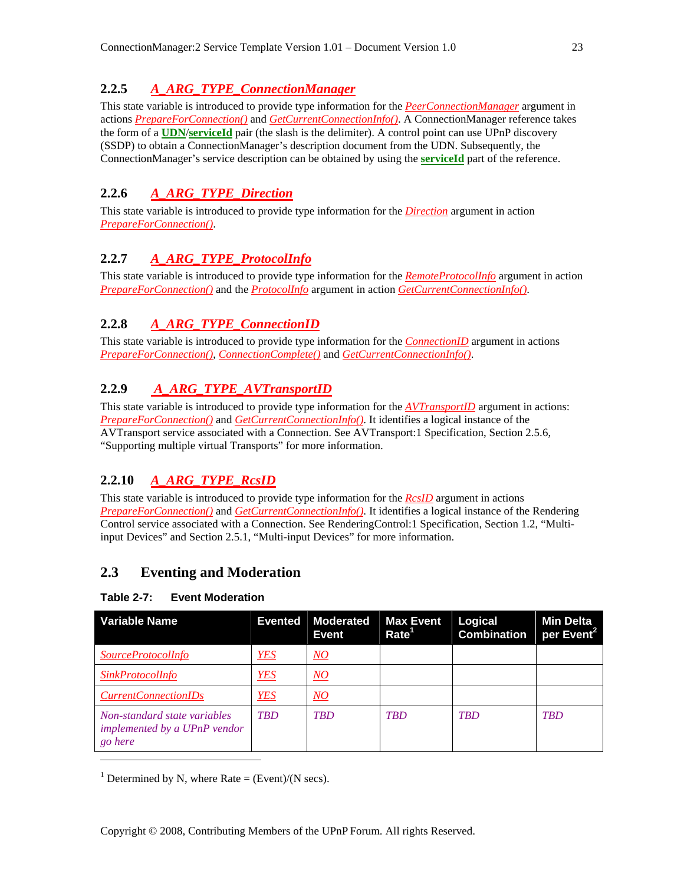# **2.2.5** *A\_ARG\_TYPE\_ConnectionManager*

This state variable is introduced to provide type information for the *PeerConnectionManager* argument in actions *PrepareForConnection()* and *GetCurrentConnectionInfo()*. A ConnectionManager reference takes the form of a **UDN**/**serviceId** pair (the slash is the delimiter). A control point can use UPnP discovery (SSDP) to obtain a ConnectionManager's description document from the UDN. Subsequently, the ConnectionManager's service description can be obtained by using the **serviceId** part of the reference.

# **2.2.6** *A\_ARG\_TYPE\_Direction*

This state variable is introduced to provide type information for the *Direction* argument in action *PrepareForConnection()*.

# **2.2.7** *A\_ARG\_TYPE\_ProtocolInfo*

This state variable is introduced to provide type information for the *RemoteProtocolInfo* argument in action *PrepareForConnection()* and the *ProtocolInfo* argument in action *GetCurrentConnectionInfo()*.

# **2.2.8** *A\_ARG\_TYPE\_ConnectionID*

This state variable is introduced to provide type information for the *ConnectionID* argument in actions *PrepareForConnection()*, *ConnectionComplete()* and *GetCurrentConnectionInfo()*.

# **2.2.9** *A\_ARG\_TYPE\_AVTransportID*

This state variable is introduced to provide type information for the *AVTransportID* argument in actions: *PrepareForConnection()* and *GetCurrentConnectionInfo()*. It identifies a logical instance of the AVTransport service associated with a Connection. See AVTransport:1 Specification, Section 2.5.6, "Supporting multiple virtual Transports" for more information.

# **2.2.10** *A\_ARG\_TYPE\_RcsID*

This state variable is introduced to provide type information for the *RcsID* argument in actions *PrepareForConnection()* and *GetCurrentConnectionInfo()*. It identifies a logical instance of the Rendering Control service associated with a Connection. See RenderingControl:1 Specification, Section 1.2, "Multiinput Devices" and Section 2.5.1, "Multi-input Devices" for more information.

# **2.3 Eventing and Moderation**

# **Table 2-7: Event Moderation**

 $\overline{\phantom{a}}$ 

| <b>Variable Name</b>                                                    |            | Evented Moderated<br>Event | <b>Max Event</b><br>Rate <sup>1</sup> | Logical<br><b>Combination</b> | <b>Min Delta</b><br>per Event <sup>21</sup> |
|-------------------------------------------------------------------------|------------|----------------------------|---------------------------------------|-------------------------------|---------------------------------------------|
| <i>SourceProtocolInfo</i>                                               | <b>YES</b> | $\underline{NO}$           |                                       |                               |                                             |
| <i>SinkProtocolInfo</i>                                                 | <b>YES</b> | $\underline{NO}$           |                                       |                               |                                             |
| <i>CurrentConnectionIDs</i>                                             | <b>YES</b> | $\overline{NO}$            |                                       |                               |                                             |
| Non-standard state variables<br>implemented by a UPnP vendor<br>go here | <b>TBD</b> | <b>TBD</b>                 | <b>TBD</b>                            | <b>TBD</b>                    | <b>TBD</b>                                  |

<sup>1</sup> Determined by N, where Rate = (Event)/(N secs).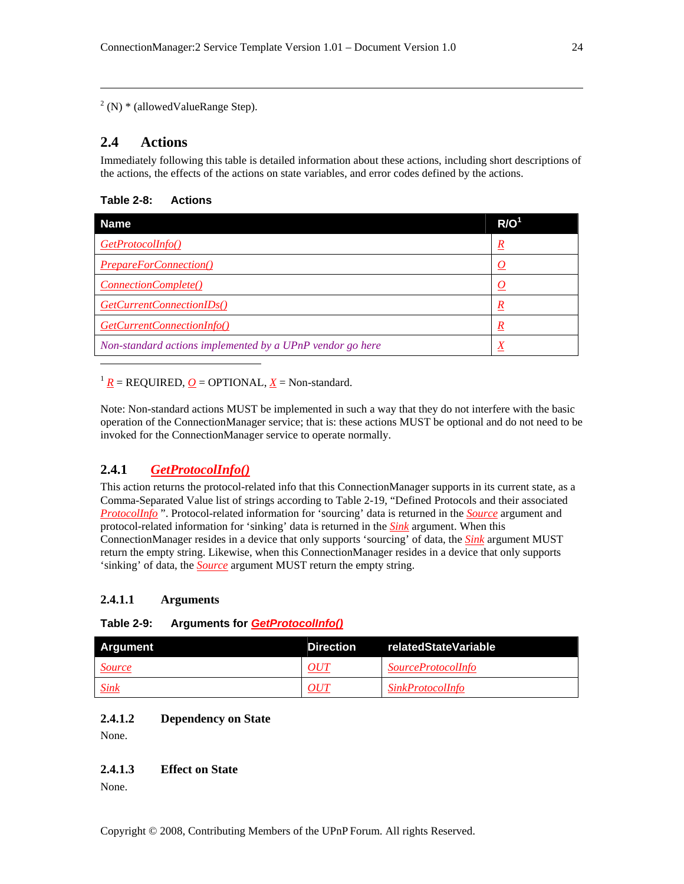$2^2$  (N)  $*$  (allowed Value Range Step).

# **2.4 Actions**

 $\overline{\phantom{a}}$ 

 $\overline{\phantom{a}}$ 

Immediately following this table is detailed information about these actions, including short descriptions of the actions, the effects of the actions on state variables, and error codes defined by the actions.

#### **Table 2-8: Actions**

| Name                                                      | R/O <sup>1</sup> |
|-----------------------------------------------------------|------------------|
| GetProtocolInfo()                                         | $\underline{R}$  |
| <b>PrepareForConnection()</b>                             | O                |
| <i>ConnectionComplete()</i>                               |                  |
| GetCurrentConnectionIDs()                                 | $\underline{R}$  |
| GetCurrentConnectionInfo()                                | $\boldsymbol{R}$ |
| Non-standard actions implemented by a UPnP vendor go here | Χ                |

 $1 R$  = REQUIRED, *O* = OPTIONAL, *X* = Non-standard.

Note: Non-standard actions MUST be implemented in such a way that they do not interfere with the basic operation of the ConnectionManager service; that is: these actions MUST be optional and do not need to be invoked for the ConnectionManager service to operate normally.

# **2.4.1** *GetProtocolInfo()*

This action returns the protocol-related info that this ConnectionManager supports in its current state, as a Comma-Separated Value list of strings according to Table 2-19, "Defined Protocols and their associated *ProtocolInfo* ". Protocol-related information for 'sourcing' data is returned in the *Source* argument and protocol-related information for 'sinking' data is returned in the *Sink* argument. When this ConnectionManager resides in a device that only supports 'sourcing' of data, the *Sink* argument MUST return the empty string. Likewise, when this ConnectionManager resides in a device that only supports 'sinking' of data, the *Source* argument MUST return the empty string.

#### **2.4.1.1 Arguments**

#### **Table 2-9: Arguments for** *GetProtocolInfo()*

| <b>Argument</b> | Direction | relatedStateVariable      |
|-----------------|-----------|---------------------------|
| <b>Source</b>   | OUT       | <i>SourceProtocolInfo</i> |
| <u>Sink</u>     | OUT       | <i>SinkProtocolInfo</i>   |

#### **2.4.1.2 Dependency on State**

None.

#### **2.4.1.3 Effect on State**

None.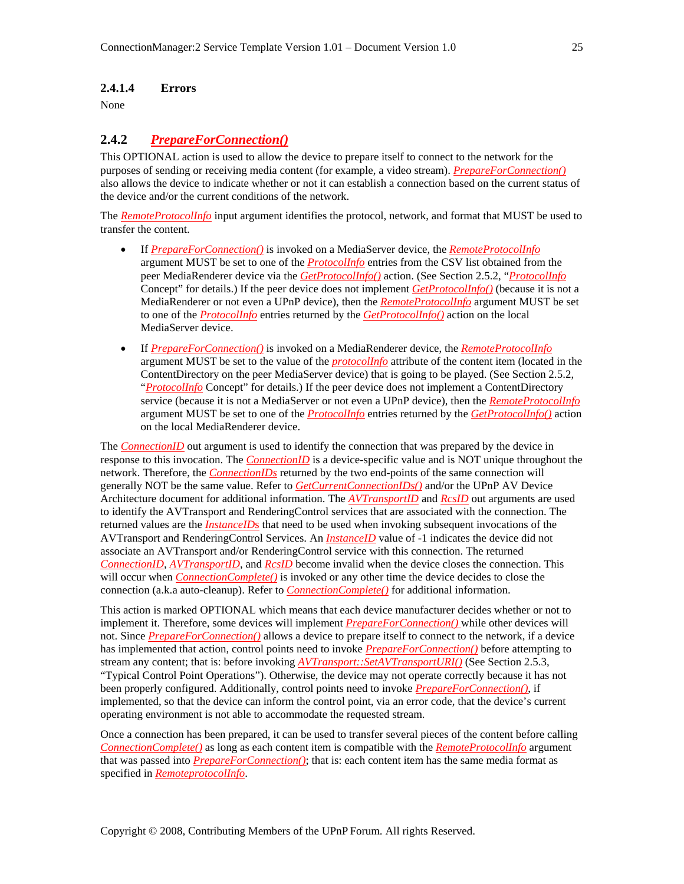#### **2.4.1.4 Errors**

None

## **2.4.2** *PrepareForConnection()*

This OPTIONAL action is used to allow the device to prepare itself to connect to the network for the purposes of sending or receiving media content (for example, a video stream). *PrepareForConnection()* also allows the device to indicate whether or not it can establish a connection based on the current status of the device and/or the current conditions of the network.

The *RemoteProtocolInfo* input argument identifies the protocol, network, and format that MUST be used to transfer the content.

- If *PrepareForConnection()* is invoked on a MediaServer device, the *RemoteProtocolInfo* argument MUST be set to one of the *ProtocolInfo* entries from the CSV list obtained from the peer MediaRenderer device via the *GetProtocolInfo()* action. (See Section 2.5.2, "*ProtocolInfo* Concept" for details.) If the peer device does not implement *GetProtocolInfo()* (because it is not a MediaRenderer or not even a UPnP device), then the *RemoteProtocolInfo* argument MUST be set to one of the *ProtocolInfo* entries returned by the *GetProtocolInfo()* action on the local MediaServer device.
- If *PrepareForConnection()* is invoked on a MediaRenderer device, the *RemoteProtocolInfo* argument MUST be set to the value of the *protocolInfo* attribute of the content item (located in the ContentDirectory on the peer MediaServer device) that is going to be played. (See Section 2.5.2, "*ProtocolInfo* Concept" for details.) If the peer device does not implement a ContentDirectory service (because it is not a MediaServer or not even a UPnP device), then the *RemoteProtocolInfo* argument MUST be set to one of the *ProtocolInfo* entries returned by the *GetProtocolInfo()* action on the local MediaRenderer device.

The **ConnectionID** out argument is used to identify the connection that was prepared by the device in response to this invocation. The *ConnectionID* is a device-specific value and is NOT unique throughout the network. Therefore, the *ConnectionIDs* returned by the two end-points of the same connection will generally NOT be the same value. Refer to *GetCurrentConnectionIDs()* and/or the UPnP AV Device Architecture document for additional information. The *AVTransportID* and *RcsID* out arguments are used to identify the AVTransport and RenderingControl services that are associated with the connection. The returned values are the *InstanceID*s that need to be used when invoking subsequent invocations of the AVTransport and RenderingControl Services. An *InstanceID* value of -1 indicates the device did not associate an AVTransport and/or RenderingControl service with this connection. The returned *ConnectionID*, *AVTransportID*, and *RcsID* become invalid when the device closes the connection. This will occur when *ConnectionComplete()* is invoked or any other time the device decides to close the connection (a.k.a auto-cleanup). Refer to *ConnectionComplete()* for additional information.

This action is marked OPTIONAL which means that each device manufacturer decides whether or not to implement it. Therefore, some devices will implement *PrepareForConnection()* while other devices will not. Since *PrepareForConnection()* allows a device to prepare itself to connect to the network, if a device has implemented that action, control points need to invoke *PrepareForConnection()* before attempting to stream any content; that is: before invoking *AVTransport::SetAVTransportURI()* (See Section 2.5.3, "Typical Control Point Operations"). Otherwise, the device may not operate correctly because it has not been properly configured. Additionally, control points need to invoke *PrepareForConnection()*, if implemented, so that the device can inform the control point, via an error code, that the device's current operating environment is not able to accommodate the requested stream.

Once a connection has been prepared, it can be used to transfer several pieces of the content before calling *ConnectionComplete()* as long as each content item is compatible with the *RemoteProtocolInfo* argument that was passed into *PrepareForConnection()*; that is: each content item has the same media format as specified in *RemoteprotocolInfo*.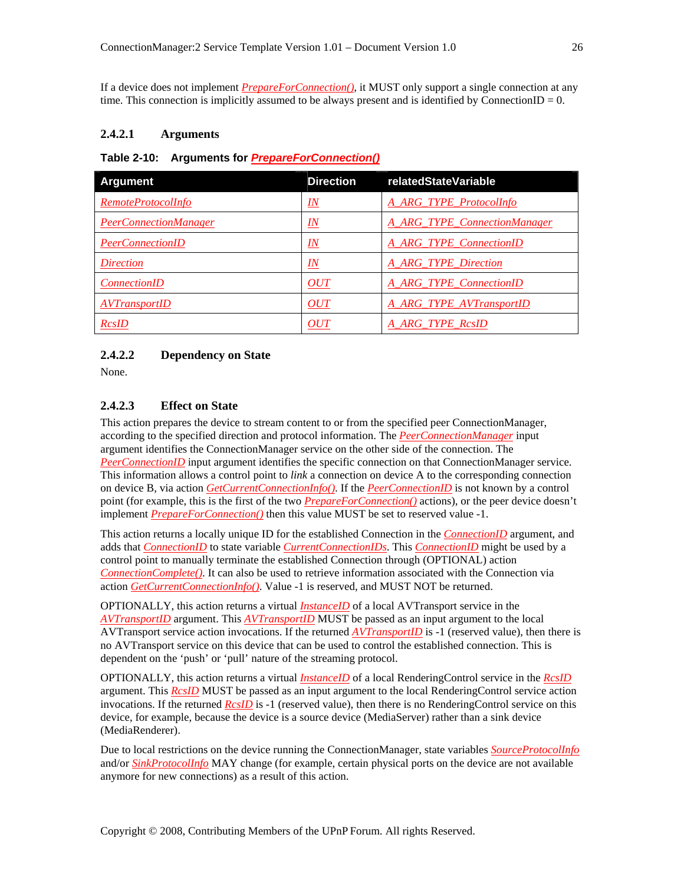If a device does not implement *PrepareForConnection()*, it MUST only support a single connection at any time. This connection is implicitly assumed to be always present and is identified by ConnectionID =  $0$ .

#### **2.4.2.1 Arguments**

#### **Table 2-10: Arguments for** *PrepareForConnection()*

| Argument                     | <b>Direction</b>              | relatedStateVariable           |
|------------------------------|-------------------------------|--------------------------------|
| RemoteProtocolInfo           | $I\!N$                        | <b>A ARG TYPE Protocollnfo</b> |
| <b>PeerConnectionManager</b> | IN                            | A_ARG_TYPE_ConnectionManager   |
| <b>PeerConnectionID</b>      | $\underline{I} \underline{N}$ | <b>A ARG TYPE ConnectionID</b> |
| <i>Direction</i>             | $_{IN}$                       | A ARG TYPE Direction           |
| <i>ConnectionID</i>          | OUT                           | A ARG TYPE ConnectionID        |
| <b>AVTransportID</b>         | <i>OUT</i>                    | A ARG TYPE AVTransportID       |
| <b>RcsID</b>                 | OUT                           | A ARG TYPE RcsID               |

#### **2.4.2.2 Dependency on State**

None.

#### **2.4.2.3 Effect on State**

This action prepares the device to stream content to or from the specified peer ConnectionManager, according to the specified direction and protocol information. The *PeerConnectionManager* input argument identifies the ConnectionManager service on the other side of the connection. The *PeerConnectionID* input argument identifies the specific connection on that ConnectionManager service. This information allows a control point to *link* a connection on device A to the corresponding connection on device B, via action *GetCurrentConnectionInfo()*. If the *PeerConnectionID* is not known by a control point (for example, this is the first of the two *PrepareForConnection()* actions), or the peer device doesn't implement *PrepareForConnection()* then this value MUST be set to reserved value -1.

This action returns a locally unique ID for the established Connection in the *ConnectionID* argument, and adds that *ConnectionID* to state variable *CurrentConnectionIDs*. This *ConnectionID* might be used by a control point to manually terminate the established Connection through (OPTIONAL) action *ConnectionComplete()*. It can also be used to retrieve information associated with the Connection via action *GetCurrentConnectionInfo()*. Value -1 is reserved, and MUST NOT be returned.

OPTIONALLY, this action returns a virtual *InstanceID* of a local AVTransport service in the *AVTransportID* argument. This *AVTransportID* MUST be passed as an input argument to the local AVTransport service action invocations. If the returned *AVTransportID* is -1 (reserved value), then there is no AVTransport service on this device that can be used to control the established connection. This is dependent on the 'push' or 'pull' nature of the streaming protocol.

OPTIONALLY, this action returns a virtual *InstanceID* of a local RenderingControl service in the *RcsID* argument. This *RcsID* MUST be passed as an input argument to the local RenderingControl service action invocations. If the returned *RcsID* is -1 (reserved value), then there is no RenderingControl service on this device, for example, because the device is a source device (MediaServer) rather than a sink device (MediaRenderer).

Due to local restrictions on the device running the ConnectionManager, state variables *SourceProtocolInfo* and/or *SinkProtocolInfo* MAY change (for example, certain physical ports on the device are not available anymore for new connections) as a result of this action.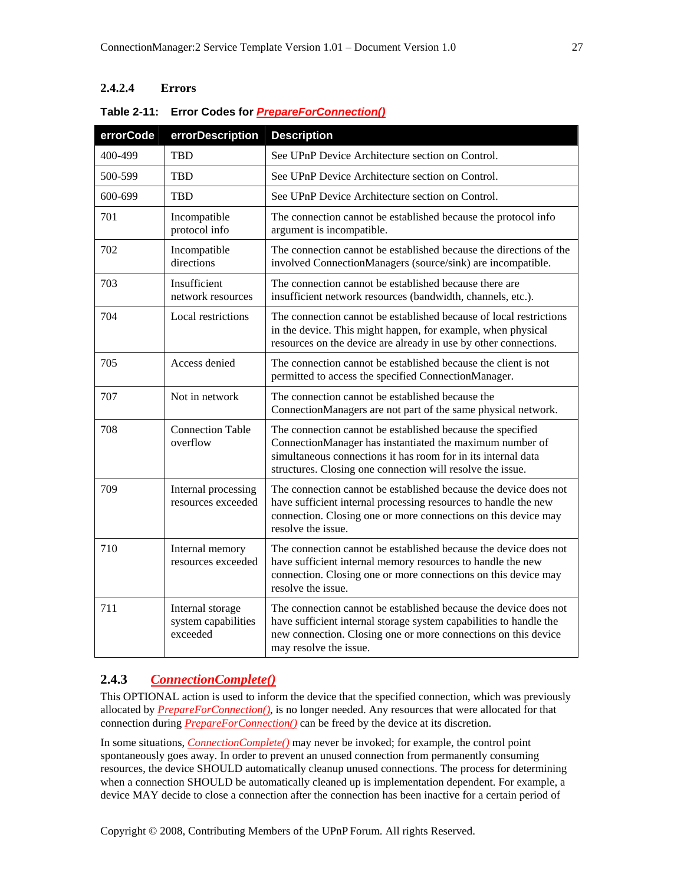# **2.4.2.4 Errors**

| errorCode | errorDescription                                    | <b>Description</b>                                                                                                                                                                                                                                    |
|-----------|-----------------------------------------------------|-------------------------------------------------------------------------------------------------------------------------------------------------------------------------------------------------------------------------------------------------------|
| 400-499   | <b>TBD</b>                                          | See UPnP Device Architecture section on Control.                                                                                                                                                                                                      |
| 500-599   | <b>TBD</b>                                          | See UPnP Device Architecture section on Control.                                                                                                                                                                                                      |
| 600-699   | <b>TBD</b>                                          | See UPnP Device Architecture section on Control.                                                                                                                                                                                                      |
| 701       | Incompatible<br>protocol info                       | The connection cannot be established because the protocol info<br>argument is incompatible.                                                                                                                                                           |
| 702       | Incompatible<br>directions                          | The connection cannot be established because the directions of the<br>involved ConnectionManagers (source/sink) are incompatible.                                                                                                                     |
| 703       | Insufficient<br>network resources                   | The connection cannot be established because there are<br>insufficient network resources (bandwidth, channels, etc.).                                                                                                                                 |
| 704       | Local restrictions                                  | The connection cannot be established because of local restrictions<br>in the device. This might happen, for example, when physical<br>resources on the device are already in use by other connections.                                                |
| 705       | Access denied                                       | The connection cannot be established because the client is not<br>permitted to access the specified ConnectionManager.                                                                                                                                |
| 707       | Not in network                                      | The connection cannot be established because the<br>ConnectionManagers are not part of the same physical network.                                                                                                                                     |
| 708       | <b>Connection Table</b><br>overflow                 | The connection cannot be established because the specified<br>ConnectionManager has instantiated the maximum number of<br>simultaneous connections it has room for in its internal data<br>structures. Closing one connection will resolve the issue. |
| 709       | Internal processing<br>resources exceeded           | The connection cannot be established because the device does not<br>have sufficient internal processing resources to handle the new<br>connection. Closing one or more connections on this device may<br>resolve the issue.                           |
| 710       | Internal memory<br>resources exceeded               | The connection cannot be established because the device does not<br>have sufficient internal memory resources to handle the new<br>connection. Closing one or more connections on this device may<br>resolve the issue.                               |
| 711       | Internal storage<br>system capabilities<br>exceeded | The connection cannot be established because the device does not<br>have sufficient internal storage system capabilities to handle the<br>new connection. Closing one or more connections on this device<br>may resolve the issue.                    |

#### **Table 2-11: Error Codes for** *PrepareForConnection()*

# **2.4.3** *ConnectionComplete()*

This OPTIONAL action is used to inform the device that the specified connection, which was previously allocated by *PrepareForConnection()*, is no longer needed. Any resources that were allocated for that connection during *PrepareForConnection()* can be freed by the device at its discretion.

In some situations, *ConnectionComplete()* may never be invoked; for example, the control point spontaneously goes away. In order to prevent an unused connection from permanently consuming resources, the device SHOULD automatically cleanup unused connections. The process for determining when a connection SHOULD be automatically cleaned up is implementation dependent. For example, a device MAY decide to close a connection after the connection has been inactive for a certain period of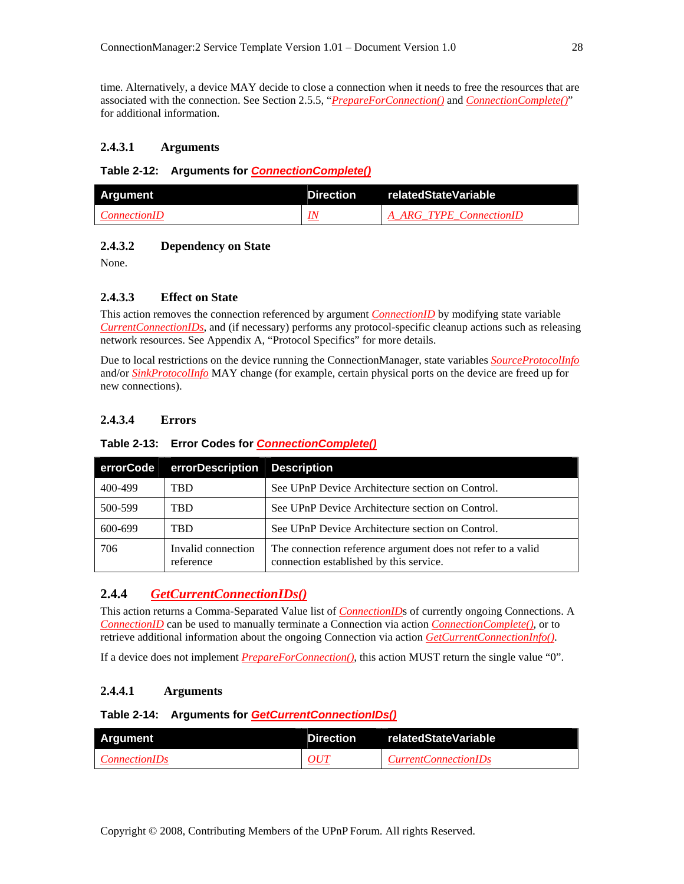time. Alternatively, a device MAY decide to close a connection when it needs to free the resources that are associated with the connection. See Section 2.5.5, "*PrepareForConnection()* and *ConnectionComplete()*" for additional information.

#### **2.4.3.1 Arguments**

#### **Table 2-12: Arguments for** *ConnectionComplete()*

| <b>Argument</b>     | <b>Direction</b> | <b>TrelatedStateVariable</b> |
|---------------------|------------------|------------------------------|
| <i>ConnectionID</i> | <u>IN</u>        | A ARG TYPE ConnectionID      |

#### **2.4.3.2 Dependency on State**

None.

#### **2.4.3.3 Effect on State**

This action removes the connection referenced by argument *ConnectionID* by modifying state variable *CurrentConnectionIDs*, and (if necessary) performs any protocol-specific cleanup actions such as releasing network resources. See Appendix A, "Protocol Specifics" for more details.

Due to local restrictions on the device running the ConnectionManager, state variables *SourceProtocolInfo* and/or *SinkProtocolInfo* MAY change (for example, certain physical ports on the device are freed up for new connections).

## **2.4.3.4 Errors**

#### **Table 2-13: Error Codes for** *ConnectionComplete()*

| errorCode | errorDescription Description    |                                                                                                        |
|-----------|---------------------------------|--------------------------------------------------------------------------------------------------------|
| 400-499   | TBD                             | See UPnP Device Architecture section on Control.                                                       |
| 500-599   | TBD                             | See UPnP Device Architecture section on Control.                                                       |
| 600-699   | TBD                             | See UPnP Device Architecture section on Control.                                                       |
| 706       | Invalid connection<br>reference | The connection reference argument does not refer to a valid<br>connection established by this service. |

#### **2.4.4** *GetCurrentConnectionIDs()*

This action returns a Comma-Separated Value list of *ConnectionID*s of currently ongoing Connections. A *ConnectionID* can be used to manually terminate a Connection via action *ConnectionComplete()*, or to retrieve additional information about the ongoing Connection via action *GetCurrentConnectionInfo()*.

If a device does not implement *PrepareForConnection()*, this action MUST return the single value "0".

#### **2.4.4.1 Arguments**

#### **Table 2-14: Arguments for** *GetCurrentConnectionIDs()*

| Argument             | <b>Direction</b> | relatedStateVariable        |
|----------------------|------------------|-----------------------------|
| <i>ConnectionIDs</i> | $\Omega$ itt     | <i>CurrentConnectionIDs</i> |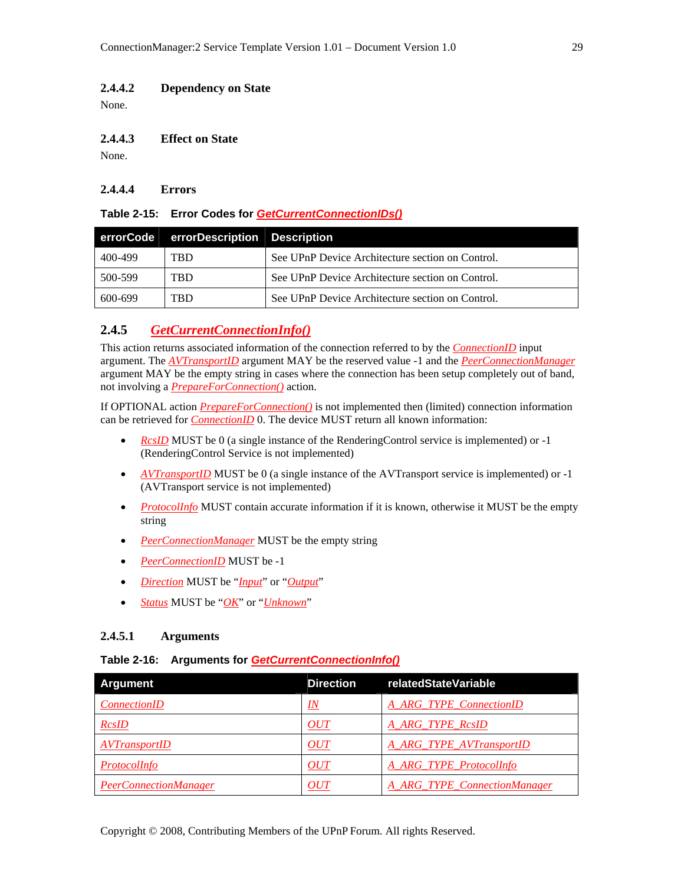#### **2.4.4.2 Dependency on State**

None.

#### **2.4.4.3 Effect on State**

None.

#### **2.4.4.4 Errors**

#### **Table 2-15: Error Codes for** *GetCurrentConnectionIDs()*

|         | errorCode errorDescription Description |                                                  |
|---------|----------------------------------------|--------------------------------------------------|
| 400-499 | <b>TRD</b>                             | See UPnP Device Architecture section on Control. |
| 500-599 | <b>TRD</b>                             | See UPnP Device Architecture section on Control. |
| 600-699 | <b>TRD</b>                             | See UPnP Device Architecture section on Control. |

# **2.4.5** *GetCurrentConnectionInfo()*

This action returns associated information of the connection referred to by the *ConnectionID* input argument. The *AVTransportID* argument MAY be the reserved value -1 and the *PeerConnectionManager* argument MAY be the empty string in cases where the connection has been setup completely out of band, not involving a *PrepareForConnection()* action.

If OPTIONAL action *PrepareForConnection()* is not implemented then (limited) connection information can be retrieved for *ConnectionID* 0. The device MUST return all known information:

- *RcsID* MUST be 0 (a single instance of the RenderingControl service is implemented) or -1 (RenderingControl Service is not implemented)
- *AVTransportID* MUST be 0 (a single instance of the AVTransport service is implemented) or -1 (AVTransport service is not implemented)
- *ProtocolInfo* MUST contain accurate information if it is known, otherwise it MUST be the empty string
- *PeerConnectionManager* MUST be the empty string
- *PeerConnectionID* MUST be -1
- *Direction* MUST be "*Input*" or "*Output*"
- *Status* MUST be "*OK*" or "*Unknown*"

#### **2.4.5.1 Arguments**

#### **Table 2-16: Arguments for** *GetCurrentConnectionInfo()*

| <b>Argument</b>              | <b>Direction</b> | relatedStateVariable                |
|------------------------------|------------------|-------------------------------------|
| <i>ConnectionID</i>          | <u>IN</u>        | A ARG TYPE ConnectionID             |
| <b>RcsID</b>                 | OUT              | A ARG TYPE RcsID                    |
| <b>AVTransportID</b>         | OUT              | A_ARG_TYPE_AVTransportID            |
| ProtocolInfo                 | OUT              | A_ARG_TYPE_ProtocolInfo             |
| <b>PeerConnectionManager</b> | OUT              | <b>A ARG TYPE ConnectionManager</b> |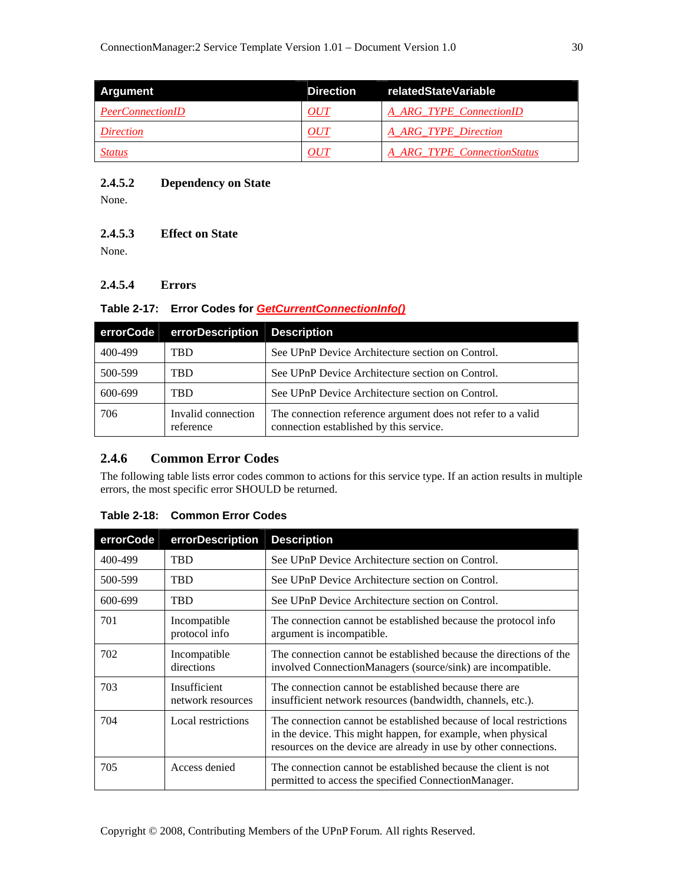| Argument                | <b>Direction</b> | relatedStateVariable        |
|-------------------------|------------------|-----------------------------|
| <b>PeerConnectionID</b> | OUT              | A ARG TYPE ConnectionID     |
| <i>Direction</i>        | OUT              | A ARG TYPE Direction        |
| <b>Status</b>           | OUT              | A ARG TYPE ConnectionStatus |

#### **2.4.5.2 Dependency on State**

None.

#### **2.4.5.3 Effect on State**

None.

# **2.4.5.4 Errors**

#### **Table 2-17: Error Codes for** *GetCurrentConnectionInfo()*

| errorCode | errorDescription Description    |                                                                                                        |
|-----------|---------------------------------|--------------------------------------------------------------------------------------------------------|
| 400-499   | TBD                             | See UPnP Device Architecture section on Control.                                                       |
| 500-599   | TBD                             | See UPnP Device Architecture section on Control.                                                       |
| 600-699   | <b>TRD</b>                      | See UPnP Device Architecture section on Control.                                                       |
| 706       | Invalid connection<br>reference | The connection reference argument does not refer to a valid<br>connection established by this service. |

## **2.4.6 Common Error Codes**

The following table lists error codes common to actions for this service type. If an action results in multiple errors, the most specific error SHOULD be returned.

| errorCode | errorDescription                  | <b>Description</b>                                                                                                                                                                                     |
|-----------|-----------------------------------|--------------------------------------------------------------------------------------------------------------------------------------------------------------------------------------------------------|
| 400-499   | <b>TRD</b>                        | See UPnP Device Architecture section on Control.                                                                                                                                                       |
| 500-599   | <b>TBD</b>                        | See UPnP Device Architecture section on Control.                                                                                                                                                       |
| 600-699   | <b>TBD</b>                        | See UPnP Device Architecture section on Control.                                                                                                                                                       |
| 701       | Incompatible<br>protocol info     | The connection cannot be established because the protocol info<br>argument is incompatible.                                                                                                            |
| 702       | Incompatible<br>directions        | The connection cannot be established because the directions of the<br>involved ConnectionManagers (source/sink) are incompatible.                                                                      |
| 703       | Insufficient<br>network resources | The connection cannot be established because there are<br>insufficient network resources (bandwidth, channels, etc.).                                                                                  |
| 704       | Local restrictions                | The connection cannot be established because of local restrictions<br>in the device. This might happen, for example, when physical<br>resources on the device are already in use by other connections. |
| 705       | Access denied                     | The connection cannot be established because the client is not<br>permitted to access the specified ConnectionManager.                                                                                 |

#### **Table 2-18: Common Error Codes**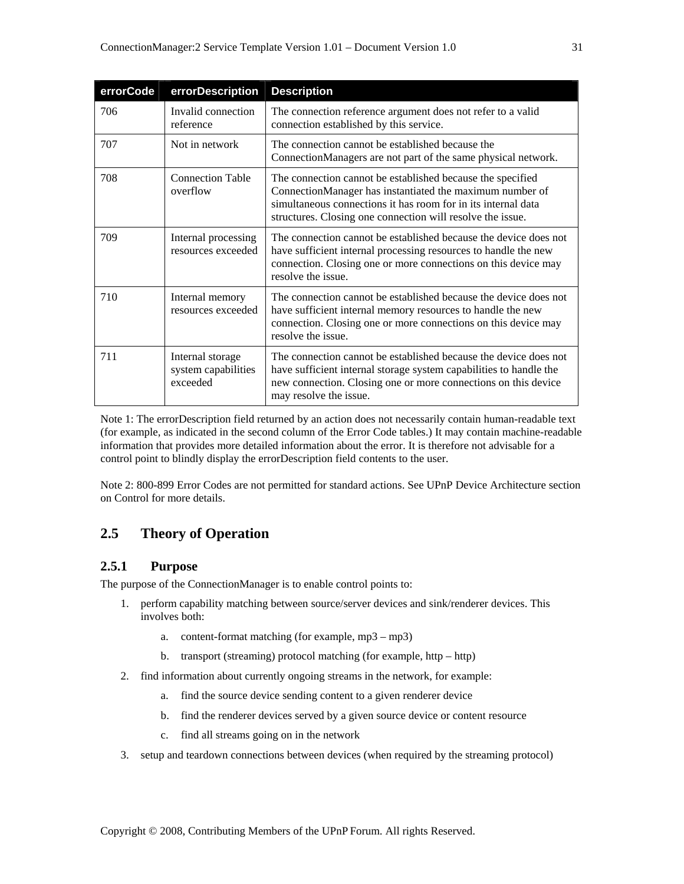| errorCode | errorDescription                                    | <b>Description</b>                                                                                                                                                                                                                                    |
|-----------|-----------------------------------------------------|-------------------------------------------------------------------------------------------------------------------------------------------------------------------------------------------------------------------------------------------------------|
| 706       | Invalid connection<br>reference                     | The connection reference argument does not refer to a valid<br>connection established by this service.                                                                                                                                                |
| 707       | Not in network                                      | The connection cannot be established because the<br>ConnectionManagers are not part of the same physical network.                                                                                                                                     |
| 708       | <b>Connection Table</b><br>overflow                 | The connection cannot be established because the specified<br>ConnectionManager has instantiated the maximum number of<br>simultaneous connections it has room for in its internal data<br>structures. Closing one connection will resolve the issue. |
| 709       | Internal processing<br>resources exceeded           | The connection cannot be established because the device does not<br>have sufficient internal processing resources to handle the new<br>connection. Closing one or more connections on this device may<br>resolve the issue.                           |
| 710       | Internal memory<br>resources exceeded               | The connection cannot be established because the device does not<br>have sufficient internal memory resources to handle the new<br>connection. Closing one or more connections on this device may<br>resolve the issue.                               |
| 711       | Internal storage<br>system capabilities<br>exceeded | The connection cannot be established because the device does not<br>have sufficient internal storage system capabilities to handle the<br>new connection. Closing one or more connections on this device<br>may resolve the issue.                    |

Note 1: The errorDescription field returned by an action does not necessarily contain human-readable text (for example, as indicated in the second column of the Error Code tables.) It may contain machine-readable information that provides more detailed information about the error. It is therefore not advisable for a control point to blindly display the errorDescription field contents to the user.

Note 2: 800-899 Error Codes are not permitted for standard actions. See UPnP Device Architecture section on Control for more details.

# **2.5 Theory of Operation**

## **2.5.1 Purpose**

The purpose of the ConnectionManager is to enable control points to:

- 1. perform capability matching between source/server devices and sink/renderer devices. This involves both:
	- a. content-format matching (for example, mp3 mp3)
	- b. transport (streaming) protocol matching (for example, http http)
- 2. find information about currently ongoing streams in the network, for example:
	- a. find the source device sending content to a given renderer device
	- b. find the renderer devices served by a given source device or content resource
	- c. find all streams going on in the network
- 3. setup and teardown connections between devices (when required by the streaming protocol)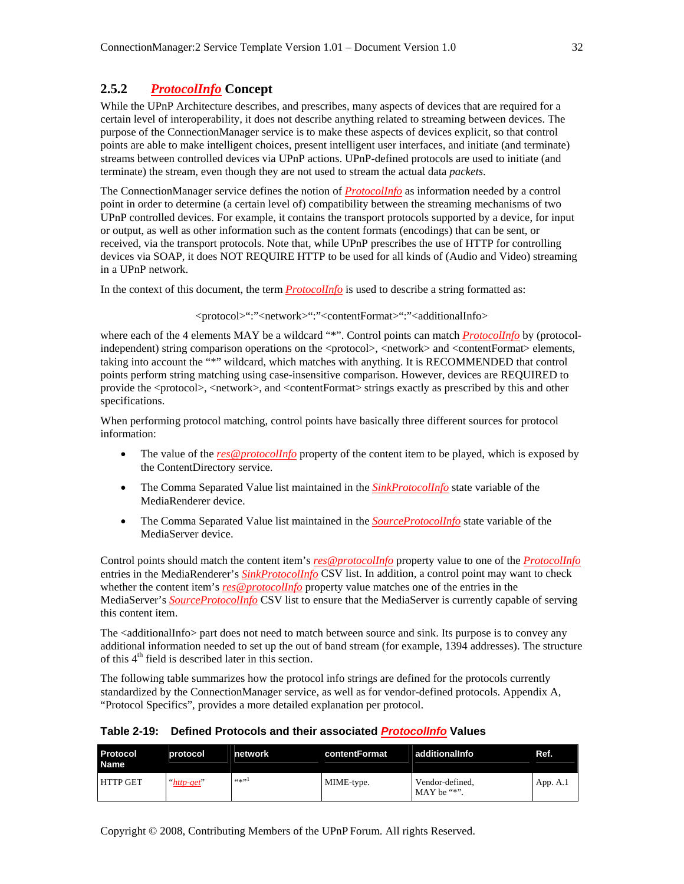# **2.5.2** *ProtocolInfo* **Concept**

While the UPnP Architecture describes, and prescribes, many aspects of devices that are required for a certain level of interoperability, it does not describe anything related to streaming between devices. The purpose of the ConnectionManager service is to make these aspects of devices explicit, so that control points are able to make intelligent choices, present intelligent user interfaces, and initiate (and terminate) streams between controlled devices via UPnP actions. UPnP-defined protocols are used to initiate (and terminate) the stream, even though they are not used to stream the actual data *packets*.

The ConnectionManager service defines the notion of *ProtocolInfo* as information needed by a control point in order to determine (a certain level of) compatibility between the streaming mechanisms of two UPnP controlled devices. For example, it contains the transport protocols supported by a device, for input or output, as well as other information such as the content formats (encodings) that can be sent, or received, via the transport protocols. Note that, while UPnP prescribes the use of HTTP for controlling devices via SOAP, it does NOT REQUIRE HTTP to be used for all kinds of (Audio and Video) streaming in a UPnP network.

In the context of this document, the term *ProtocolInfo* is used to describe a string formatted as:

<protocol>":"<network>":"<contentFormat>":"<additionalInfo>

where each of the 4 elements MAY be a wildcard "\*". Control points can match *ProtocolInfo* by (protocolindependent) string comparison operations on the <protocol>, <network> and <contentFormat> elements, taking into account the "\*" wildcard, which matches with anything. It is RECOMMENDED that control points perform string matching using case-insensitive comparison. However, devices are REQUIRED to provide the <protocol>, <network>, and <contentFormat> strings exactly as prescribed by this and other specifications.

When performing protocol matching, control points have basically three different sources for protocol information:

- The value of the *res@protocolInfo* property of the content item to be played, which is exposed by the ContentDirectory service.
- The Comma Separated Value list maintained in the **SinkProtocolInfo** state variable of the MediaRenderer device.
- The Comma Separated Value list maintained in the *SourceProtocolInfo* state variable of the MediaServer device.

Control points should match the content item's *res@protocolInfo* property value to one of the *ProtocolInfo* entries in the MediaRenderer's *SinkProtocolInfo* CSV list. In addition, a control point may want to check whether the content item's *res@protocolInfo* property value matches one of the entries in the MediaServer's *SourceProtocolInfo* CSV list to ensure that the MediaServer is currently capable of serving this content item.

The <additionalInfo> part does not need to match between source and sink. Its purpose is to convey any additional information needed to set up the out of band stream (for example, 1394 addresses). The structure of this  $4<sup>th</sup>$  field is described later in this section.

The following table summarizes how the protocol info strings are defined for the protocols currently standardized by the ConnectionManager service, as well as for vendor-defined protocols. Appendix A, "Protocol Specifics", provides a more detailed explanation per protocol.

| Table 2-19: Defined Protocols and their associated <i>Protocollnfo</i> Values |  |
|-------------------------------------------------------------------------------|--|
|                                                                               |  |

| <b>Protocol</b><br><b>Name</b> | protocol   | network    | contentFormat | additionalInfo                  | Ref.     |
|--------------------------------|------------|------------|---------------|---------------------------------|----------|
| <b>HTTP GET</b>                | "http-get" | 66 sk 99 L | MIME-type.    | Vendor-defined,<br>$MAX be$ "*" | App. A.1 |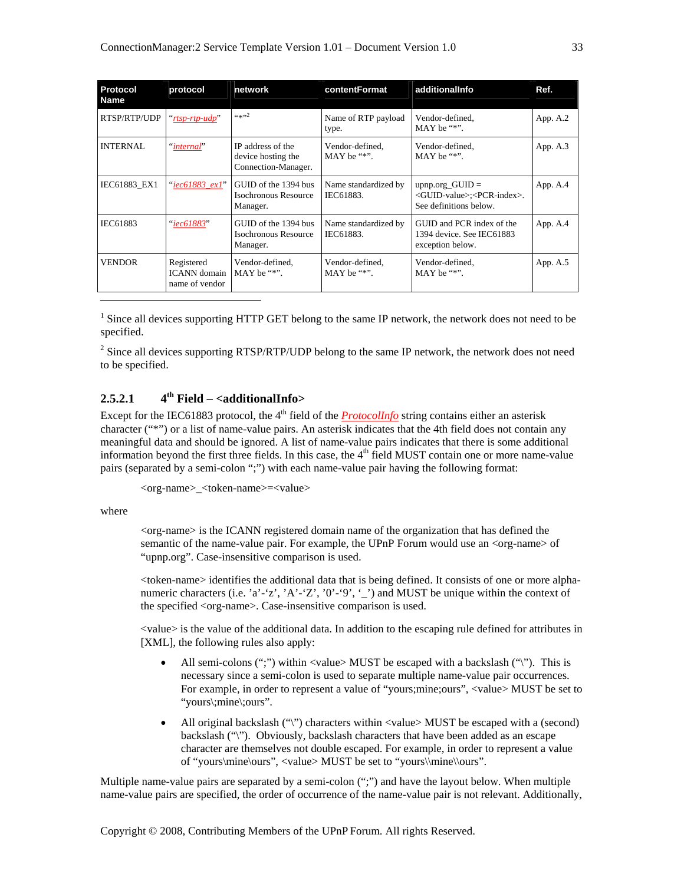| Protocol<br><b>Name</b> | protocol                                            | network                                                        | contentFormat                     | additionalInfo                                                                                     | Ref.     |
|-------------------------|-----------------------------------------------------|----------------------------------------------------------------|-----------------------------------|----------------------------------------------------------------------------------------------------|----------|
| RTSP/RTP/UDP            | "rtsp-rtp-udp"                                      | (4, 1, 2)                                                      | Name of RTP payload<br>type.      | Vendor-defined.<br>MAY be $"$ .                                                                    | App. A.2 |
| <b>INTERNAL</b>         | "internal"                                          | IP address of the<br>device hosting the<br>Connection-Manager. | Vendor-defined.<br>$MAX be$ "*".  | Vendor-defined.<br>$MAX be$ "*".                                                                   | App. A.3 |
| IEC61883_EX1            | "iec61883 ex1"                                      | GUID of the 1394 bus<br>Isochronous Resource<br>Manager.       | Name standardized by<br>IEC61883. | upnp.org_GUID $=$<br><guid-value>;<pcr-index>.<br/>See definitions below.</pcr-index></guid-value> | App. A.4 |
| IEC61883                | "iec61883"                                          | GUID of the 1394 bus<br>Isochronous Resource<br>Manager.       | Name standardized by<br>IEC61883. | GUID and PCR index of the<br>1394 device. See IEC61883<br>exception below.                         | App. A.4 |
| <b>VENDOR</b>           | Registered<br><b>ICANN</b> domain<br>name of vendor | Vendor-defined,<br>MAY be $"$ .                                | Vendor-defined,<br>MAY be $"$ .   | Vendor-defined,<br>$MAX be$ "*".                                                                   | App. A.5 |
|                         |                                                     |                                                                |                                   |                                                                                                    |          |

<sup>1</sup> Since all devices supporting HTTP GET belong to the same IP network, the network does not need to be specified.

 $2^2$  Since all devices supporting RTSP/RTP/UDP belong to the same IP network, the network does not need to be specified.

#### **2.5.2.1 4th Field – <additionalInfo>**

Except for the IEC61883 protocol, the 4<sup>th</sup> field of the *ProtocolInfo* string contains either an asterisk character ("\*") or a list of name-value pairs. An asterisk indicates that the 4th field does not contain any meaningful data and should be ignored. A list of name-value pairs indicates that there is some additional information beyond the first three fields. In this case, the  $4<sup>th</sup>$  field MUST contain one or more name-value pairs (separated by a semi-colon ";") with each name-value pair having the following format:

```
<org-name>_<token-name>=<value>
```
where

 $\langle$ org-name $\rangle$  is the ICANN registered domain name of the organization that has defined the semantic of the name-value pair. For example, the UPnP Forum would use an  $\langle$ org-name> of "upnp.org". Case-insensitive comparison is used.

<token-name> identifies the additional data that is being defined. It consists of one or more alphanumeric characters (i.e. 'a'-'z', 'A'-'Z', '0'-'9', '\_') and MUST be unique within the context of the specified <org-name>. Case-insensitive comparison is used.

<value> is the value of the additional data. In addition to the escaping rule defined for attributes in [XML], the following rules also apply:

- All semi-colons (";") within <value> MUST be escaped with a backslash ("\"). This is necessary since a semi-colon is used to separate multiple name-value pair occurrences. For example, in order to represent a value of "yours;mine;ours", <value> MUST be set to "yours\;mine\;ours".
- All original backslash ("\") characters within <value> MUST be escaped with a (second) backslash ("\"). Obviously, backslash characters that have been added as an escape character are themselves not double escaped. For example, in order to represent a value of "yours\mine\ours", <value> MUST be set to "yours\\mine\\ours".

Multiple name-value pairs are separated by a semi-colon (";") and have the layout below. When multiple name-value pairs are specified, the order of occurrence of the name-value pair is not relevant. Additionally,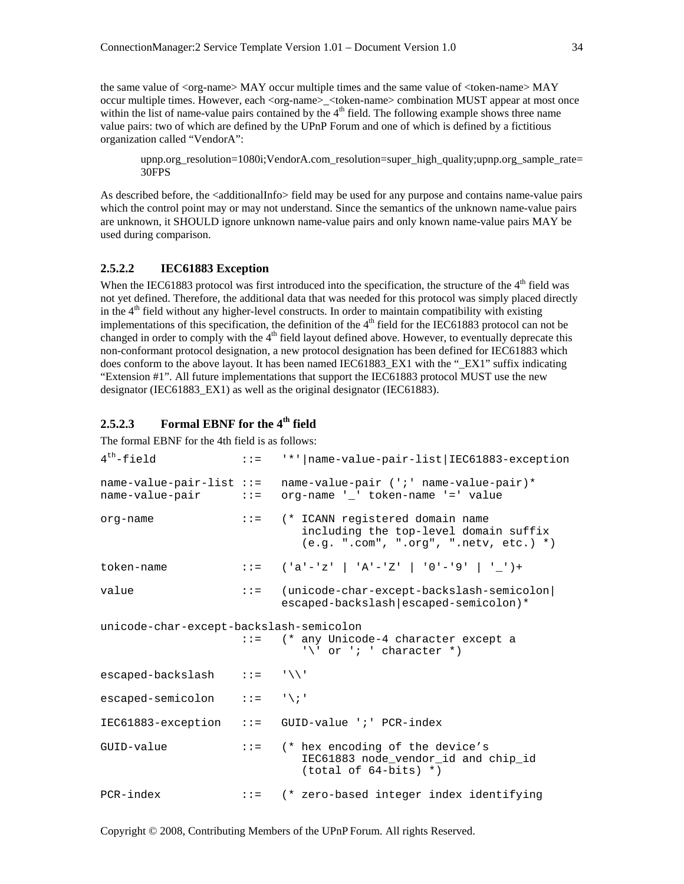the same value of <org-name> MAY occur multiple times and the same value of <token-name> MAY occur multiple times. However, each <org-name> <token-name> combination MUST appear at most once within the list of name-value pairs contained by the  $4<sup>th</sup>$  field. The following example shows three name value pairs: two of which are defined by the UPnP Forum and one of which is defined by a fictitious organization called "VendorA":

upnp.org\_resolution=1080i;VendorA.com\_resolution=super\_high\_quality;upnp.org\_sample\_rate= 30FPS

As described before, the <additionalInfo> field may be used for any purpose and contains name-value pairs which the control point may or may not understand. Since the semantics of the unknown name-value pairs are unknown, it SHOULD ignore unknown name-value pairs and only known name-value pairs MAY be used during comparison.

#### **2.5.2.2 IEC61883 Exception**

When the IEC61883 protocol was first introduced into the specification, the structure of the  $4<sup>th</sup>$  field was not yet defined. Therefore, the additional data that was needed for this protocol was simply placed directly in the  $4<sup>th</sup>$  field without any higher-level constructs. In order to maintain compatibility with existing implementations of this specification, the definition of the  $4<sup>th</sup>$  field for the IEC61883 protocol can not be changed in order to comply with the  $4<sup>th</sup>$  field layout defined above. However, to eventually deprecate this non-conformant protocol designation, a new protocol designation has been defined for IEC61883 which does conform to the above layout. It has been named IEC61883 EX1 with the "EX1" suffix indicating "Extension #1". All future implementations that support the IEC61883 protocol MUST use the new designator (IEC61883\_EX1) as well as the original designator (IEC61883).

# **2.5.2.3 Formal EBNF for the 4th field**

The formal EBNF for the 4th field is as follows:

```
4th-field ::= '*'|name-value-pair-list|IEC61883-exception 
name-value-pair-list ::= name-value-pair (';' name-value-pair)* 
name-value-pair ::= org-name '_' token-name '=' value 
org-name ::= (* ICANN registered domain name 
                             including the top-level domain suffix 
                             (e.g. ".com", ".org", ".netv, etc.) *) 
token-name ::= ('a'-'z' | 'A'-'Z' | '0'-'9' | '_')+ 
value ::= (unicode-char-except-backslash-semicolon| 
                          escaped-backslash|escaped-semicolon)* 
unicode-char-except-backslash-semicolon 
                     ::= (* any Unicode-4 character except a 
                            '\' or '; ' character *)
escaped-backslash ::= '\\' 
\text{escaped-semicolon} \quad :: = \quad \setminus \; \cdot \; 'IEC61883-exception ::= GUID-value ';' PCR-index 
GUID-value ::= (* hex encoding of the device's 
                             IEC61883 node_vendor_id and chip_id 
                             (total of 64-bits) *) 
PCR-index ::= (* zero-based integer index identifying
```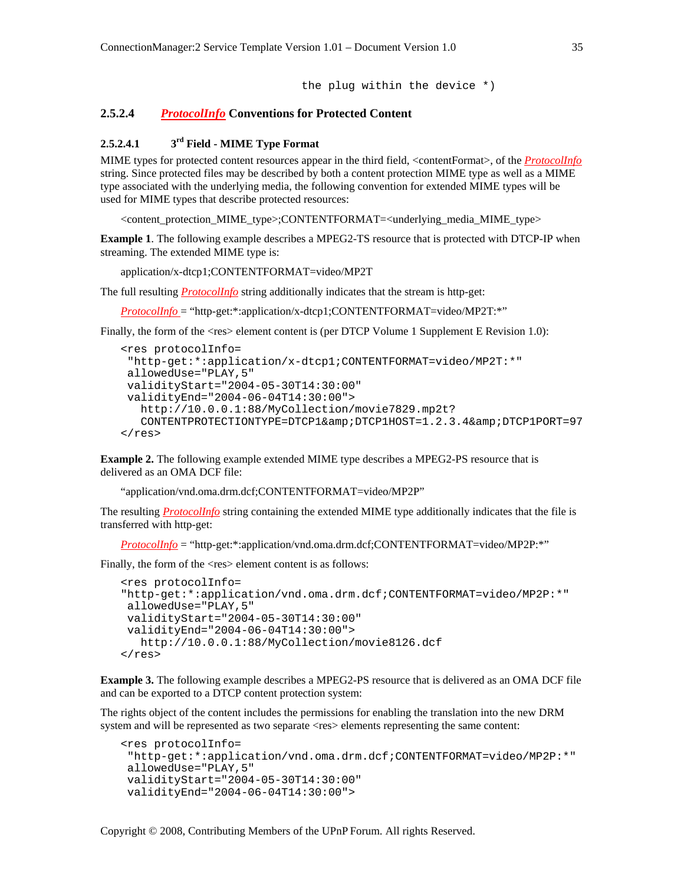the plug within the device \*)

#### **2.5.2.4** *ProtocolInfo* **Conventions for Protected Content**

#### **2.5.2.4.1 3rd Field - MIME Type Format**

MIME types for protected content resources appear in the third field, <contentFormat>, of the *ProtocolInfo* string. Since protected files may be described by both a content protection MIME type as well as a MIME type associated with the underlying media, the following convention for extended MIME types will be used for MIME types that describe protected resources:

<content\_protection\_MIME\_type>;CONTENTFORMAT=<underlying\_media\_MIME\_type>

**Example 1**. The following example describes a MPEG2-TS resource that is protected with DTCP-IP when streaming. The extended MIME type is:

application/x-dtcp1;CONTENTFORMAT=video/MP2T

The full resulting *ProtocolInfo* string additionally indicates that the stream is http-get:

*ProtocolInfo* = "http-get:\*:application/x-dtcp1;CONTENTFORMAT=video/MP2T:\*"

Finally, the form of the  $\langle$ res $\rangle$  element content is (per DTCP Volume 1 Supplement E Revision 1.0):

```
<res protocolInfo= 
 "http-get:*:application/x-dtcp1;CONTENTFORMAT=video/MP2T:*" 
 allowedUse="PLAY,5" 
 validityStart="2004-05-30T14:30:00" 
 validityEnd="2004-06-04T14:30:00"> 
   http://10.0.0.1:88/MyCollection/movie7829.mp2t? 
  CONTENTPROTECTIONTYPE=DTCP1& DTCP1HOST=1.2.3.4& DTCP1PORT=97
\langleres>
```
**Example 2.** The following example extended MIME type describes a MPEG2-PS resource that is delivered as an OMA DCF file:

"application/vnd.oma.drm.dcf;CONTENTFORMAT=video/MP2P"

The resulting *ProtocolInfo* string containing the extended MIME type additionally indicates that the file is transferred with http-get:

*ProtocolInfo* = "http-get:\*:application/vnd.oma.drm.dcf;CONTENTFORMAT=video/MP2P:\*"

Finally, the form of the  $\langle$ res $\rangle$  element content is as follows:

```
<res protocolInfo= 
"http-get:*:application/vnd.oma.drm.dcf;CONTENTFORMAT=video/MP2P:*" 
 allowedUse="PLAY,5" 
 validityStart="2004-05-30T14:30:00" 
 validityEnd="2004-06-04T14:30:00"> 
   http://10.0.0.1:88/MyCollection/movie8126.dcf 
\langleres>
```
**Example 3.** The following example describes a MPEG2-PS resource that is delivered as an OMA DCF file and can be exported to a DTCP content protection system:

The rights object of the content includes the permissions for enabling the translation into the new DRM system and will be represented as two separate <res> elements representing the same content:

```
<res protocolInfo= 
  "http-get:*:application/vnd.oma.drm.dcf;CONTENTFORMAT=video/MP2P:*" 
 allowedUse="PLAY,5" 
 validityStart="2004-05-30T14:30:00" 
 validityEnd="2004-06-04T14:30:00">
```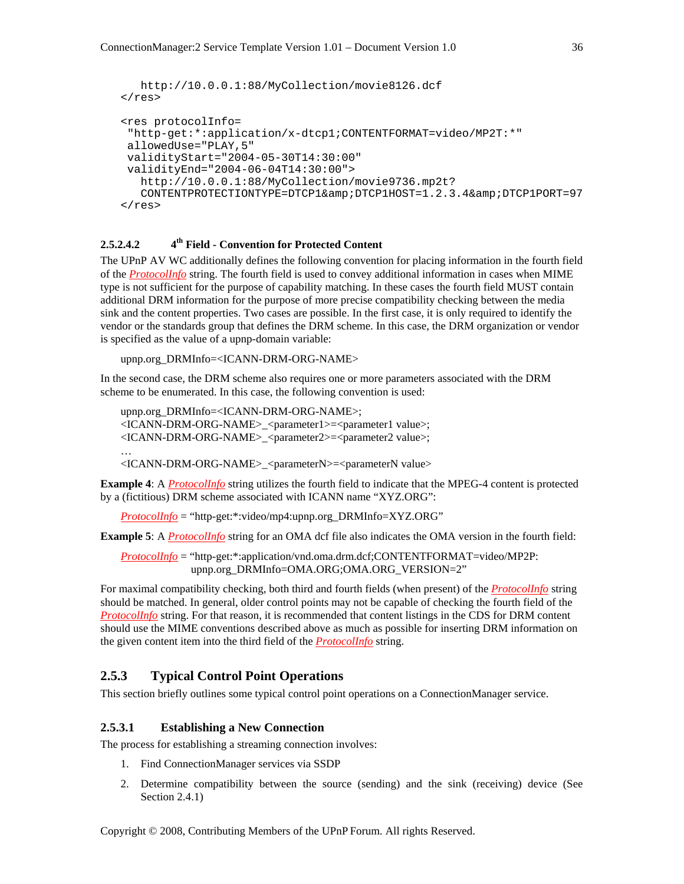```
 http://10.0.0.1:88/MyCollection/movie8126.dcf 
\langleres>
<res protocolInfo= 
  "http-get:*:application/x-dtcp1;CONTENTFORMAT=video/MP2T:*" 
 allowedUse="PLAY,5" 
 validityStart="2004-05-30T14:30:00" 
 validityEnd="2004-06-04T14:30:00"> 
   http://10.0.0.1:88/MyCollection/movie9736.mp2t? 
  CONTENTPROTECTIONTYPE=DTCP1& DTCP1HOST=1.2.3.4& DTCP1PORT=97
\langleres>
```
#### **2.5.2.4.2 4th Field - Convention for Protected Content**

The UPnP AV WC additionally defines the following convention for placing information in the fourth field of the *ProtocolInfo* string. The fourth field is used to convey additional information in cases when MIME type is not sufficient for the purpose of capability matching. In these cases the fourth field MUST contain additional DRM information for the purpose of more precise compatibility checking between the media sink and the content properties. Two cases are possible. In the first case, it is only required to identify the vendor or the standards group that defines the DRM scheme. In this case, the DRM organization or vendor is specified as the value of a upnp-domain variable:

upnp.org\_DRMInfo=<ICANN-DRM-ORG-NAME>

In the second case, the DRM scheme also requires one or more parameters associated with the DRM scheme to be enumerated. In this case, the following convention is used:

```
upnp.org_DRMInfo=<ICANN-DRM-ORG-NAME>; 
<ICANN-DRM-ORG-NAME>_<parameter1>=<parameter1 value>; 
<ICANN-DRM-ORG-NAME>_<parameter2>=<parameter2 value>; 
…
```
<ICANN-DRM-ORG-NAME>\_<parameterN>=<parameterN value>

**Example 4**: A *ProtocolInfo* string utilizes the fourth field to indicate that the MPEG-4 content is protected by a (fictitious) DRM scheme associated with ICANN name "XYZ.ORG":

*ProtocolInfo* = "http-get:\*:video/mp4:upnp.org\_DRMInfo=XYZ.ORG"

**Example 5**: A *ProtocolInfo* string for an OMA dcf file also indicates the OMA version in the fourth field:

*ProtocolInfo* = "http-get:\*:application/vnd.oma.drm.dcf;CONTENTFORMAT=video/MP2P: upnp.org\_DRMInfo=OMA.ORG;OMA.ORG\_VERSION=2"

For maximal compatibility checking, both third and fourth fields (when present) of the *ProtocolInfo* string should be matched. In general, older control points may not be capable of checking the fourth field of the *ProtocolInfo* string. For that reason, it is recommended that content listings in the CDS for DRM content should use the MIME conventions described above as much as possible for inserting DRM information on the given content item into the third field of the *ProtocolInfo* string.

#### **2.5.3 Typical Control Point Operations**

This section briefly outlines some typical control point operations on a ConnectionManager service.

#### **2.5.3.1 Establishing a New Connection**

The process for establishing a streaming connection involves:

- 1. Find ConnectionManager services via SSDP
- 2. Determine compatibility between the source (sending) and the sink (receiving) device (See Section 2.4.1)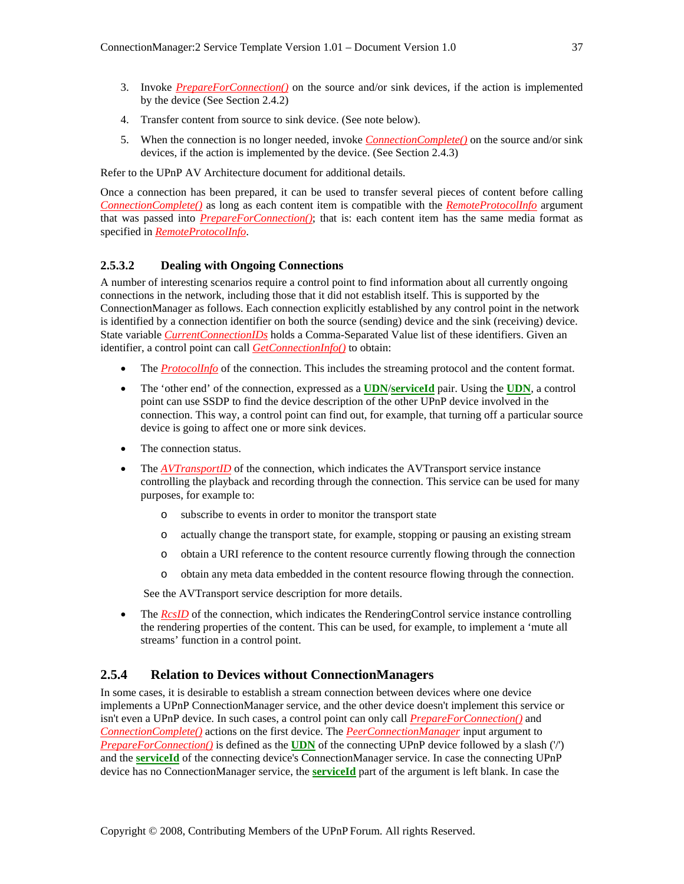- 3. Invoke *PrepareForConnection()* on the source and/or sink devices, if the action is implemented by the device (See Section 2.4.2)
- 4. Transfer content from source to sink device. (See note below).
- 5. When the connection is no longer needed, invoke *ConnectionComplete()* on the source and/or sink devices, if the action is implemented by the device. (See Section 2.4.3)

Refer to the UPnP AV Architecture document for additional details.

Once a connection has been prepared, it can be used to transfer several pieces of content before calling *ConnectionComplete()* as long as each content item is compatible with the *RemoteProtocolInfo* argument that was passed into *PrepareForConnection()*; that is: each content item has the same media format as specified in *RemoteProtocolInfo*.

#### **2.5.3.2 Dealing with Ongoing Connections**

A number of interesting scenarios require a control point to find information about all currently ongoing connections in the network, including those that it did not establish itself. This is supported by the ConnectionManager as follows. Each connection explicitly established by any control point in the network is identified by a connection identifier on both the source (sending) device and the sink (receiving) device. State variable *CurrentConnectionIDs* holds a Comma-Separated Value list of these identifiers. Given an identifier, a control point can call *GetConnectionInfo()* to obtain:

- The *ProtocolInfo* of the connection. This includes the streaming protocol and the content format.
- The 'other end' of the connection, expressed as a **UDN**/**serviceId** pair. Using the **UDN**, a control point can use SSDP to find the device description of the other UPnP device involved in the connection. This way, a control point can find out, for example, that turning off a particular source device is going to affect one or more sink devices.
- The connection status.
- The *AVTransportID* of the connection, which indicates the AVTransport service instance controlling the playback and recording through the connection. This service can be used for many purposes, for example to:
	- o subscribe to events in order to monitor the transport state
	- o actually change the transport state, for example, stopping or pausing an existing stream
	- o obtain a URI reference to the content resource currently flowing through the connection
	- o obtain any meta data embedded in the content resource flowing through the connection.

See the AVTransport service description for more details.

• The *RcsID* of the connection, which indicates the RenderingControl service instance controlling the rendering properties of the content. This can be used, for example, to implement a 'mute all streams' function in a control point.

#### **2.5.4 Relation to Devices without ConnectionManagers**

In some cases, it is desirable to establish a stream connection between devices where one device implements a UPnP ConnectionManager service, and the other device doesn't implement this service or isn't even a UPnP device. In such cases, a control point can only call *PrepareForConnection()* and *ConnectionComplete()* actions on the first device. The *PeerConnectionManager* input argument to *PrepareForConnection()* is defined as the **UDN** of the connecting UPnP device followed by a slash ('/') and the **serviceId** of the connecting device's ConnectionManager service. In case the connecting UPnP device has no ConnectionManager service, the **serviceId** part of the argument is left blank. In case the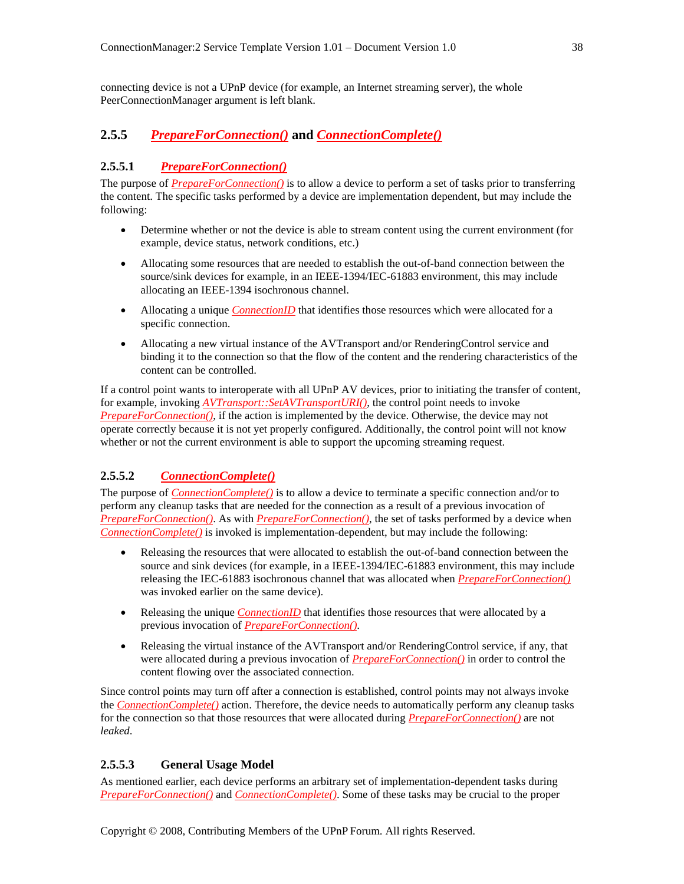connecting device is not a UPnP device (for example, an Internet streaming server), the whole PeerConnectionManager argument is left blank.

# **2.5.5** *PrepareForConnection()* **and** *ConnectionComplete()*

#### **2.5.5.1** *PrepareForConnection()*

The purpose of *PrepareForConnection()* is to allow a device to perform a set of tasks prior to transferring the content. The specific tasks performed by a device are implementation dependent, but may include the following:

- Determine whether or not the device is able to stream content using the current environment (for example, device status, network conditions, etc.)
- Allocating some resources that are needed to establish the out-of-band connection between the source/sink devices for example, in an IEEE-1394/IEC-61883 environment, this may include allocating an IEEE-1394 isochronous channel.
- Allocating a unique *ConnectionID* that identifies those resources which were allocated for a specific connection.
- Allocating a new virtual instance of the AVTransport and/or RenderingControl service and binding it to the connection so that the flow of the content and the rendering characteristics of the content can be controlled.

If a control point wants to interoperate with all UPnP AV devices, prior to initiating the transfer of content, for example, invoking *AVTransport::SetAVTransportURI()*, the control point needs to invoke *PrepareForConnection()*, if the action is implemented by the device. Otherwise, the device may not operate correctly because it is not yet properly configured. Additionally, the control point will not know whether or not the current environment is able to support the upcoming streaming request.

# **2.5.5.2** *ConnectionComplete()*

The purpose of *ConnectionComplete()* is to allow a device to terminate a specific connection and/or to perform any cleanup tasks that are needed for the connection as a result of a previous invocation of *PrepareForConnection()*. As with *PrepareForConnection()*, the set of tasks performed by a device when *ConnectionComplete()* is invoked is implementation-dependent, but may include the following:

- Releasing the resources that were allocated to establish the out-of-band connection between the source and sink devices (for example, in a IEEE-1394/IEC-61883 environment, this may include releasing the IEC-61883 isochronous channel that was allocated when *PrepareForConnection()* was invoked earlier on the same device).
- Releasing the unique *ConnectionID* that identifies those resources that were allocated by a previous invocation of *PrepareForConnection()*.
- Releasing the virtual instance of the AVTransport and/or RenderingControl service, if any, that were allocated during a previous invocation of *PrepareForConnection()* in order to control the content flowing over the associated connection.

Since control points may turn off after a connection is established, control points may not always invoke the *ConnectionComplete()* action. Therefore, the device needs to automatically perform any cleanup tasks for the connection so that those resources that were allocated during *PrepareForConnection()* are not *leaked*.

#### **2.5.5.3 General Usage Model**

As mentioned earlier, each device performs an arbitrary set of implementation-dependent tasks during *PrepareForConnection()* and *ConnectionComplete()*. Some of these tasks may be crucial to the proper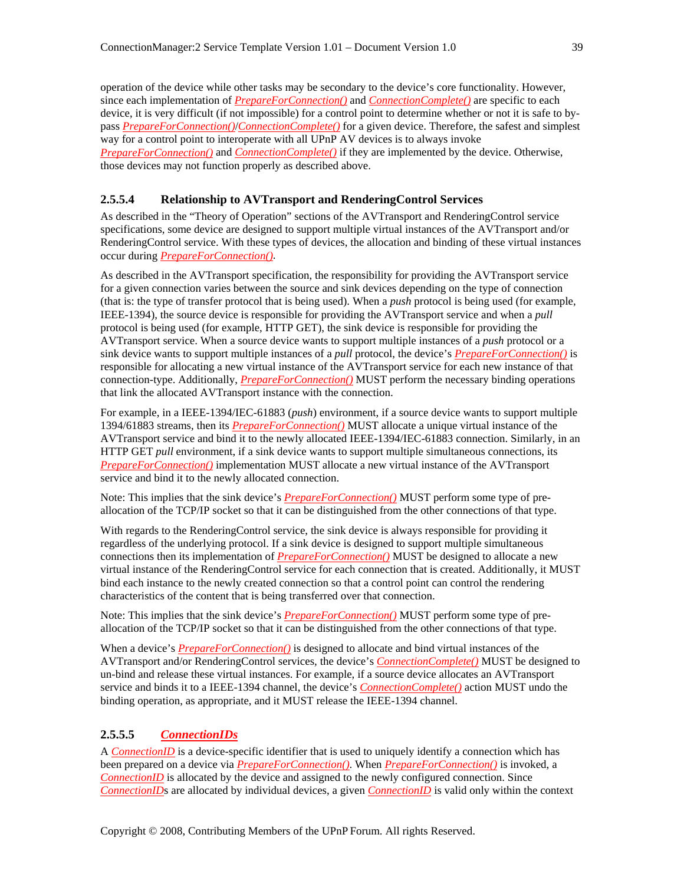operation of the device while other tasks may be secondary to the device's core functionality. However, since each implementation of *PrepareForConnection()* and *ConnectionComplete()* are specific to each device, it is very difficult (if not impossible) for a control point to determine whether or not it is safe to bypass *PrepareForConnection()*/*ConnectionComplete()* for a given device. Therefore, the safest and simplest way for a control point to interoperate with all UPnP AV devices is to always invoke *PrepareForConnection()* and *ConnectionComplete()* if they are implemented by the device. Otherwise, those devices may not function properly as described above.

#### **2.5.5.4 Relationship to AVTransport and RenderingControl Services**

As described in the "Theory of Operation" sections of the AVTransport and RenderingControl service specifications, some device are designed to support multiple virtual instances of the AVTransport and/or RenderingControl service. With these types of devices, the allocation and binding of these virtual instances occur during *PrepareForConnection()*.

As described in the AVTransport specification, the responsibility for providing the AVTransport service for a given connection varies between the source and sink devices depending on the type of connection (that is: the type of transfer protocol that is being used). When a *push* protocol is being used (for example, IEEE-1394), the source device is responsible for providing the AVTransport service and when a *pull* protocol is being used (for example, HTTP GET), the sink device is responsible for providing the AVTransport service. When a source device wants to support multiple instances of a *push* protocol or a sink device wants to support multiple instances of a *pull* protocol, the device's *PrepareForConnection()* is responsible for allocating a new virtual instance of the AVTransport service for each new instance of that connection-type. Additionally, *PrepareForConnection()* MUST perform the necessary binding operations that link the allocated AVTransport instance with the connection.

For example, in a IEEE-1394/IEC-61883 (*push*) environment, if a source device wants to support multiple 1394/61883 streams, then its *PrepareForConnection()* MUST allocate a unique virtual instance of the AVTransport service and bind it to the newly allocated IEEE-1394/IEC-61883 connection. Similarly, in an HTTP GET *pull* environment, if a sink device wants to support multiple simultaneous connections, its *PrepareForConnection()* implementation MUST allocate a new virtual instance of the AVTransport service and bind it to the newly allocated connection.

Note: This implies that the sink device's *PrepareForConnection()* MUST perform some type of preallocation of the TCP/IP socket so that it can be distinguished from the other connections of that type.

With regards to the RenderingControl service, the sink device is always responsible for providing it regardless of the underlying protocol. If a sink device is designed to support multiple simultaneous connections then its implementation of *PrepareForConnection()* MUST be designed to allocate a new virtual instance of the RenderingControl service for each connection that is created. Additionally, it MUST bind each instance to the newly created connection so that a control point can control the rendering characteristics of the content that is being transferred over that connection.

Note: This implies that the sink device's *PrepareForConnection()* MUST perform some type of preallocation of the TCP/IP socket so that it can be distinguished from the other connections of that type.

When a device's *PrepareForConnection()* is designed to allocate and bind virtual instances of the AVTransport and/or RenderingControl services, the device's *ConnectionComplete()* MUST be designed to un-bind and release these virtual instances. For example, if a source device allocates an AVTransport service and binds it to a IEEE-1394 channel, the device's *ConnectionComplete()* action MUST undo the binding operation, as appropriate, and it MUST release the IEEE-1394 channel.

#### **2.5.5.5** *ConnectionIDs*

A *ConnectionID* is a device-specific identifier that is used to uniquely identify a connection which has been prepared on a device via *PrepareForConnection()*. When *PrepareForConnection()* is invoked, a *ConnectionID* is allocated by the device and assigned to the newly configured connection. Since *ConnectionID*s are allocated by individual devices, a given *ConnectionID* is valid only within the context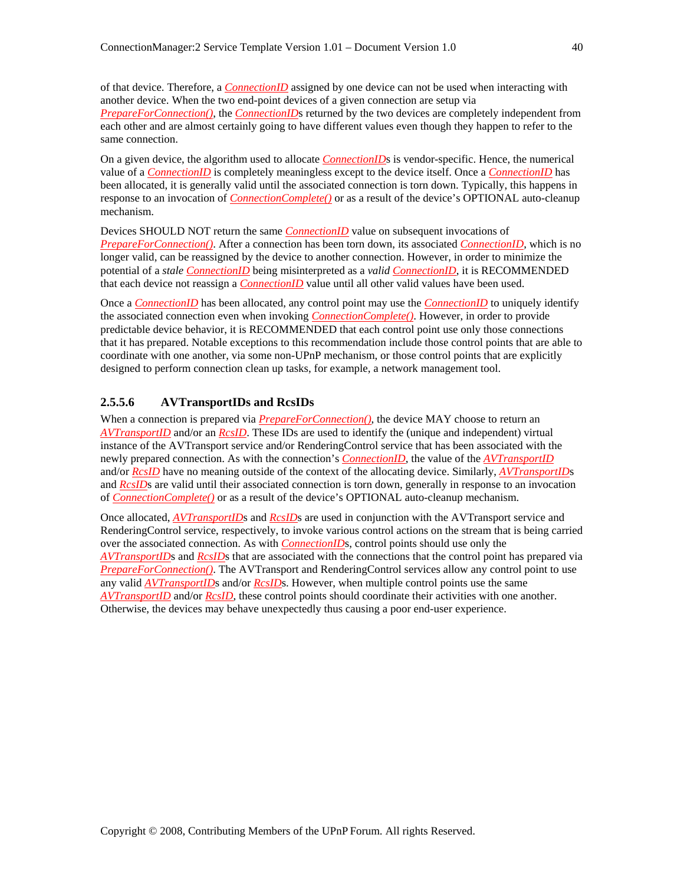of that device. Therefore, a *ConnectionID* assigned by one device can not be used when interacting with another device. When the two end-point devices of a given connection are setup via *PrepareForConnection()*, the *ConnectionID*s returned by the two devices are completely independent from each other and are almost certainly going to have different values even though they happen to refer to the same connection.

On a given device, the algorithm used to allocate *ConnectionID*s is vendor-specific. Hence, the numerical value of a *ConnectionID* is completely meaningless except to the device itself. Once a *ConnectionID* has been allocated, it is generally valid until the associated connection is torn down. Typically, this happens in response to an invocation of *ConnectionComplete()* or as a result of the device's OPTIONAL auto-cleanup mechanism.

Devices SHOULD NOT return the same *ConnectionID* value on subsequent invocations of *PrepareForConnection()*. After a connection has been torn down, its associated *ConnectionID*, which is no longer valid, can be reassigned by the device to another connection. However, in order to minimize the potential of a *stale ConnectionID* being misinterpreted as a *valid ConnectionID*, it is RECOMMENDED that each device not reassign a *ConnectionID* value until all other valid values have been used.

Once a *ConnectionID* has been allocated, any control point may use the *ConnectionID* to uniquely identify the associated connection even when invoking *ConnectionComplete()*. However, in order to provide predictable device behavior, it is RECOMMENDED that each control point use only those connections that it has prepared. Notable exceptions to this recommendation include those control points that are able to coordinate with one another, via some non-UPnP mechanism, or those control points that are explicitly designed to perform connection clean up tasks, for example, a network management tool.

#### **2.5.5.6 AVTransportIDs and RcsIDs**

When a connection is prepared via *PrepareForConnection()*, the device MAY choose to return an *AVTransportID* and/or an *RcsID*. These IDs are used to identify the (unique and independent) virtual instance of the AVTransport service and/or RenderingControl service that has been associated with the newly prepared connection. As with the connection's *ConnectionID*, the value of the *AVTransportID* and/or *RcsID* have no meaning outside of the context of the allocating device. Similarly, *AVTransportID*s and *RcsID*s are valid until their associated connection is torn down, generally in response to an invocation of *ConnectionComplete()* or as a result of the device's OPTIONAL auto-cleanup mechanism.

Once allocated, *AVTransportID*s and *RcsID*s are used in conjunction with the AVTransport service and RenderingControl service, respectively, to invoke various control actions on the stream that is being carried over the associated connection. As with *ConnectionID*s, control points should use only the *AVTransportID*s and *RcsID*s that are associated with the connections that the control point has prepared via *PrepareForConnection()*. The AVTransport and RenderingControl services allow any control point to use any valid *AVTransportID*s and/or *RcsID*s. However, when multiple control points use the same *AVTransportID* and/or *RcsID*, these control points should coordinate their activities with one another. Otherwise, the devices may behave unexpectedly thus causing a poor end-user experience.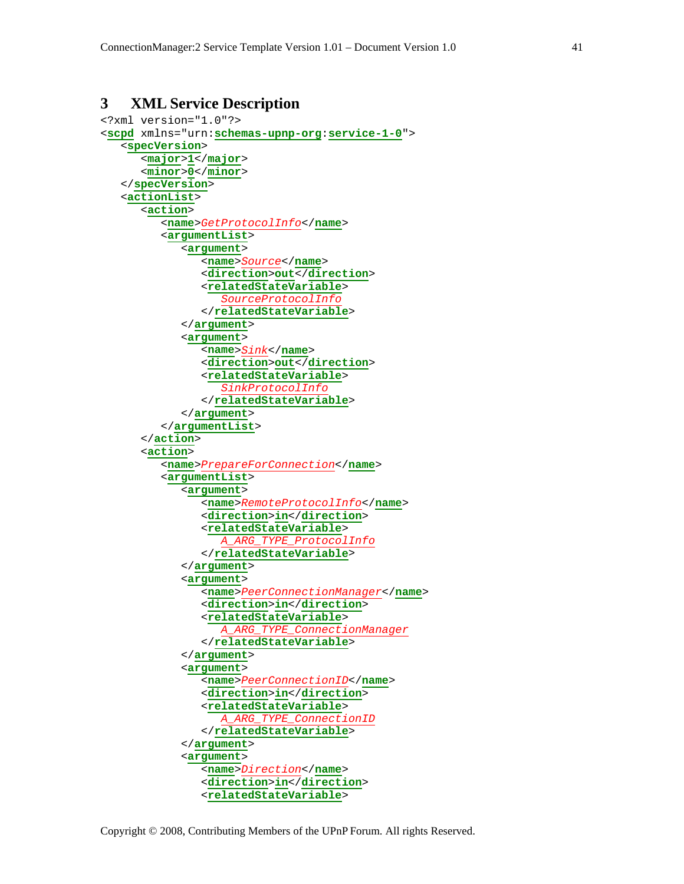# **3 XML Service Description**

```
<?xml version="1.0"?> 
<scpd xmlns="urn:schemas-upnp-org:service-1-0"> 
    <specVersion> 
       <major>1</major> 
       <minor>0</minor> 
    </specVersion> 
    <actionList> 
       <action> 
           <name>GetProtocolInfo</name> 
           <argumentList> 
              <argument> 
                  <name>Source</name> 
                  <direction>out</direction> 
                  <relatedStateVariable> 
                     SourceProtocolInfo
                  </relatedStateVariable>
              </argument> 
              <argument> 
                  <name>Sink</name> 
                  <direction>out</direction> 
                  <relatedStateVariable> 
                     SinkProtocolInfo
                  </relatedStateVariable> 
              </argument> 
           </argumentList> 
       </action> 
       <action> 
           <name>PrepareForConnection</name> 
           <argumentList> 
              <argument> 
                  <name>RemoteProtocolInfo</name> 
                  <direction>in</direction> 
                  <relatedStateVariable> 
                     A_ARG_TYPE_ProtocolInfo
                  </relatedStateVariable> 
              </argument> 
              <argument> 
                  <name>PeerConnectionManager</name> 
                  <direction>in</direction> 
                  <relatedStateVariable> 
                     A_ARG_TYPE_ConnectionManager
                  </relatedStateVariable> 
              </argument> 
              <argument> 
                  <name>PeerConnectionID</name> 
                  <direction>in</direction> 
                  <relatedStateVariable> 
                     A_ARG_TYPE_ConnectionID
                  </relatedStateVariable> 
              </argument> 
              <argument> 
                  <name>Direction</name> 
                  <direction>in</direction> 
                  <relatedStateVariable>
```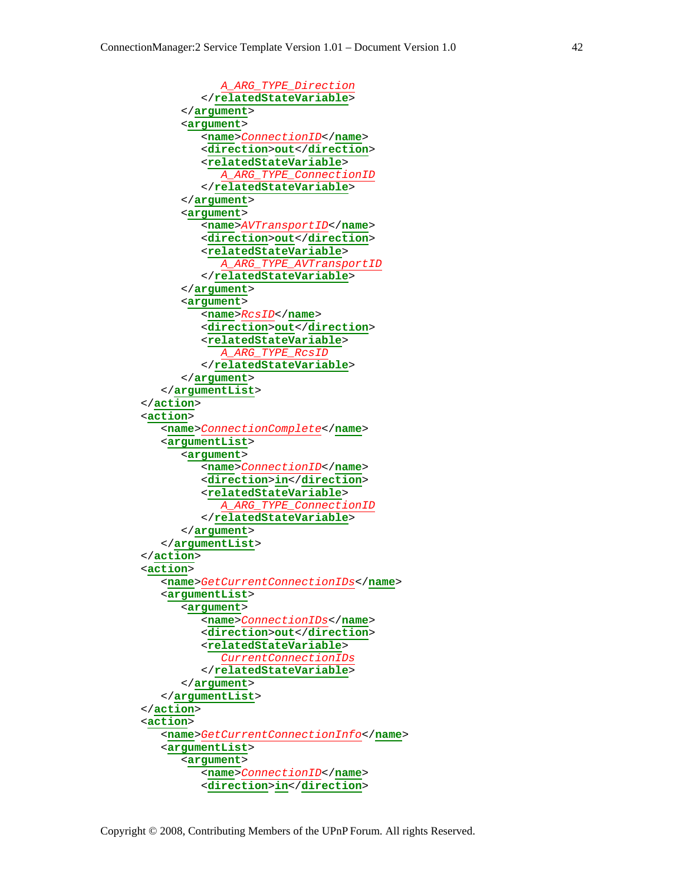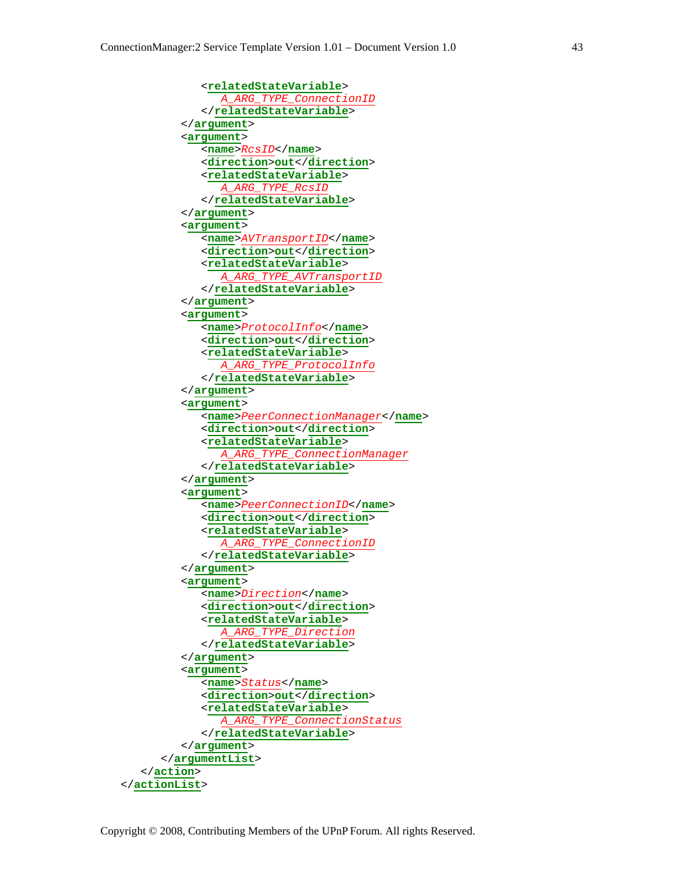

Copyright © 2008, Contributing Members of the UPnP Forum. All rights Reserved.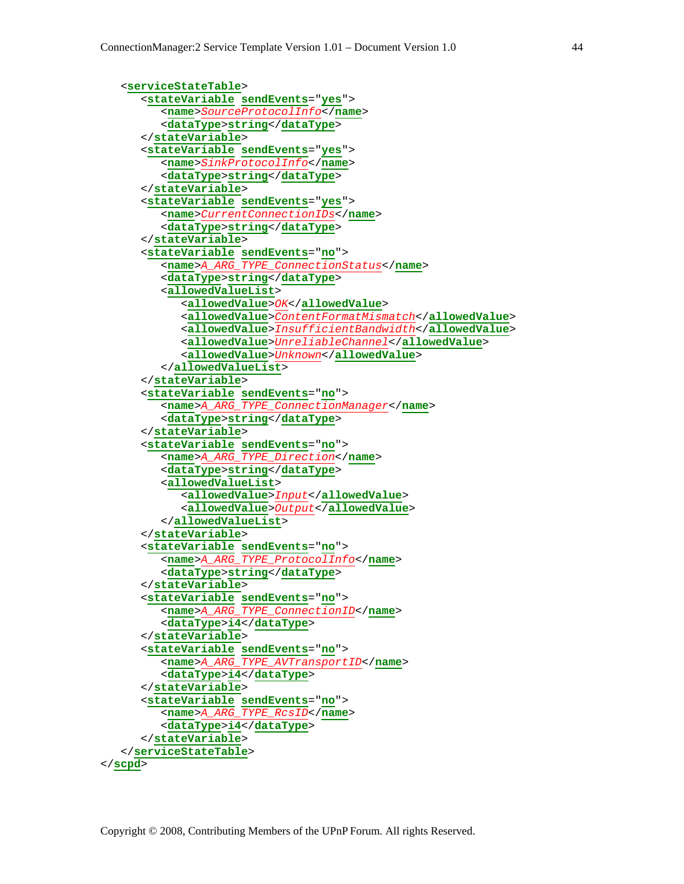```
 <serviceStateTable> 
       <stateVariable sendEvents="yes"> 
          <name>SourceProtocolInfo</name> 
          <dataType>string</dataType> 
       </stateVariable> 
       <stateVariable sendEvents="yes"> 
           <name>SinkProtocolInfo</name> 
           <dataType>string</dataType> 
       </stateVariable> 
       <stateVariable sendEvents="yes"> 
          <name>CurrentConnectionIDs</name> 
          <dataType>string</dataType> 
       </stateVariable> 
       <stateVariable sendEvents="no"> 
           <name>A_ARG_TYPE_ConnectionStatus</name> 
          <dataType>string</dataType> 
          <allowedValueList> 
              <allowedValue>OK</allowedValue> 
              <allowedValue>ContentFormatMismatch</allowedValue> 
              <allowedValue>InsufficientBandwidth</allowedValue> 
              <allowedValue>UnreliableChannel</allowedValue> 
              <allowedValue>Unknown</allowedValue> 
          </allowedValueList> 
       </stateVariable> 
       <stateVariable sendEvents="no"> 
           <name>A_ARG_TYPE_ConnectionManager</name> 
          <dataType>string</dataType> 
       </stateVariable> 
       <stateVariable sendEvents="no"> 
           <name>A_ARG_TYPE_Direction</name> 
          <dataType>string</dataType> 
          <allowedValueList> 
              <allowedValue>Input</allowedValue> 
              <allowedValue>Output</allowedValue> 
          </allowedValueList> 
       </stateVariable> 
       <stateVariable sendEvents="no"> 
           <name>A_ARG_TYPE_ProtocolInfo</name> 
          <dataType>string</dataType> 
       </stateVariable> 
       <stateVariable sendEvents="no"> 
           <name>A_ARG_TYPE_ConnectionID</name> 
           <dataType>i4</dataType> 
       </stateVariable> 
       <stateVariable sendEvents="no"> 
          <name>A_ARG_TYPE_AVTransportID</name> 
          <dataType>i4</dataType> 
       </stateVariable> 
       <stateVariable sendEvents="no"> 
          <name>A_ARG_TYPE_RcsID</name> 
          <dataType>i4</dataType> 
       </stateVariable> 
    </serviceStateTable> 
</scpd>
```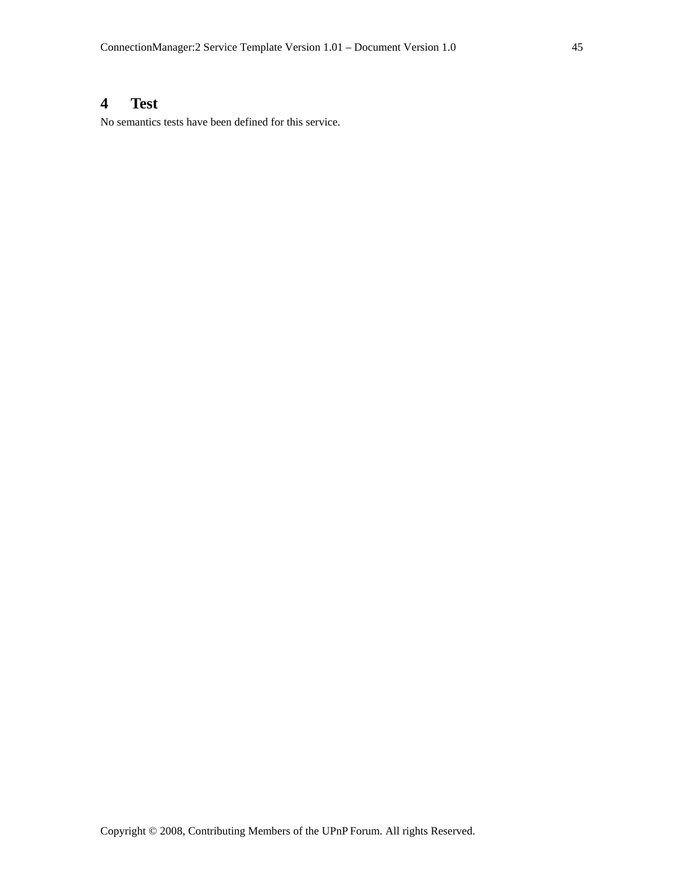# **4 Test**

No semantics tests have been defined for this service.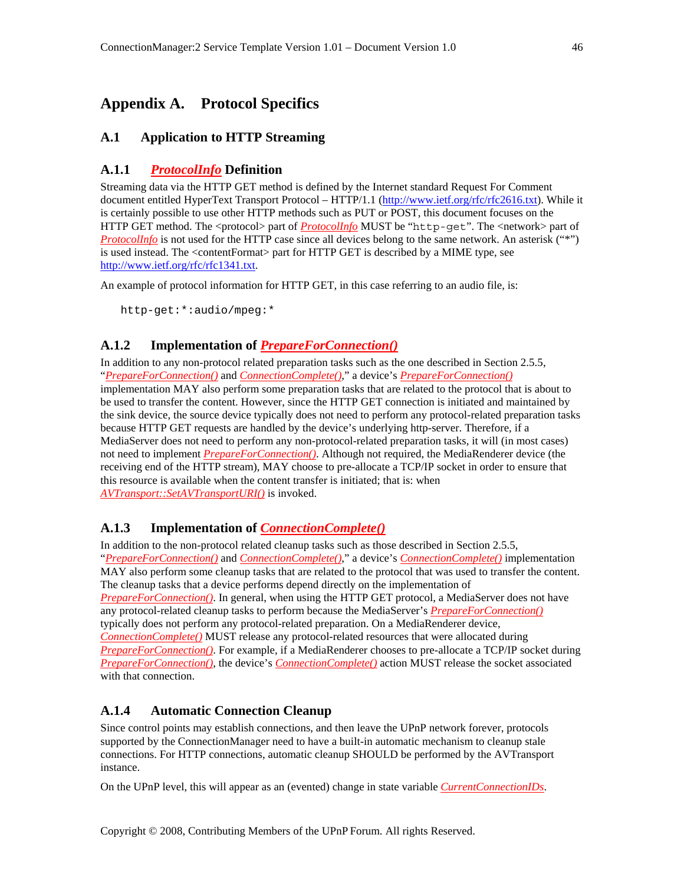# **Appendix A. Protocol Specifics**

# **A.1 Application to HTTP Streaming**

# **A.1.1** *ProtocolInfo* **Definition**

Streaming data via the HTTP GET method is defined by the Internet standard Request For Comment document entitled HyperText Transport Protocol – HTTP/1.1 (http://www.ietf.org/rfc/rfc2616.txt). While it is certainly possible to use other HTTP methods such as PUT or POST, this document focuses on the HTTP GET method. The <protocol> part of *ProtocolInfo* MUST be "http-get". The <network> part of *ProtocolInfo* is not used for the HTTP case since all devices belong to the same network. An asterisk ("\*") is used instead. The <contentFormat> part for HTTP GET is described by a MIME type, see http://www.ietf.org/rfc/rfc1341.txt.

An example of protocol information for HTTP GET, in this case referring to an audio file, is:

http-get:\*:audio/mpeg:\*

# **A.1.2 Implementation of** *PrepareForConnection()*

In addition to any non-protocol related preparation tasks such as the one described in Section 2.5.5, "*PrepareForConnection()* and *ConnectionComplete()*," a device's *PrepareForConnection()* implementation MAY also perform some preparation tasks that are related to the protocol that is about to be used to transfer the content. However, since the HTTP GET connection is initiated and maintained by the sink device, the source device typically does not need to perform any protocol-related preparation tasks because HTTP GET requests are handled by the device's underlying http-server. Therefore, if a MediaServer does not need to perform any non-protocol-related preparation tasks, it will (in most cases) not need to implement *PrepareForConnection()*. Although not required, the MediaRenderer device (the receiving end of the HTTP stream), MAY choose to pre-allocate a TCP/IP socket in order to ensure that this resource is available when the content transfer is initiated; that is: when *AVTransport::SetAVTransportURI()* is invoked.

# **A.1.3 Implementation of** *ConnectionComplete()*

In addition to the non-protocol related cleanup tasks such as those described in Section 2.5.5, "*PrepareForConnection()* and *ConnectionComplete()*," a device's *ConnectionComplete()* implementation MAY also perform some cleanup tasks that are related to the protocol that was used to transfer the content. The cleanup tasks that a device performs depend directly on the implementation of *PrepareForConnection()*. In general, when using the HTTP GET protocol, a MediaServer does not have any protocol-related cleanup tasks to perform because the MediaServer's *PrepareForConnection()* typically does not perform any protocol-related preparation. On a MediaRenderer device, *ConnectionComplete()* MUST release any protocol-related resources that were allocated during *PrepareForConnection()*. For example, if a MediaRenderer chooses to pre-allocate a TCP/IP socket during *PrepareForConnection()*, the device's *ConnectionComplete()* action MUST release the socket associated with that connection.

# **A.1.4 Automatic Connection Cleanup**

Since control points may establish connections, and then leave the UPnP network forever, protocols supported by the ConnectionManager need to have a built-in automatic mechanism to cleanup stale connections. For HTTP connections, automatic cleanup SHOULD be performed by the AVTransport instance.

On the UPnP level, this will appear as an (evented) change in state variable *CurrentConnectionIDs*.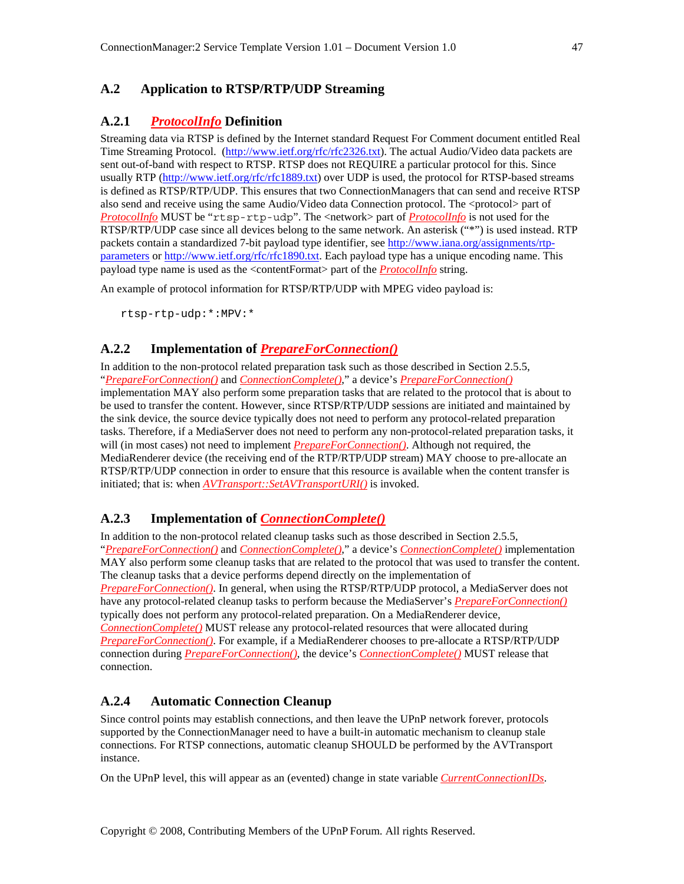# **A.2 Application to RTSP/RTP/UDP Streaming**

# **A.2.1** *ProtocolInfo* **Definition**

Streaming data via RTSP is defined by the Internet standard Request For Comment document entitled Real Time Streaming Protocol. (http://www.ietf.org/rfc/rfc2326.txt). The actual Audio/Video data packets are sent out-of-band with respect to RTSP. RTSP does not REQUIRE a particular protocol for this. Since usually RTP (http://www.ietf.org/rfc/rfc1889.txt) over UDP is used, the protocol for RTSP-based streams is defined as RTSP/RTP/UDP. This ensures that two ConnectionManagers that can send and receive RTSP also send and receive using the same Audio/Video data Connection protocol. The <protocol> part of *ProtocolInfo* MUST be "rtsp-rtp-udp". The <network> part of *ProtocolInfo* is not used for the RTSP/RTP/UDP case since all devices belong to the same network. An asterisk ("\*") is used instead. RTP packets contain a standardized 7-bit payload type identifier, see http://www.iana.org/assignments/rtpparameters or http://www.ietf.org/rfc/rfc1890.txt. Each payload type has a unique encoding name. This payload type name is used as the <contentFormat> part of the *ProtocolInfo* string.

An example of protocol information for RTSP/RTP/UDP with MPEG video payload is:

rtsp-rtp-udp:\*:MPV:\*

# **A.2.2 Implementation of** *PrepareForConnection()*

In addition to the non-protocol related preparation task such as those described in Section 2.5.5, "*PrepareForConnection()* and *ConnectionComplete()*," a device's *PrepareForConnection()* implementation MAY also perform some preparation tasks that are related to the protocol that is about to be used to transfer the content. However, since RTSP/RTP/UDP sessions are initiated and maintained by the sink device, the source device typically does not need to perform any protocol-related preparation tasks. Therefore, if a MediaServer does not need to perform any non-protocol-related preparation tasks, it will (in most cases) not need to implement *PrepareForConnection()*. Although not required, the MediaRenderer device (the receiving end of the RTP/RTP/UDP stream) MAY choose to pre-allocate an RTSP/RTP/UDP connection in order to ensure that this resource is available when the content transfer is initiated; that is: when *AVTransport::SetAVTransportURI()* is invoked.

# **A.2.3 Implementation of** *ConnectionComplete()*

In addition to the non-protocol related cleanup tasks such as those described in Section 2.5.5, "*PrepareForConnection()* and *ConnectionComplete()*," a device's *ConnectionComplete()* implementation MAY also perform some cleanup tasks that are related to the protocol that was used to transfer the content. The cleanup tasks that a device performs depend directly on the implementation of *PrepareForConnection()*. In general, when using the RTSP/RTP/UDP protocol, a MediaServer does not have any protocol-related cleanup tasks to perform because the MediaServer's *PrepareForConnection()* typically does not perform any protocol-related preparation. On a MediaRenderer device, *ConnectionComplete()* MUST release any protocol-related resources that were allocated during *PrepareForConnection()*. For example, if a MediaRenderer chooses to pre-allocate a RTSP/RTP/UDP connection during *PrepareForConnection()*, the device's *ConnectionComplete()* MUST release that connection.

# **A.2.4 Automatic Connection Cleanup**

Since control points may establish connections, and then leave the UPnP network forever, protocols supported by the ConnectionManager need to have a built-in automatic mechanism to cleanup stale connections. For RTSP connections, automatic cleanup SHOULD be performed by the AVTransport instance.

On the UPnP level, this will appear as an (evented) change in state variable *CurrentConnectionIDs*.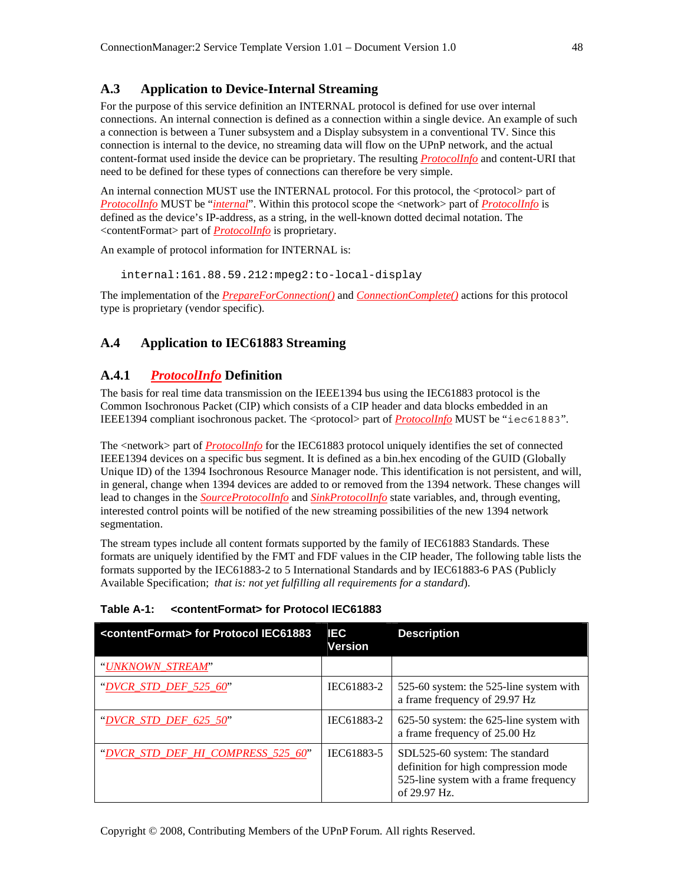# **A.3 Application to Device-Internal Streaming**

For the purpose of this service definition an INTERNAL protocol is defined for use over internal connections. An internal connection is defined as a connection within a single device. An example of such a connection is between a Tuner subsystem and a Display subsystem in a conventional TV. Since this connection is internal to the device, no streaming data will flow on the UPnP network, and the actual content-format used inside the device can be proprietary. The resulting *ProtocolInfo* and content-URI that need to be defined for these types of connections can therefore be very simple.

An internal connection MUST use the INTERNAL protocol. For this protocol, the <protocol> part of *ProtocolInfo* MUST be "*internal*". Within this protocol scope the <network> part of *ProtocolInfo* is defined as the device's IP-address, as a string, in the well-known dotted decimal notation. The <contentFormat> part of *ProtocolInfo* is proprietary.

An example of protocol information for INTERNAL is:

internal:161.88.59.212:mpeg2:to-local-display

The implementation of the *PrepareForConnection()* and *ConnectionComplete()* actions for this protocol type is proprietary (vendor specific).

# **A.4 Application to IEC61883 Streaming**

# **A.4.1** *ProtocolInfo* **Definition**

The basis for real time data transmission on the IEEE1394 bus using the IEC61883 protocol is the Common Isochronous Packet (CIP) which consists of a CIP header and data blocks embedded in an IEEE1394 compliant isochronous packet. The <protocol> part of *ProtocolInfo* MUST be "iec61883".

The <network> part of *ProtocolInfo* for the IEC61883 protocol uniquely identifies the set of connected IEEE1394 devices on a specific bus segment. It is defined as a bin.hex encoding of the GUID (Globally Unique ID) of the 1394 Isochronous Resource Manager node. This identification is not persistent, and will, in general, change when 1394 devices are added to or removed from the 1394 network. These changes will lead to changes in the *SourceProtocolInfo* and *SinkProtocolInfo* state variables, and, through eventing, interested control points will be notified of the new streaming possibilities of the new 1394 network segmentation.

The stream types include all content formats supported by the family of IEC61883 Standards. These formats are uniquely identified by the FMT and FDF values in the CIP header, The following table lists the formats supported by the IEC61883-2 to 5 International Standards and by IEC61883-6 PAS (Publicly Available Specification; *that is: not yet fulfilling all requirements for a standard*).

| <contentformat> for Protocol IEC61883</contentformat> | <b>IEC</b><br><b>Version</b> | <b>Description</b>                                                                                                               |
|-------------------------------------------------------|------------------------------|----------------------------------------------------------------------------------------------------------------------------------|
| "UNKNOWN_STREAM"                                      |                              |                                                                                                                                  |
| "DVCR STD DEF 525 $60$ "                              | IEC61883-2                   | 525-60 system: the 525-line system with<br>a frame frequency of 29.97 Hz                                                         |
| "DVCR STD DEF $625$ 50"                               | IEC61883-2                   | 625-50 system: the 625-line system with<br>a frame frequency of 25.00 Hz                                                         |
| "DVCR STD DEF HI COMPRESS 525 60"                     | IEC61883-5                   | SDL525-60 system: The standard<br>definition for high compression mode<br>525-line system with a frame frequency<br>of 29.97 Hz. |

#### **Table A-1: <contentFormat> for Protocol IEC61883**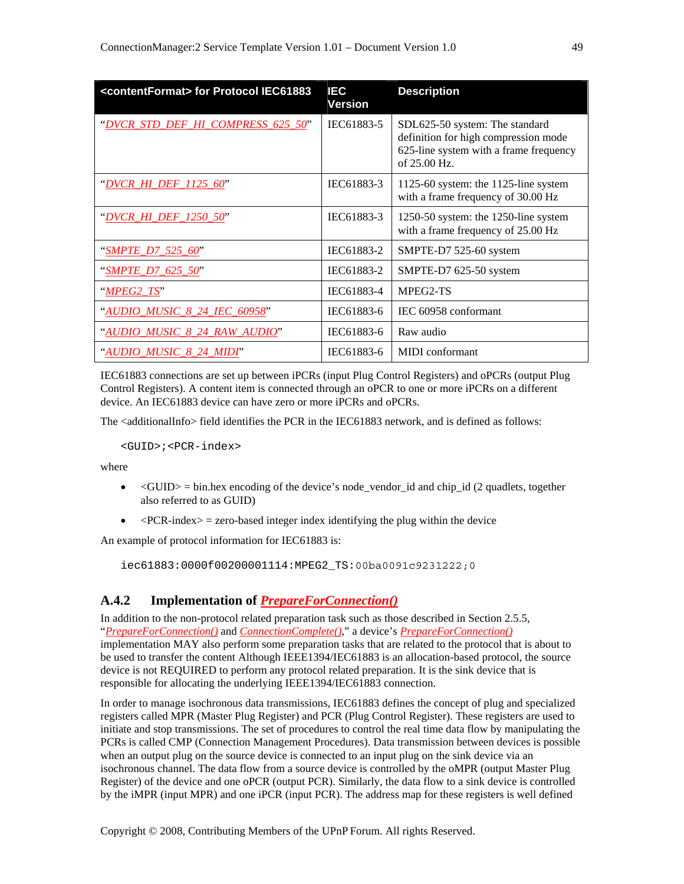| <contentformat> for Protocol IEC61883</contentformat> | IEC<br><b>Version</b> | <b>Description</b>                                                                                                               |
|-------------------------------------------------------|-----------------------|----------------------------------------------------------------------------------------------------------------------------------|
| "DVCR_STD_DEF_HI_COMPRESS_625_50"                     | IEC61883-5            | SDL625-50 system: The standard<br>definition for high compression mode<br>625-line system with a frame frequency<br>of 25.00 Hz. |
| "DVCR_HI_DEF_1125_60"                                 | IEC61883-3            | 1125-60 system: the 1125-line system<br>with a frame frequency of 30.00 Hz                                                       |
| "DVCR HI DEF 1250 50"                                 | IEC61883-3            | 1250-50 system: the 1250-line system<br>with a frame frequency of 25.00 Hz                                                       |
| "SMPTE D7 525 60"                                     | IEC61883-2            | SMPTE-D7 525-60 system                                                                                                           |
| "SMPTE_D7_625_50"                                     | IEC61883-2            | SMPTE-D7 625-50 system                                                                                                           |
| $"MPEG2_TS"$                                          | IEC61883-4            | MPEG2-TS                                                                                                                         |
| "AUDIO MUSIC 8 24 IEC 60958"                          | IEC61883-6            | IEC 60958 conformant                                                                                                             |
| "AUDIO_MUSIC_8_24_RAW_AUDIO"                          | IEC61883-6            | Raw audio                                                                                                                        |
| <u>"AUDIO MUSIC 8 24 MIDI"</u>                        | IEC61883-6            | <b>MIDI</b> conformant                                                                                                           |

IEC61883 connections are set up between iPCRs (input Plug Control Registers) and oPCRs (output Plug Control Registers). A content item is connected through an oPCR to one or more iPCRs on a different device. An IEC61883 device can have zero or more iPCRs and oPCRs.

The <additionalInfo> field identifies the PCR in the IEC61883 network, and is defined as follows:

```
 <GUID>;<PCR-index>
```
where

- $\leq$  GUID $>$  = bin.hex encoding of the device's node vendor id and chip id (2 quadlets, together also referred to as GUID)
- $\langle$ PCR-index $\rangle$  = zero-based integer index identifying the plug within the device

An example of protocol information for IEC61883 is:

iec61883:0000f00200001114:MPEG2\_TS:00ba0091c9231222;0

#### **A.4.2 Implementation of** *PrepareForConnection()*

In addition to the non-protocol related preparation task such as those described in Section 2.5.5, "*PrepareForConnection()* and *ConnectionComplete()*," a device's *PrepareForConnection()* implementation MAY also perform some preparation tasks that are related to the protocol that is about to be used to transfer the content Although IEEE1394/IEC61883 is an allocation-based protocol, the source device is not REQUIRED to perform any protocol related preparation. It is the sink device that is responsible for allocating the underlying IEEE1394/IEC61883 connection.

In order to manage isochronous data transmissions, IEC61883 defines the concept of plug and specialized registers called MPR (Master Plug Register) and PCR (Plug Control Register). These registers are used to initiate and stop transmissions. The set of procedures to control the real time data flow by manipulating the PCRs is called CMP (Connection Management Procedures). Data transmission between devices is possible when an output plug on the source device is connected to an input plug on the sink device via an isochronous channel. The data flow from a source device is controlled by the oMPR (output Master Plug Register) of the device and one oPCR (output PCR). Similarly, the data flow to a sink device is controlled by the iMPR (input MPR) and one iPCR (input PCR). The address map for these registers is well defined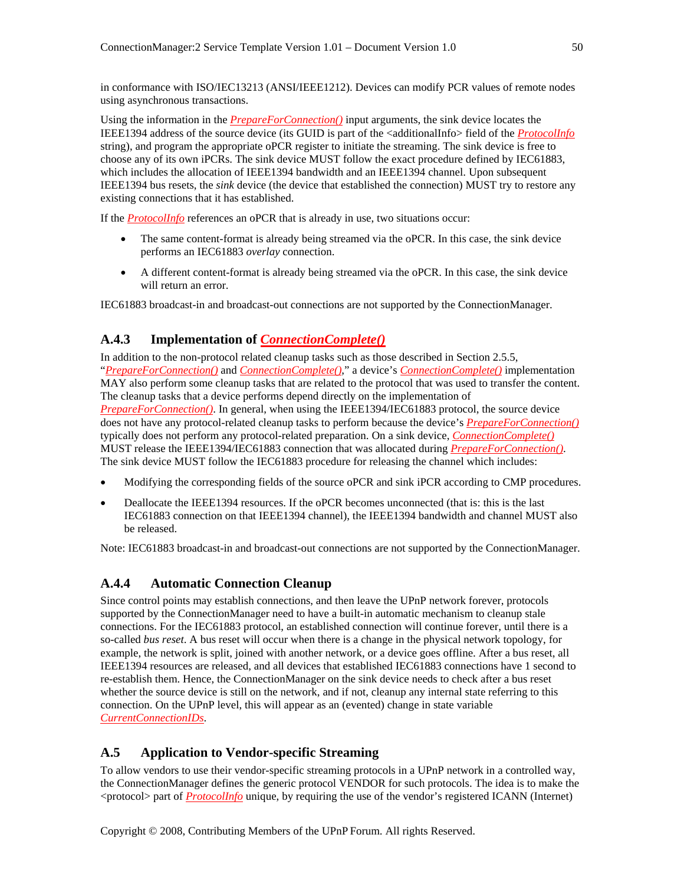in conformance with ISO/IEC13213 (ANSI/IEEE1212). Devices can modify PCR values of remote nodes using asynchronous transactions.

Using the information in the *PrepareForConnection()* input arguments, the sink device locates the IEEE1394 address of the source device (its GUID is part of the <additionalInfo> field of the *ProtocolInfo* string), and program the appropriate oPCR register to initiate the streaming. The sink device is free to choose any of its own iPCRs. The sink device MUST follow the exact procedure defined by IEC61883, which includes the allocation of IEEE1394 bandwidth and an IEEE1394 channel. Upon subsequent IEEE1394 bus resets, the *sink* device (the device that established the connection) MUST try to restore any existing connections that it has established.

If the *ProtocolInfo* references an oPCR that is already in use, two situations occur:

- The same content-format is already being streamed via the oPCR. In this case, the sink device performs an IEC61883 *overlay* connection.
- A different content-format is already being streamed via the oPCR. In this case, the sink device will return an error.

IEC61883 broadcast-in and broadcast-out connections are not supported by the ConnectionManager.

# **A.4.3 Implementation of** *ConnectionComplete()*

In addition to the non-protocol related cleanup tasks such as those described in Section 2.5.5, "*PrepareForConnection()* and *ConnectionComplete()*," a device's *ConnectionComplete()* implementation MAY also perform some cleanup tasks that are related to the protocol that was used to transfer the content. The cleanup tasks that a device performs depend directly on the implementation of *PrepareForConnection()*. In general, when using the IEEE1394/IEC61883 protocol, the source device does not have any protocol-related cleanup tasks to perform because the device's *PrepareForConnection()* typically does not perform any protocol-related preparation. On a sink device, *ConnectionComplete()* MUST release the IEEE1394/IEC61883 connection that was allocated during *PrepareForConnection()*. The sink device MUST follow the IEC61883 procedure for releasing the channel which includes:

- Modifying the corresponding fields of the source oPCR and sink iPCR according to CMP procedures.
- Deallocate the IEEE1394 resources. If the oPCR becomes unconnected (that is: this is the last IEC61883 connection on that IEEE1394 channel), the IEEE1394 bandwidth and channel MUST also be released.

Note: IEC61883 broadcast-in and broadcast-out connections are not supported by the ConnectionManager.

#### **A.4.4 Automatic Connection Cleanup**

Since control points may establish connections, and then leave the UPnP network forever, protocols supported by the ConnectionManager need to have a built-in automatic mechanism to cleanup stale connections. For the IEC61883 protocol, an established connection will continue forever, until there is a so-called *bus reset*. A bus reset will occur when there is a change in the physical network topology, for example, the network is split, joined with another network, or a device goes offline. After a bus reset, all IEEE1394 resources are released, and all devices that established IEC61883 connections have 1 second to re-establish them. Hence, the ConnectionManager on the sink device needs to check after a bus reset whether the source device is still on the network, and if not, cleanup any internal state referring to this connection. On the UPnP level, this will appear as an (evented) change in state variable *CurrentConnectionIDs*.

#### **A.5 Application to Vendor-specific Streaming**

To allow vendors to use their vendor-specific streaming protocols in a UPnP network in a controlled way, the ConnectionManager defines the generic protocol VENDOR for such protocols. The idea is to make the <protocol> part of *ProtocolInfo* unique, by requiring the use of the vendor's registered ICANN (Internet)